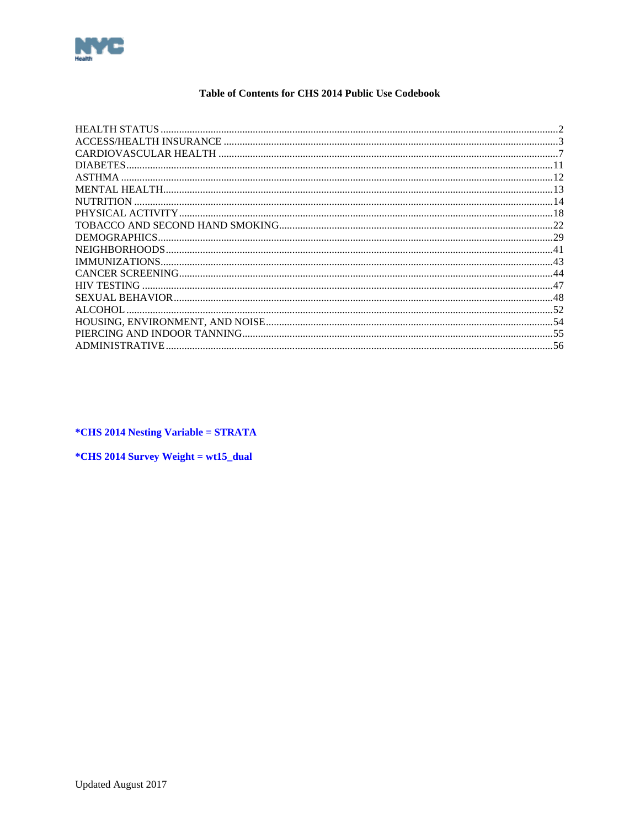<span id="page-0-0"></span>

## Table of Contents for CHS 2014 Public Use Codebook

| HEALTH STATUS      |     |
|--------------------|-----|
|                    |     |
|                    |     |
|                    |     |
|                    |     |
|                    |     |
| <b>NUTRITION</b>   |     |
|                    |     |
|                    |     |
| DEMOGRAPHICS.      |     |
|                    |     |
|                    |     |
|                    |     |
| <b>HIV TESTING</b> |     |
|                    |     |
| ALCOHOL            |     |
|                    |     |
|                    |     |
| ADMINISTRATIVE.    | -56 |

*\*CHS 2014 Nesting Variable = STRATA* 

\*CHS 2014 Survey Weight = wt15\_dual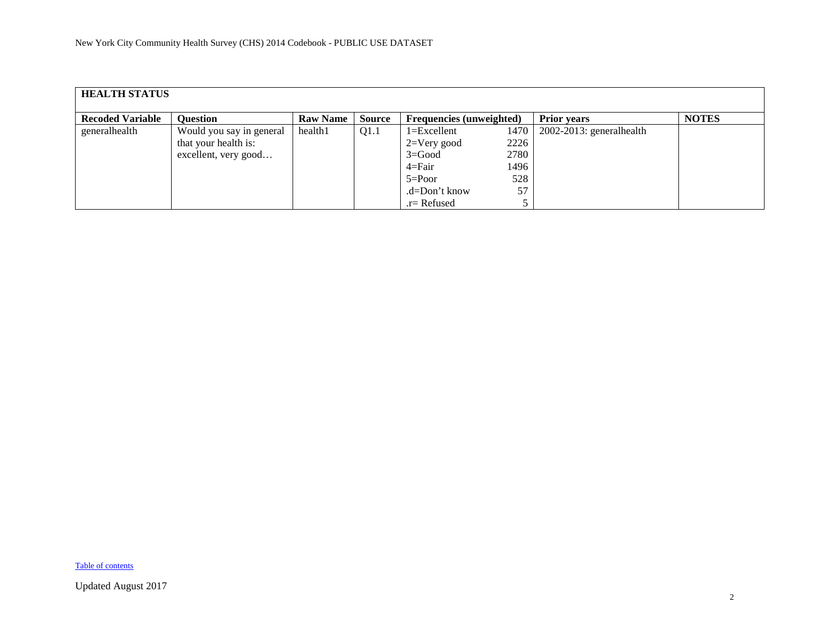<span id="page-1-0"></span>

| <b>HEALTH STATUS</b>    |                                                                          |                 |               |                                                                                                 |                                           |                          |              |  |  |  |
|-------------------------|--------------------------------------------------------------------------|-----------------|---------------|-------------------------------------------------------------------------------------------------|-------------------------------------------|--------------------------|--------------|--|--|--|
| <b>Recoded Variable</b> | <b>Question</b>                                                          | <b>Raw Name</b> | <b>Source</b> | <b>Frequencies (unweighted)</b>                                                                 |                                           | <b>Prior years</b>       | <b>NOTES</b> |  |  |  |
| generalhealth           | Would you say in general<br>that your health is:<br>excellent, very good | health1         | Q1.1          | $1 = Excellent$<br>$2=V$ ery good<br>$3 = Good$<br>$4 = Fair$<br>$5 = Poor$<br>$d = Don't know$ | 1470<br>2226<br>2780<br>1496<br>528<br>57 | 2002-2013: generalhealth |              |  |  |  |
|                         |                                                                          |                 |               | $r =$ Refused                                                                                   |                                           |                          |              |  |  |  |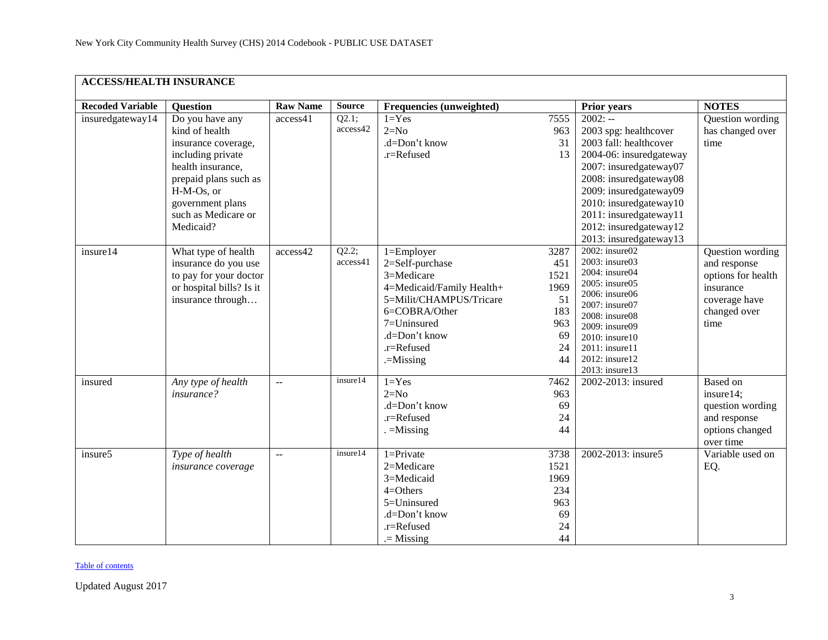<span id="page-2-0"></span>

| <b>ACCESS/HEALTH INSURANCE</b> |                                                                                                                                                                                                   |                   |                   |                                                                                                                                                                                       |                                                                   |                                                                                                                                                                                                                                                                               |                                                                                                              |  |  |  |
|--------------------------------|---------------------------------------------------------------------------------------------------------------------------------------------------------------------------------------------------|-------------------|-------------------|---------------------------------------------------------------------------------------------------------------------------------------------------------------------------------------|-------------------------------------------------------------------|-------------------------------------------------------------------------------------------------------------------------------------------------------------------------------------------------------------------------------------------------------------------------------|--------------------------------------------------------------------------------------------------------------|--|--|--|
| <b>Recoded Variable</b>        | <b>Question</b>                                                                                                                                                                                   | <b>Raw Name</b>   | <b>Source</b>     | Frequencies (unweighted)                                                                                                                                                              |                                                                   | <b>Prior years</b>                                                                                                                                                                                                                                                            | <b>NOTES</b>                                                                                                 |  |  |  |
| insuredgateway14               | Do you have any<br>kind of health<br>insurance coverage,<br>including private<br>health insurance,<br>prepaid plans such as<br>H-M-Os, or<br>government plans<br>such as Medicare or<br>Medicaid? | access41          | Q2.1;<br>access42 | $1 = Yes$<br>$2=N0$<br>.d=Don't know<br>.r=Refused                                                                                                                                    | 7555<br>963<br>31<br>13                                           | $2002: -$<br>2003 spg: healthcover<br>2003 fall: healthcover<br>2004-06: insuredgateway<br>2007: insuredgateway07<br>2008: insuredgateway08<br>2009: insuredgateway09<br>2010: insuredgateway10<br>2011: insuredgateway11<br>2012: insuredgateway12<br>2013: insuredgateway13 | Question wording<br>has changed over<br>time                                                                 |  |  |  |
| insure14                       | What type of health<br>insurance do you use<br>to pay for your doctor<br>or hospital bills? Is it<br>insurance through                                                                            | access42          | Q2.2;<br>access41 | $1 =$ Employer<br>2=Self-purchase<br>3=Medicare<br>4=Medicaid/Family Health+<br>5=Milit/CHAMPUS/Tricare<br>6=COBRA/Other<br>7=Uninsured<br>.d=Don't know<br>.r=Refused<br>$=$ Missing | 3287<br>451<br>1521<br>1969<br>51<br>183<br>963<br>69<br>24<br>44 | 2002: insure02<br>2003: insure03<br>2004: insure04<br>2005: insure05<br>2006: insure06<br>2007: insure07<br>2008: insure08<br>2009: insure09<br>2010: insure10<br>2011: insure11<br>2012: insure12<br>2013: insure13                                                          | Question wording<br>and response<br>options for health<br>insurance<br>coverage have<br>changed over<br>time |  |  |  |
| insured                        | Any type of health<br>insurance?                                                                                                                                                                  | $\omega_{\rm{m}}$ | insure14          | $1 = Yes$<br>$2=N0$<br>.d=Don't know<br>.r=Refused<br>$=$ Missing                                                                                                                     | 7462<br>963<br>69<br>24<br>44                                     | 2002-2013: insured                                                                                                                                                                                                                                                            | Based on<br>insure14;<br>question wording<br>and response<br>options changed<br>over time                    |  |  |  |
| insure5                        | Type of health<br>insurance coverage                                                                                                                                                              | $\overline{a}$    | insure14          | $1 =$ Private<br>2=Medicare<br>3=Medicaid<br>$4 =$ Others<br>5=Uninsured<br>.d=Don't know<br>.r=Refused<br>$=$ Missing                                                                | 3738<br>1521<br>1969<br>234<br>963<br>69<br>24<br>44              | 2002-2013: insure5                                                                                                                                                                                                                                                            | Variable used on<br>EQ.                                                                                      |  |  |  |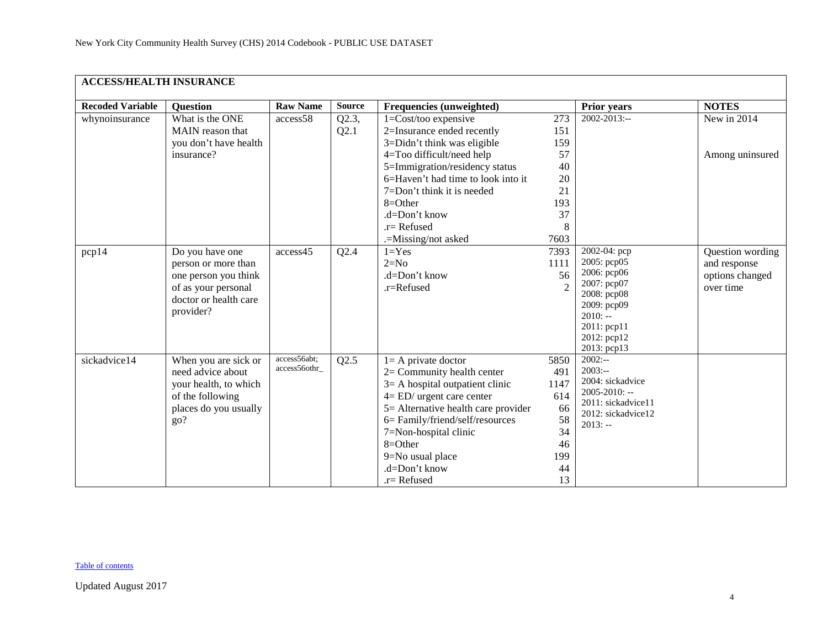| <b>ACCESS/HEALTH INSURANCE</b> |                                                                                                                             |                               |               |                                                                                                                                                                                                                                                                                                      |                                                                       |                                                                                                                                                   |                                                                  |  |  |  |
|--------------------------------|-----------------------------------------------------------------------------------------------------------------------------|-------------------------------|---------------|------------------------------------------------------------------------------------------------------------------------------------------------------------------------------------------------------------------------------------------------------------------------------------------------------|-----------------------------------------------------------------------|---------------------------------------------------------------------------------------------------------------------------------------------------|------------------------------------------------------------------|--|--|--|
| <b>Recoded Variable</b>        | <b>Question</b>                                                                                                             | <b>Raw Name</b>               | <b>Source</b> | Frequencies (unweighted)                                                                                                                                                                                                                                                                             |                                                                       | <b>Prior years</b>                                                                                                                                | <b>NOTES</b>                                                     |  |  |  |
| whynoinsurance                 | What is the ONE<br>MAIN reason that<br>you don't have health<br>insurance?                                                  | access58                      | Q2.3,<br>Q2.1 | $1 = Cost/too$ expensive<br>2=Insurance ended recently<br>3=Didn't think was eligible<br>4=Too difficult/need help<br>5=Immigration/residency status<br>6=Haven't had time to look into it<br>7=Don't think it is needed<br>8=Other<br>.d=Don't know<br>.r= Refused<br>.=Missing/not asked           | 273<br>151<br>159<br>57<br>40<br>20<br>21<br>193<br>37<br>8<br>7603   | 2002-2013:--                                                                                                                                      | New in 2014<br>Among uninsured                                   |  |  |  |
| pcp14                          | Do you have one<br>person or more than<br>one person you think<br>of as your personal<br>doctor or health care<br>provider? | access45                      | Q2.4          | $1 = Yes$<br>$2=N0$<br>.d=Don't know<br>.r=Refused                                                                                                                                                                                                                                                   | 7393<br>1111<br>56                                                    | 2002-04: pcp<br>2005: pcp05<br>2006: рер06<br>2007: pcp07<br>2008: pcp08<br>2009: pcp09<br>$2010: -$<br>2011: pcp11<br>2012: pcp12<br>2013: pcp13 | Question wording<br>and response<br>options changed<br>over time |  |  |  |
| sickadvice14                   | When you are sick or<br>need advice about<br>your health, to which<br>of the following<br>places do you usually<br>go?      | access56abt;<br>access56othr_ | Q2.5          | $l = A$ private doctor<br>$2=$ Community health center<br>$3=$ A hospital outpatient clinic<br>$4 = ED/$ urgent care center<br>5= Alternative health care provider<br>6= Family/friend/self/resources<br>7=Non-hospital clinic<br>$8 = Other$<br>9=No usual place<br>.d=Don't know<br>$.r =$ Refused | 5850<br>491<br>1147<br>614<br>66<br>58<br>34<br>46<br>199<br>44<br>13 | $2002: -$<br>$2003:-$<br>2004: sickadvice<br>2005-2010: --<br>2011: sickadvice11<br>2012: sickadvice12<br>$2013: -$                               |                                                                  |  |  |  |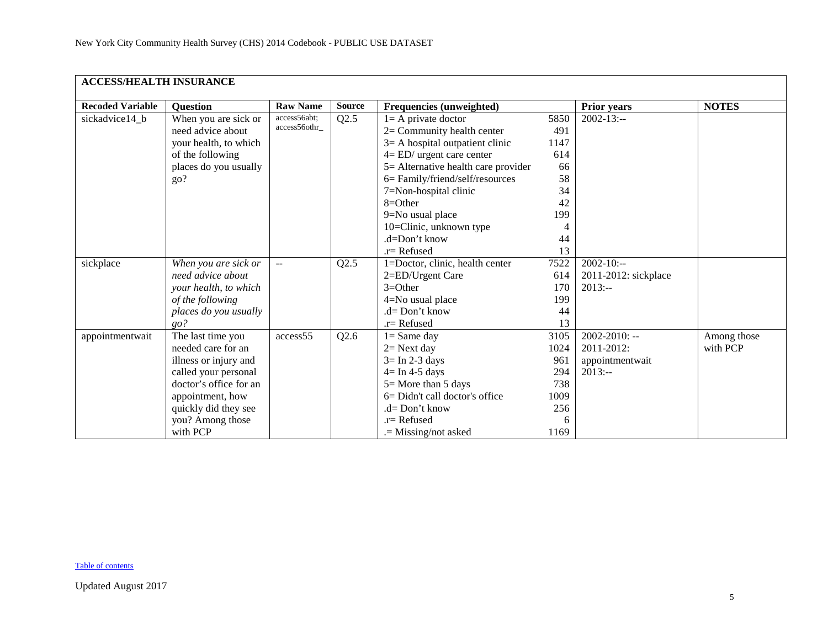| <b>ACCESS/HEALTH INSURANCE</b> |                        |                 |               |                                     |      |                      |              |
|--------------------------------|------------------------|-----------------|---------------|-------------------------------------|------|----------------------|--------------|
| <b>Recoded Variable</b>        | <b>Ouestion</b>        | <b>Raw Name</b> | <b>Source</b> | Frequencies (unweighted)            |      | Prior years          | <b>NOTES</b> |
| sickadvice14_b                 | When you are sick or   | access56abt;    | Q2.5          | $l = A$ private doctor              | 5850 | $2002 - 13$ :--      |              |
|                                | need advice about      | access56othr_   |               | $2=$ Community health center        | 491  |                      |              |
|                                | your health, to which  |                 |               | $3=$ A hospital outpatient clinic   | 1147 |                      |              |
|                                | of the following       |                 |               | $4 = ED/$ urgent care center        | 614  |                      |              |
|                                | places do you usually  |                 |               | 5= Alternative health care provider | 66   |                      |              |
|                                | go?                    |                 |               | 6= Family/friend/self/resources     | 58   |                      |              |
|                                |                        |                 |               | 7=Non-hospital clinic               | 34   |                      |              |
|                                |                        |                 |               | $8=Other$                           | 42   |                      |              |
|                                |                        |                 |               | 9=No usual place                    | 199  |                      |              |
|                                |                        |                 |               | 10=Clinic, unknown type             |      |                      |              |
|                                |                        |                 |               | $d = Don't know$                    | 44   |                      |              |
|                                |                        |                 |               | $.r =$ Refused                      | 13   |                      |              |
| sickplace                      | When you are sick or   | $\sim$          | Q2.5          | 1=Doctor, clinic, health center     | 7522 | $2002 - 10:-$        |              |
|                                | need advice about      |                 |               | 2=ED/Urgent Care                    | 614  | 2011-2012: sickplace |              |
|                                | your health, to which  |                 |               | $3=Other$                           | 170  | $2013: -$            |              |
|                                | of the following       |                 |               | 4=No usual place                    | 199  |                      |              |
|                                | places do you usually  |                 |               | $d=Don't know$                      | 44   |                      |              |
|                                | go?                    |                 |               | $r =$ Refused                       | 13   |                      |              |
| appointmentwait                | The last time you      | access55        | Q2.6          | $1 =$ Same day                      | 3105 | $2002 - 2010$ : --   | Among those  |
|                                | needed care for an     |                 |               | $2=$ Next day                       | 1024 | 2011-2012:           | with PCP     |
|                                | illness or injury and  |                 |               | $3 = \text{In } 2-3 \text{ days}$   | 961  | appointmentwait      |              |
|                                | called your personal   |                 |               | $4 = \text{In } 4-5 \text{ days}$   | 294  | $2013: -$            |              |
|                                | doctor's office for an |                 |               | $5 =$ More than 5 days              | 738  |                      |              |
|                                | appointment, how       |                 |               | 6= Didn't call doctor's office      | 1009 |                      |              |
|                                | quickly did they see   |                 |               | .d= Don't know                      | 256  |                      |              |
|                                | you? Among those       |                 |               | $r =$ Refused                       | 6    |                      |              |
|                                | with PCP               |                 |               | .= Missing/not asked                | 1169 |                      |              |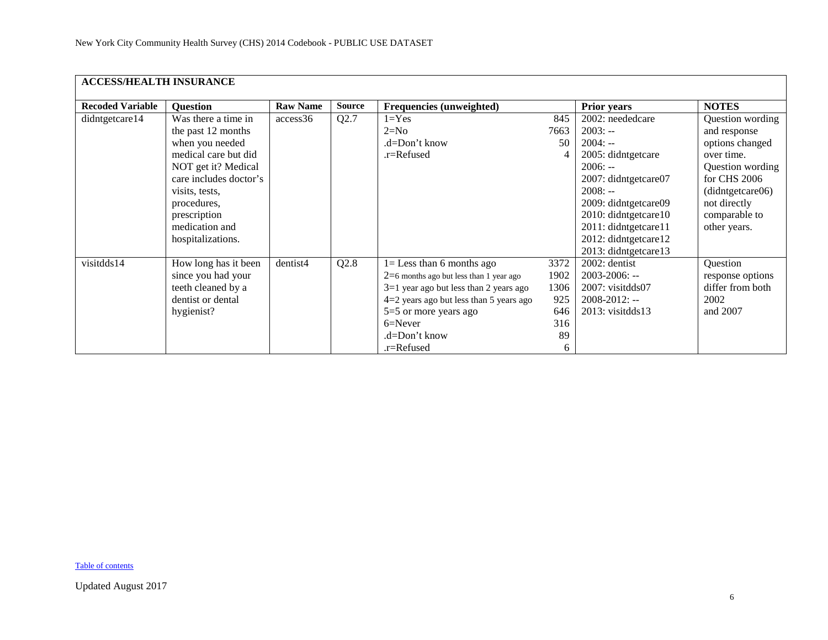|                         | <b>ACCESS/HEALTH INSURANCE</b> |                 |               |                                           |      |                        |                  |  |  |  |  |
|-------------------------|--------------------------------|-----------------|---------------|-------------------------------------------|------|------------------------|------------------|--|--|--|--|
| <b>Recoded Variable</b> | <b>Question</b>                | <b>Raw Name</b> | <b>Source</b> | Frequencies (unweighted)                  |      | <b>Prior years</b>     | <b>NOTES</b>     |  |  |  |  |
| didntgetcare14          | Was there a time in            | access36        | Q2.7          | $1 = Yes$                                 | 845  | 2002: neededcare       | Question wording |  |  |  |  |
|                         | the past 12 months             |                 |               | $2=N0$                                    | 7663 | $2003: -$              | and response     |  |  |  |  |
|                         | when you needed                |                 |               | .d=Don't know                             | 50   | $2004: -$              | options changed  |  |  |  |  |
|                         | medical care but did           |                 |               | .r=Refused                                | 4    | 2005: didntgetcare     | over time.       |  |  |  |  |
|                         | NOT get it? Medical            |                 |               |                                           |      | $2006: -$              | Question wording |  |  |  |  |
|                         | care includes doctor's         |                 |               |                                           |      | 2007: didntgetcare07   | for CHS 2006     |  |  |  |  |
|                         | visits, tests,                 |                 |               |                                           |      | $2008: -$              | (didntgetcare06) |  |  |  |  |
|                         | procedures,                    |                 |               |                                           |      | 2009: didntgetcare09   | not directly     |  |  |  |  |
|                         | prescription                   |                 |               |                                           |      | 2010: didntgetcare10   | comparable to    |  |  |  |  |
|                         | medication and                 |                 |               |                                           |      | 2011: didntgetcare11   | other years.     |  |  |  |  |
|                         | hospitalizations.              |                 |               |                                           |      | 2012: didntgetcare12   |                  |  |  |  |  |
|                         |                                |                 |               |                                           |      | 2013: didntgetcare13   |                  |  |  |  |  |
| visitdds14              | How long has it been           | dentist4        | Q2.8          | $l =$ Less than 6 months ago              | 3372 | 2002: dentist          | Question         |  |  |  |  |
|                         | since you had your             |                 |               | $2=6$ months ago but less than 1 year ago | 1902 | $2003 - 2006$ : --     | response options |  |  |  |  |
|                         | teeth cleaned by a             |                 |               | $3=1$ year ago but less than 2 years ago  | 1306 | $2007$ : visitdds $07$ | differ from both |  |  |  |  |
|                         | dentist or dental              |                 |               | $4=2$ years ago but less than 5 years ago | 925  | $2008 - 2012$ : --     | 2002             |  |  |  |  |
|                         | hygienist?                     |                 |               | $5=5$ or more years ago                   | 646  | $2013$ : visitdds $13$ | and 2007         |  |  |  |  |
|                         |                                |                 |               | $6 =$ Never                               | 316  |                        |                  |  |  |  |  |
|                         |                                |                 |               | .d=Don't know                             | 89   |                        |                  |  |  |  |  |
|                         |                                |                 |               | .r=Refused                                | 6    |                        |                  |  |  |  |  |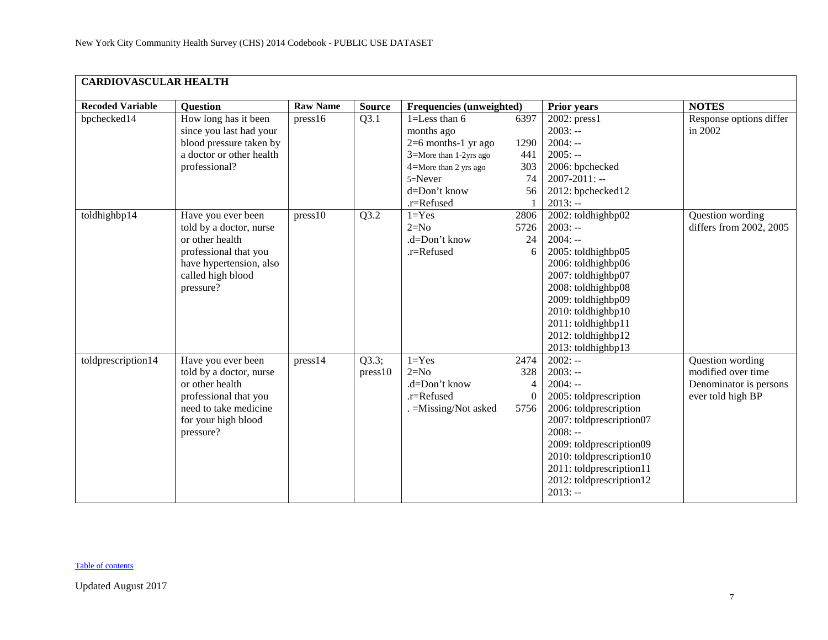<span id="page-6-0"></span>

| <b>CARDIOVASCULAR HEALTH</b> |                                                                                                                                                        |                 |                  |                                                                                                                                                          |                                                   |                                                                                                                                                                                                                                                               |                                                                                       |  |  |  |
|------------------------------|--------------------------------------------------------------------------------------------------------------------------------------------------------|-----------------|------------------|----------------------------------------------------------------------------------------------------------------------------------------------------------|---------------------------------------------------|---------------------------------------------------------------------------------------------------------------------------------------------------------------------------------------------------------------------------------------------------------------|---------------------------------------------------------------------------------------|--|--|--|
| <b>Recoded Variable</b>      | <b>Question</b>                                                                                                                                        | <b>Raw Name</b> | <b>Source</b>    | Frequencies (unweighted)                                                                                                                                 |                                                   | <b>Prior years</b>                                                                                                                                                                                                                                            | <b>NOTES</b>                                                                          |  |  |  |
| bpchecked14                  | How long has it been<br>since you last had your<br>blood pressure taken by<br>a doctor or other health<br>professional?                                | press16         | Q3.1             | $1 =$ Less than 6<br>months ago<br>$2=6$ months-1 yr ago<br>3=More than 1-2yrs ago<br>4=More than 2 yrs ago<br>$5 =$ Never<br>d=Don't know<br>.r=Refused | 6397<br>1290<br>441<br>303<br>74<br>56            | $2002$ : press1<br>$2003: -$<br>$2004: -$<br>$2005: -$<br>2006: bpchecked<br>$2007 - 2011$ : --<br>2012: bpchecked12<br>$2013: -$                                                                                                                             | Response options differ<br>in 2002                                                    |  |  |  |
| toldhighbp14                 | Have you ever been<br>told by a doctor, nurse<br>or other health<br>professional that you<br>have hypertension, also<br>called high blood<br>pressure? | press10         | Q3.2             | $1 = Yes$<br>$2=N0$<br>.d=Don't know<br>.r=Refused                                                                                                       | 2806<br>5726<br>24<br>6                           | 2002: toldhighbp02<br>$2003: -$<br>$2004: -$<br>2005: toldhighbp05<br>2006: toldhighbp06<br>2007: toldhighbp07<br>2008: toldhighbp08<br>2009: toldhighbp09<br>2010: toldhighbp10<br>2011: toldhighbp11<br>2012: toldhighbp12<br>2013: toldhighbp13            | Question wording<br>differs from 2002, 2005                                           |  |  |  |
| toldprescription14           | Have you ever been<br>told by a doctor, nurse<br>or other health<br>professional that you<br>need to take medicine<br>for your high blood<br>pressure? | press14         | Q3.3;<br>press10 | $1 = Yes$<br>$2=N0$<br>.d=Don't know<br>.r=Refused<br>. = Missing/Not asked                                                                              | 2474<br>328<br>$\overline{4}$<br>$\theta$<br>5756 | $2002: -$<br>$2003: -$<br>$2004: -$<br>2005: toldprescription<br>2006: toldprescription<br>2007: toldprescription07<br>$2008: -$<br>2009: toldprescription09<br>2010: toldprescription10<br>2011: toldprescription11<br>2012: toldprescription12<br>$2013: -$ | Question wording<br>modified over time<br>Denominator is persons<br>ever told high BP |  |  |  |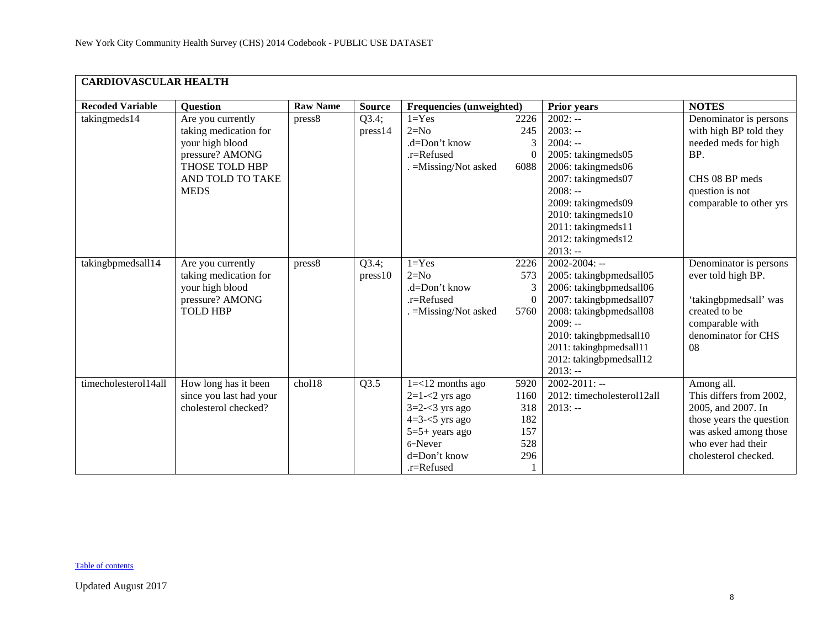| <b>CARDIOVASCULAR HEALTH</b> |                                                                                                                                       |                 |                  |                                                                                                                                                 |                                                 |                                                                                                                                                                                                                                           |                                                                                                                                                                |  |  |  |
|------------------------------|---------------------------------------------------------------------------------------------------------------------------------------|-----------------|------------------|-------------------------------------------------------------------------------------------------------------------------------------------------|-------------------------------------------------|-------------------------------------------------------------------------------------------------------------------------------------------------------------------------------------------------------------------------------------------|----------------------------------------------------------------------------------------------------------------------------------------------------------------|--|--|--|
| <b>Recoded Variable</b>      | <b>Question</b>                                                                                                                       | <b>Raw Name</b> | <b>Source</b>    | Frequencies (unweighted)                                                                                                                        |                                                 | <b>Prior years</b>                                                                                                                                                                                                                        | <b>NOTES</b>                                                                                                                                                   |  |  |  |
| takingmeds14                 | Are you currently<br>taking medication for<br>your high blood<br>pressure? AMONG<br>THOSE TOLD HBP<br>AND TOLD TO TAKE<br><b>MEDS</b> | press8          | Q3.4;<br>press14 | $1 = Yes$<br>$2=N0$<br>.d=Don't know<br>.r=Refused<br>$=Missing/Not$ asked                                                                      | 2226<br>245<br>3<br>$\Omega$<br>6088            | $2002: -$<br>$2003: -$<br>$2004: -$<br>2005: takingmeds05<br>2006: takingmeds06<br>2007: takingmeds07<br>$2008: -$<br>2009: takingmeds09<br>2010: takingmeds10<br>2011: takingmeds11<br>2012: takingmeds12<br>$2013: -$                   | Denominator is persons<br>with high BP told they<br>needed meds for high<br>BP.<br>CHS 08 BP meds<br>question is not<br>comparable to other yrs                |  |  |  |
| takingbpmedsall14            | Are you currently<br>taking medication for<br>your high blood<br>pressure? AMONG<br><b>TOLD HBP</b>                                   | press8          | Q3.4;<br>press10 | $1 = Yes$<br>$2=N0$<br>$d = Don't know$<br>.r=Refused<br>. = Missing/Not asked                                                                  | 2226<br>573<br>3<br>$\Omega$<br>5760            | $2002 - 2004$ : --<br>2005: takingbpmedsall05<br>2006: takingbpmedsall06<br>2007: takingbpmedsall07<br>2008: takingbpmedsall08<br>$2009: -$<br>2010: takingbpmedsall10<br>2011: takingbpmedsall11<br>2012: takingbpmedsall12<br>$2013: -$ | Denominator is persons<br>ever told high BP.<br>'takingbpmedsall' was<br>created to be<br>comparable with<br>denominator for CHS<br>08                         |  |  |  |
| timecholesterol14all         | How long has it been<br>since you last had your<br>cholesterol checked?                                                               | chol18          | Q3.5             | $1 = < 12$ months ago<br>$2=1-2$ yrs ago<br>$3=2-3$ yrs ago<br>$4=3-5$ yrs ago<br>$5=5+$ years ago<br>$6 =$ Never<br>d=Don't know<br>.r=Refused | 5920<br>1160<br>318<br>182<br>157<br>528<br>296 | $2002 - 2011$ : --<br>2012: timecholesterol12all<br>$2013: -$                                                                                                                                                                             | Among all.<br>This differs from 2002,<br>2005, and 2007. In<br>those years the question<br>was asked among those<br>who ever had their<br>cholesterol checked. |  |  |  |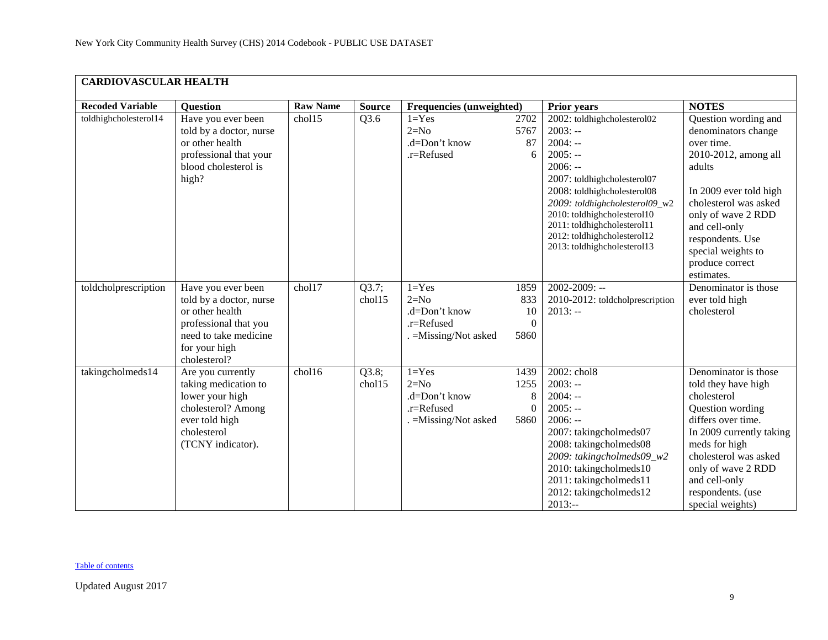| <b>CARDIOVASCULAR HEALTH</b> |                                                                                                                                                     |                 |                 |                                                                             |                                       |                                                                                                                                                                                                                                                                                                             |                                                                                                                                                                                                                                                                  |  |  |  |
|------------------------------|-----------------------------------------------------------------------------------------------------------------------------------------------------|-----------------|-----------------|-----------------------------------------------------------------------------|---------------------------------------|-------------------------------------------------------------------------------------------------------------------------------------------------------------------------------------------------------------------------------------------------------------------------------------------------------------|------------------------------------------------------------------------------------------------------------------------------------------------------------------------------------------------------------------------------------------------------------------|--|--|--|
| <b>Recoded Variable</b>      | <b>Question</b>                                                                                                                                     | <b>Raw Name</b> | <b>Source</b>   | <b>Frequencies (unweighted)</b>                                             |                                       | <b>Prior years</b>                                                                                                                                                                                                                                                                                          | <b>NOTES</b>                                                                                                                                                                                                                                                     |  |  |  |
| toldhighcholesterol14        | Have you ever been<br>told by a doctor, nurse<br>or other health<br>professional that your<br>blood cholesterol is<br>high?                         | chol15          | Q3.6            | $1 = Yes$<br>$2=N0$<br>.d=Don't know<br>.r=Refused                          | 2702<br>5767<br>87<br>6               | 2002: toldhighcholesterol02<br>$2003: -$<br>$2004: -$<br>$2005: -$<br>$2006: -$<br>2007: toldhighcholesterol07<br>2008: toldhighcholesterol08<br>2009: toldhighcholesterol09_w2<br>2010: toldhighcholesterol10<br>2011: toldhighcholesterol11<br>2012: toldhighcholesterol12<br>2013: toldhighcholesterol13 | Question wording and<br>denominators change<br>over time.<br>2010-2012, among all<br>adults<br>In 2009 ever told high<br>cholesterol was asked<br>only of wave 2 RDD<br>and cell-only<br>respondents. Use<br>special weights to<br>produce correct<br>estimates. |  |  |  |
| toldcholprescription         | Have you ever been<br>told by a doctor, nurse<br>or other health<br>professional that you<br>need to take medicine<br>for your high<br>cholesterol? | chol17          | Q3.7;<br>chol15 | $1 = Yes$<br>$2=N0$<br>.d=Don't know<br>.r=Refused<br>. = Missing/Not asked | 1859<br>833<br>10<br>$\Omega$<br>5860 | $2002 - 2009$ : --<br>2010-2012: toldcholprescription<br>$2013: -$                                                                                                                                                                                                                                          | Denominator is those<br>ever told high<br>cholesterol                                                                                                                                                                                                            |  |  |  |
| takingcholmeds14             | Are you currently<br>taking medication to<br>lower your high<br>cholesterol? Among<br>ever told high<br>cholesterol<br>(TCNY indicator).            | chol16          | Q3.8;<br>chol15 | $1 = Yes$<br>$2=N0$<br>.d=Don't know<br>.r=Refused<br>. = Missing/Not asked | 1439<br>1255<br>8<br>$\theta$<br>5860 | 2002: chol8<br>$2003: -$<br>$2004: -$<br>$2005: -$<br>$2006: -$<br>2007: takingcholmeds07<br>2008: takingcholmeds08<br>2009: takingcholmeds09_w2<br>2010: takingcholmeds10<br>2011: takingcholmeds11<br>2012: takingcholmeds12<br>$2013: -$                                                                 | Denominator is those<br>told they have high<br>cholesterol<br>Question wording<br>differs over time.<br>In 2009 currently taking<br>meds for high<br>cholesterol was asked<br>only of wave 2 RDD<br>and cell-only<br>respondents. (use<br>special weights)       |  |  |  |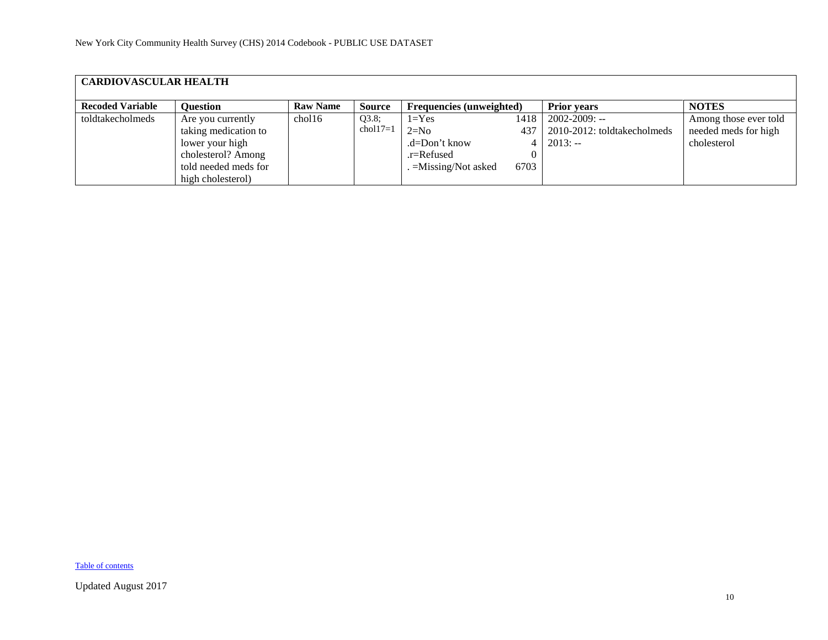| <b>CARDIOVASCULAR HEALTH</b> |                      |                 |            |                                 |      |                             |                       |  |  |  |
|------------------------------|----------------------|-----------------|------------|---------------------------------|------|-----------------------------|-----------------------|--|--|--|
| <b>Recoded Variable</b>      | <b>Ouestion</b>      | <b>Raw Name</b> | Source     | <b>Frequencies</b> (unweighted) |      | <b>Prior years</b>          | <b>NOTES</b>          |  |  |  |
| toldtakecholmeds             | Are you currently    | chol16          | Q3.8;      | $1 = Yes$                       | 1418 | $2002 - 2009$ : --          | Among those ever told |  |  |  |
|                              | taking medication to |                 | $chol17=1$ | $2=N0$                          | 437  | 2010-2012: toldtakecholmeds | needed meds for high  |  |  |  |
|                              | lower your high      |                 |            | $d = Don't know$                |      | $2013: -$                   | cholesterol           |  |  |  |
|                              | cholesterol? Among   |                 |            | .r=Refused                      |      |                             |                       |  |  |  |
|                              | told needed meds for |                 |            | $=$ Missing/Not asked           | 6703 |                             |                       |  |  |  |
|                              | high cholesterol)    |                 |            |                                 |      |                             |                       |  |  |  |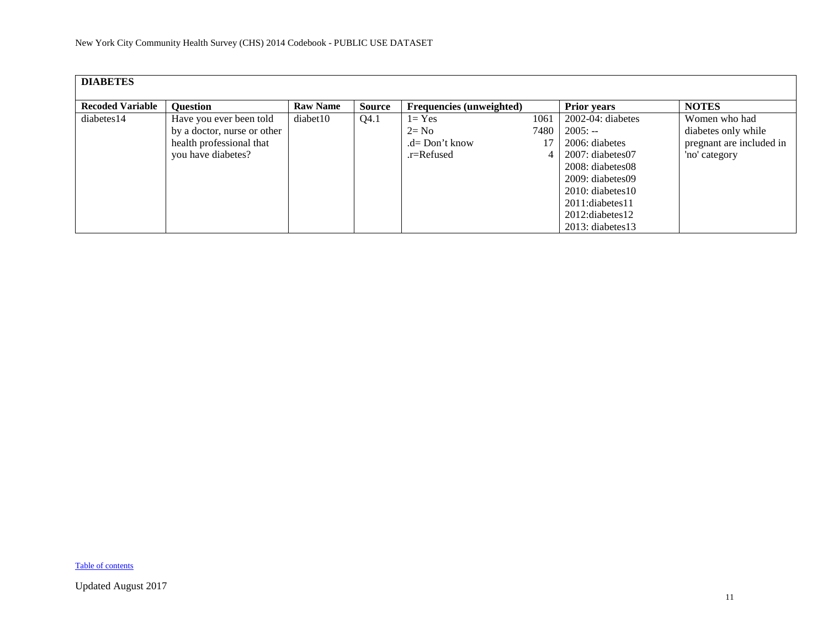<span id="page-10-0"></span>

| <b>DIABETES</b>         |                             |                 |               |                                 |      |                        |                          |
|-------------------------|-----------------------------|-----------------|---------------|---------------------------------|------|------------------------|--------------------------|
| <b>Recoded Variable</b> | <b>Ouestion</b>             | <b>Raw Name</b> | <b>Source</b> | <b>Frequencies (unweighted)</b> |      | <b>Prior years</b>     | <b>NOTES</b>             |
| diabetes14              | Have you ever been told     | diabet10        | Q4.1          | $1 = Yes$                       | 1061 | $2002-04$ : diabetes   | Women who had            |
|                         | by a doctor, nurse or other |                 |               | $2 = No$                        | 7480 | $2005: -$              | diabetes only while      |
|                         | health professional that    |                 |               | $.d=$ Don't know                |      | 2006: diabetes         | pregnant are included in |
|                         | you have diabetes?          |                 |               | $.r =$ Refused                  | 4    | $2007$ : diabetes $07$ | 'no' category            |
|                         |                             |                 |               |                                 |      | 2008: diabetes08       |                          |
|                         |                             |                 |               |                                 |      | 2009: diabetes09       |                          |
|                         |                             |                 |               |                                 |      | $2010$ : diabetes 10   |                          |
|                         |                             |                 |               |                                 |      | 2011:diabetes11        |                          |
|                         |                             |                 |               |                                 |      | $2012$ : diabetes 12   |                          |
|                         |                             |                 |               |                                 |      | $2013$ : diabetes 13   |                          |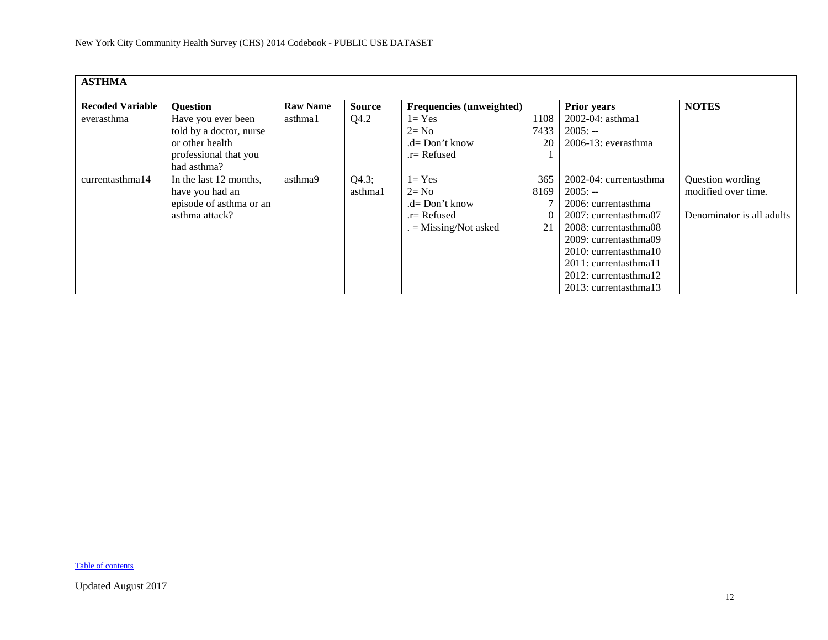<span id="page-11-0"></span>

| <b>ASTHMA</b>           |                         |                 |               |                                 |      |                        |                           |
|-------------------------|-------------------------|-----------------|---------------|---------------------------------|------|------------------------|---------------------------|
| <b>Recoded Variable</b> | <b>Ouestion</b>         | <b>Raw Name</b> | <b>Source</b> | <b>Frequencies</b> (unweighted) |      | <b>Prior years</b>     | <b>NOTES</b>              |
| everasthma              | Have you ever been      | asthma1         | Q4.2          | $1 = Yes$                       | 1108 | $2002 - 04$ : asthma1  |                           |
|                         | told by a doctor, nurse |                 |               | $2 = No$                        | 7433 | $2005: -$              |                           |
|                         | or other health         |                 |               | .d= Don't know                  | 20   | $2006-13$ : everasthma |                           |
|                         | professional that you   |                 |               | .r= Refused                     |      |                        |                           |
|                         | had asthma?             |                 |               |                                 |      |                        |                           |
| currentasthma14         | In the last 12 months,  | asthma9         | Q4.3;         | $1 = Yes$                       | 365  | 2002-04: currentasthma | Question wording          |
|                         | have you had an         |                 | asthma1       | $2 = No$                        | 8169 | $2005: -$              | modified over time.       |
|                         | episode of asthma or an |                 |               | $.d = Don't know$               |      | 2006: currentasthma    |                           |
|                         | asthma attack?          |                 |               | .r= Refused                     |      | 2007: currentasthma07  | Denominator is all adults |
|                         |                         |                 |               | $=$ Missing/Not asked           | 21   | 2008: currentasthma08  |                           |
|                         |                         |                 |               |                                 |      | 2009: currentasthma09  |                           |
|                         |                         |                 |               |                                 |      | 2010: currentasthma10  |                           |
|                         |                         |                 |               |                                 |      | 2011: currentasthma11  |                           |
|                         |                         |                 |               |                                 |      | 2012: currentasthma12  |                           |
|                         |                         |                 |               |                                 |      | 2013: currentasthma13  |                           |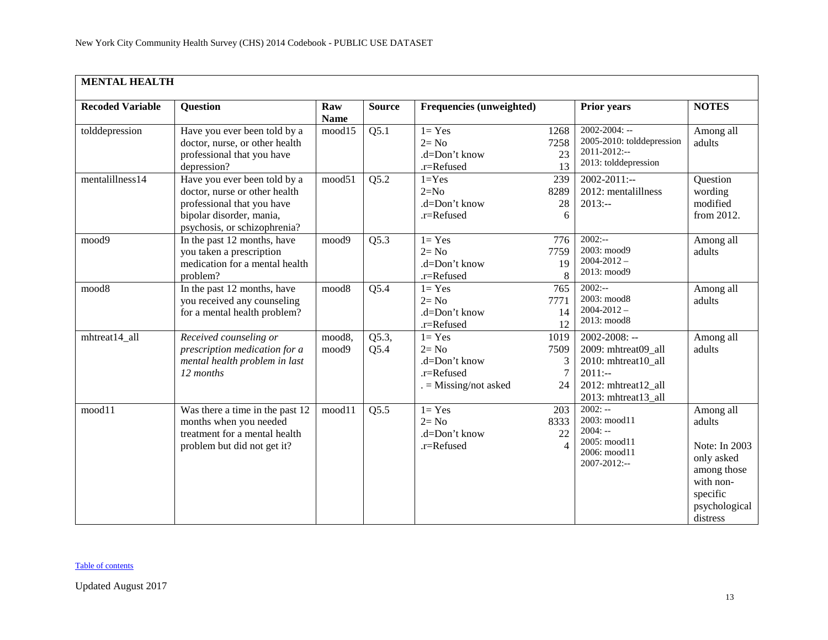<span id="page-12-0"></span>

| <b>MENTAL HEALTH</b>    |                                                                                                                                                         |                    |                   |                                                                               |                              |                                                                                                                       |                                                                                                                         |
|-------------------------|---------------------------------------------------------------------------------------------------------------------------------------------------------|--------------------|-------------------|-------------------------------------------------------------------------------|------------------------------|-----------------------------------------------------------------------------------------------------------------------|-------------------------------------------------------------------------------------------------------------------------|
| <b>Recoded Variable</b> | <b>Question</b>                                                                                                                                         | Raw<br><b>Name</b> | <b>Source</b>     | Frequencies (unweighted)                                                      |                              | <b>Prior years</b>                                                                                                    | <b>NOTES</b>                                                                                                            |
| tolddepression          | Have you ever been told by a<br>doctor, nurse, or other health<br>professional that you have<br>depression?                                             | mood15             | $\overline{Q5.1}$ | $1 = Yes$<br>$2 = No$<br>.d=Don't know<br>.r=Refused                          | 1268<br>7258<br>23<br>13     | $2002 - 2004$ : --<br>2005-2010: tolddepression<br>$2011 - 2012$ :--<br>2013: tolddepression                          | Among all<br>adults                                                                                                     |
| mentalillness14         | Have you ever been told by a<br>doctor, nurse or other health<br>professional that you have<br>bipolar disorder, mania,<br>psychosis, or schizophrenia? | mood51             | Q5.2              | $1 = Yes$<br>$2=N0$<br>.d=Don't know<br>.r=Refused                            | 239<br>8289<br>28<br>6       | $2002 - 2011$ :--<br>2012: mentalillness<br>$2013: -$                                                                 | Question<br>wording<br>modified<br>from 2012.                                                                           |
| mood9                   | In the past 12 months, have<br>you taken a prescription<br>medication for a mental health<br>problem?                                                   | mood9              | $\overline{Q5.3}$ | $1 = Yes$<br>$2 = No$<br>.d=Don't know<br>.r=Refused                          | 776<br>7759<br>19<br>8       | $2002:-$<br>2003: mood9<br>$2004 - 2012 -$<br>2013: mood9                                                             | Among all<br>adults                                                                                                     |
| mood8                   | In the past $12$ months, have<br>you received any counseling<br>for a mental health problem?                                                            | mood <sub>8</sub>  | $\overline{Q5.4}$ | $1 = Yes$<br>$2 = No$<br>.d=Don't know<br>.r=Refused                          | 765<br>7771<br>14<br>12      | $2002:-$<br>2003: mood8<br>$2004 - 2012 -$<br>2013: mood8                                                             | Among all<br>adults                                                                                                     |
| mhtreat14_all           | Received counseling or<br>prescription medication for a<br>mental health problem in last<br>12 months                                                   | mood8,<br>mood9    | Q5.3,<br>Q5.4     | $1 = Yes$<br>$2 = No$<br>.d=Don't know<br>.r=Refused<br>$=$ Missing/not asked | 1019<br>7509<br>3<br>7<br>24 | 2002-2008: --<br>2009: mhtreat09_all<br>2010: mhtreat10_all<br>$2011:-$<br>2012: mhtreat12_all<br>2013: mhtreat13_all | Among all<br>adults                                                                                                     |
| mood11                  | Was there a time in the past 12<br>months when you needed<br>treatment for a mental health<br>problem but did not get it?                               | mood11             | $\overline{Q5.5}$ | $1 = Yes$<br>$2 = No$<br>.d=Don't know<br>.r=Refused                          | 203<br>8333<br>22            | $2002: -$<br>2003: mood11<br>$2004: -$<br>2005: mood11<br>2006: mood11<br>2007-2012:--                                | Among all<br>adults<br>Note: In 2003<br>only asked<br>among those<br>with non-<br>specific<br>psychological<br>distress |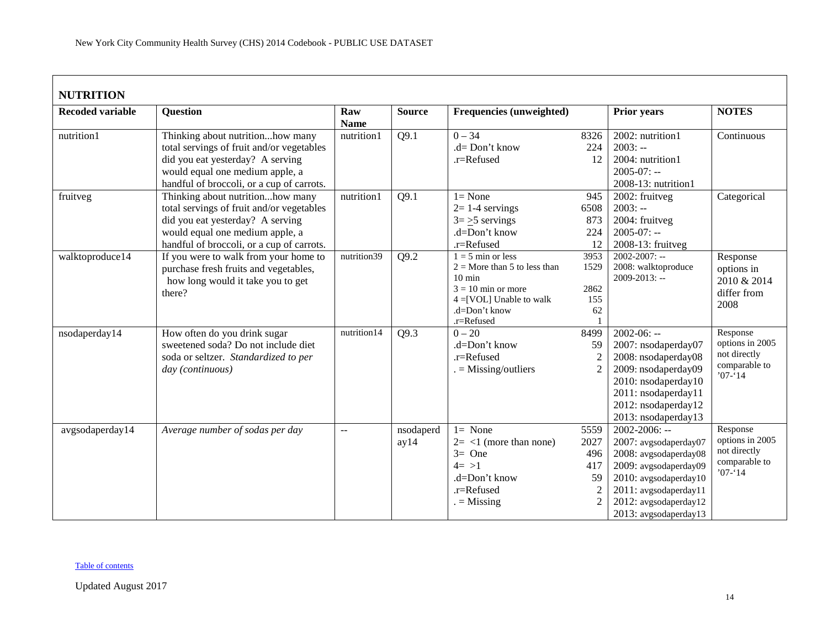<span id="page-13-0"></span>

| <b>NUTRITION</b>        |                                                                                                                                                                                                   |                    |                   |                                                                                                                                                                |                                                                      |                                                                                                                                                                                                   |                                                                            |
|-------------------------|---------------------------------------------------------------------------------------------------------------------------------------------------------------------------------------------------|--------------------|-------------------|----------------------------------------------------------------------------------------------------------------------------------------------------------------|----------------------------------------------------------------------|---------------------------------------------------------------------------------------------------------------------------------------------------------------------------------------------------|----------------------------------------------------------------------------|
| <b>Recoded variable</b> | <b>Question</b>                                                                                                                                                                                   | Raw<br><b>Name</b> | <b>Source</b>     | <b>Frequencies (unweighted)</b>                                                                                                                                |                                                                      | Prior years                                                                                                                                                                                       | <b>NOTES</b>                                                               |
| nutrition1              | Thinking about nutritionhow many<br>total servings of fruit and/or vegetables<br>did you eat yesterday? A serving<br>would equal one medium apple, a<br>handful of broccoli, or a cup of carrots. | nutrition1         | Q9.1              | $0 - 34$<br>.d= Don't know<br>.r=Refused                                                                                                                       | 8326<br>224<br>12                                                    | 2002: nutrition1<br>$2003: -$<br>2004: nutrition1<br>$2005 - 07: -$<br>2008-13: nutrition1                                                                                                        | Continuous                                                                 |
| fruitveg                | Thinking about nutritionhow many<br>total servings of fruit and/or vegetables<br>did you eat yesterday? A serving<br>would equal one medium apple, a<br>handful of broccoli, or a cup of carrots. | nutrition1         | Q9.1              | $l = None$<br>$2=1-4$ servings<br>$3 = 5$ servings<br>.d=Don't know<br>.r=Refused                                                                              | 945<br>6508<br>873<br>224<br>12                                      | 2002: fruitveg<br>$2003: -$<br>2004: fruitveg<br>$2005 - 07: -$<br>2008-13: fruitveg                                                                                                              | Categorical                                                                |
| walktoproduce14         | If you were to walk from your home to<br>purchase fresh fruits and vegetables,<br>how long would it take you to get<br>there?                                                                     | nutrition39        | Q9.2              | $1 = 5$ min or less<br>$2 =$ More than 5 to less than<br>$10 \text{ min}$<br>$3 = 10$ min or more<br>$4 = [VOL]$ Unable to walk<br>.d=Don't know<br>.r=Refused | 3953<br>1529<br>2862<br>155<br>62                                    | $2002 - 2007$ : --<br>2008: walktoproduce<br>$2009 - 2013$ : --                                                                                                                                   | Response<br>options in<br>2010 & 2014<br>differ from<br>2008               |
| nsodaperday14           | How often do you drink sugar<br>sweetened soda? Do not include diet<br>soda or seltzer. Standardized to per<br>day (continuous)                                                                   | nutrition14        | Q9.3              | $0 - 20$<br>.d=Don't know<br>.r=Refused<br>$=$ Missing/outliers                                                                                                | 8499<br>59<br>$\overline{2}$<br>$\overline{2}$                       | $2002 - 06: -$<br>2007: nsodaperday07<br>2008: nsodaperday08<br>2009: nsodaperday09<br>2010: nsodaperday10<br>2011: nsodaperday11<br>2012: nsodaperday12<br>2013: nsodaperday13                   | Response<br>options in 2005<br>not directly<br>comparable to<br>$'07 - 14$ |
| avgsodaperday14         | Average number of sodas per day                                                                                                                                                                   | $\mathbf{u}$       | nsodaperd<br>ay14 | $l = None$<br>$2 = 1$ (more than none)<br>$3=$ One<br>$4 = >1$<br>.d=Don't know<br>.r=Refused<br>$=$ Missing                                                   | 5559<br>2027<br>496<br>417<br>59<br>$\overline{2}$<br>$\overline{2}$ | $2002 - 2006$ : --<br>2007: avgsodaperday07<br>2008: avgsodaperday08<br>2009: avgsodaperday09<br>2010: avgsodaperday10<br>2011: avgsodaperday11<br>2012: avgsodaperday12<br>2013: avgsodaperday13 | Response<br>options in 2005<br>not directly<br>comparable to<br>$'07 - 14$ |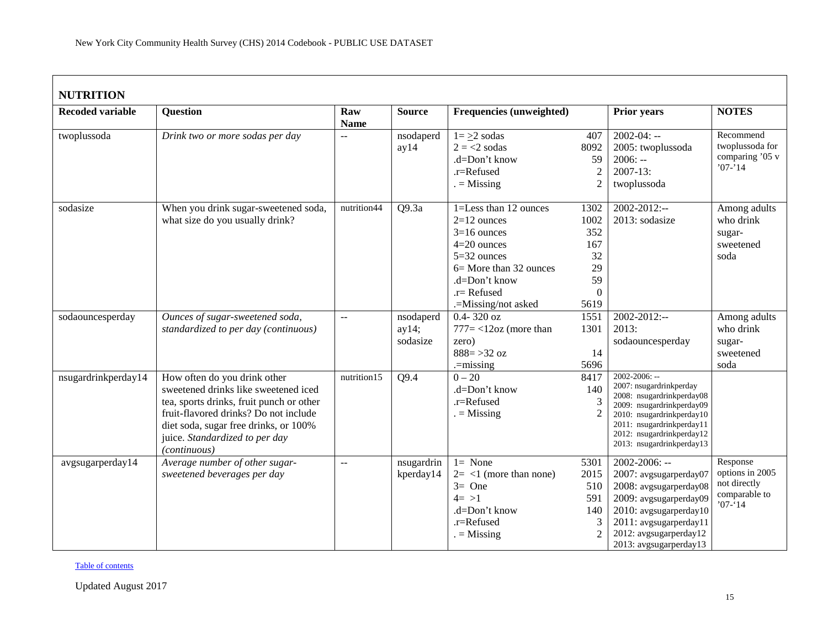| <b>NUTRITION</b>        |                                                                                                                                                                                                                                                             |                                               |                                |                                                                                                                                                                              |                                                                  |                                                                                                                                                                                                                             |                                                                            |
|-------------------------|-------------------------------------------------------------------------------------------------------------------------------------------------------------------------------------------------------------------------------------------------------------|-----------------------------------------------|--------------------------------|------------------------------------------------------------------------------------------------------------------------------------------------------------------------------|------------------------------------------------------------------|-----------------------------------------------------------------------------------------------------------------------------------------------------------------------------------------------------------------------------|----------------------------------------------------------------------------|
| <b>Recoded variable</b> | <b>Question</b>                                                                                                                                                                                                                                             | Raw<br><b>Name</b>                            | <b>Source</b>                  | Frequencies (unweighted)                                                                                                                                                     |                                                                  | <b>Prior years</b>                                                                                                                                                                                                          | <b>NOTES</b>                                                               |
| twoplussoda             | Drink two or more sodas per day                                                                                                                                                                                                                             | $\overline{a}$                                | nsodaperd<br>ay14              | $1 = \geq 2$ sodas<br>$2 = 2$ sodas<br>.d=Don't know<br>.r=Refused<br>$=$ Missing                                                                                            | 407<br>8092<br>59<br>$\boldsymbol{2}$<br>$\overline{2}$          | $2002 - 04: -$<br>2005: twoplussoda<br>$2006: -$<br>$2007 - 13$ :<br>twoplussoda                                                                                                                                            | Recommend<br>twoplussoda for<br>comparing '05 v<br>$'07 - 14$              |
| sodasize                | When you drink sugar-sweetened soda,<br>what size do you usually drink?                                                                                                                                                                                     | nutrition44                                   | Q9.3a                          | 1=Less than 12 ounces<br>$2=12$ ounces<br>$3=16$ ounces<br>$4=20$ ounces<br>5=32 ounces<br>6 = More than 32 ounces<br>.d=Don't know<br>$.r =$ Refused<br>.=Missing/not asked | 1302<br>1002<br>352<br>167<br>32<br>29<br>59<br>$\Omega$<br>5619 | $2002 - 2012$ :--<br>2013: sodasize                                                                                                                                                                                         | Among adults<br>who drink<br>sugar-<br>sweetened<br>soda                   |
| sodaouncesperday        | Ounces of sugar-sweetened soda,<br>standardized to per day (continuous)                                                                                                                                                                                     | $\mathbb{L}^{\mathbb{L}}$                     | nsodaperd<br>ay14;<br>sodasize | $0.4 - 320$ oz<br>$777 = < 12oz$ (more than<br>zero)<br>$888 = 32 oz$<br>$=$ missing                                                                                         | 1551<br>1301<br>14<br>5696                                       | 2002-2012:--<br>2013:<br>sodaouncesperday                                                                                                                                                                                   | Among adults<br>who drink<br>sugar-<br>sweetened<br>soda                   |
| nsugardrinkperday14     | How often do you drink other<br>sweetened drinks like sweetened iced<br>tea, sports drinks, fruit punch or other<br>fruit-flavored drinks? Do not include<br>diet soda, sugar free drinks, or 100%<br>juice. Standardized to per day<br><i>(continuous)</i> | nutrition15                                   | Q9.4                           | $0 - 20$<br>.d=Don't know<br>.r=Refused<br>$=$ Missing                                                                                                                       | 8417<br>140<br>3<br>$\mathcal{P}$                                | $2002 - 2006$ : --<br>2007: nsugardrinkperday<br>2008: nsugardrinkperday08<br>2009: nsugardrinkperday09<br>2010: nsugardrinkperday10<br>2011: nsugardrinkperday11<br>2012: nsugardrinkperday12<br>2013: nsugardrinkperday13 |                                                                            |
| avgsugarperday14        | Average number of other sugar-<br>sweetened beverages per day                                                                                                                                                                                               | $\mathord{\hspace{1pt}\text{--}\hspace{1pt}}$ | nsugardrin<br>kperday14        | $l = None$<br>$2 = 1$ (more than none)<br>$3=$ One<br>$4 = >1$<br>.d=Don't know<br>.r=Refused<br>$=$ Missing                                                                 | 5301<br>2015<br>510<br>591<br>140<br>3<br>$\mathfrak{D}$         | $2002 - 2006$ : --<br>2007: avgsugarperday07<br>2008: avgsugarperday08<br>2009: avgsugarperday09<br>2010: avgsugarperday10<br>2011: avgsugarperday11<br>2012: avgsugarperday12<br>2013: avgsugarperday13                    | Response<br>options in 2005<br>not directly<br>comparable to<br>$'07 - 14$ |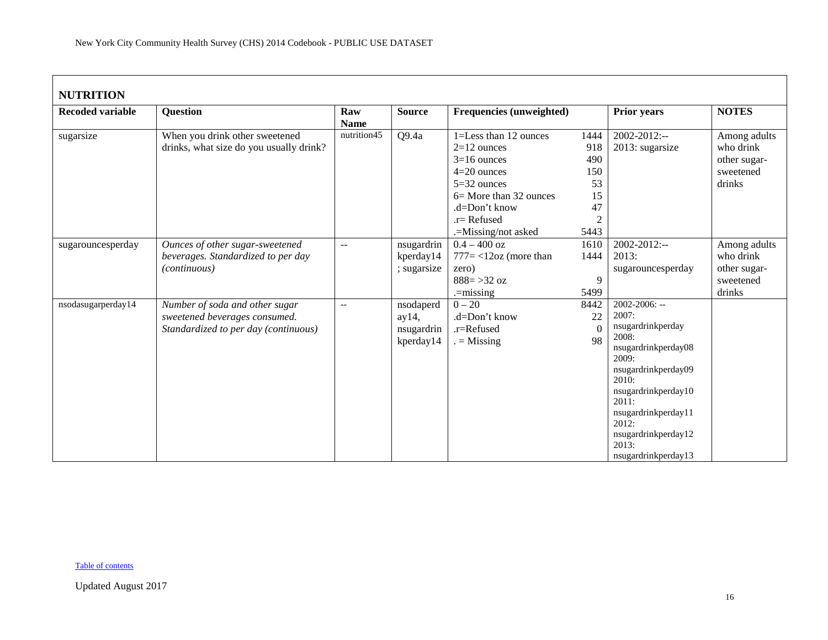| <b>NUTRITION</b>        |                                                                                                         |                           |                                               |                                                                                                                                                                                |                                                                       |                                                                                                                                                                                                                                             |                                                                  |  |  |  |
|-------------------------|---------------------------------------------------------------------------------------------------------|---------------------------|-----------------------------------------------|--------------------------------------------------------------------------------------------------------------------------------------------------------------------------------|-----------------------------------------------------------------------|---------------------------------------------------------------------------------------------------------------------------------------------------------------------------------------------------------------------------------------------|------------------------------------------------------------------|--|--|--|
| <b>Recoded variable</b> | <b>Question</b>                                                                                         | Raw<br><b>Name</b>        | <b>Source</b>                                 | <b>Frequencies (unweighted)</b>                                                                                                                                                |                                                                       | <b>Prior years</b>                                                                                                                                                                                                                          | <b>NOTES</b>                                                     |  |  |  |
| sugarsize               | When you drink other sweetened<br>drinks, what size do you usually drink?                               | nutrition $4\overline{5}$ | Q9.4a                                         | 1=Less than 12 ounces<br>$2=12$ ounces<br>$3=16$ ounces<br>$4=20$ ounces<br>$5=32$ ounces<br>6 = More than 32 ounces<br>.d=Don't know<br>$.r =$ Refused<br>.=Missing/not asked | 1444<br>918<br>490<br>150<br>53<br>15<br>47<br>$\overline{c}$<br>5443 | $2002 - 2012$ :--<br>2013: sugarsize                                                                                                                                                                                                        | Among adults<br>who drink<br>other sugar-<br>sweetened<br>drinks |  |  |  |
| sugarouncesperday       | Ounces of other sugar-sweetened<br>beverages. Standardized to per day<br>(continuous)                   | $\overline{\phantom{a}}$  | nsugardrin<br>kperday14<br>; sugarsize        | $0.4 - 400$ oz<br>$777 = < 12oz$ (more than<br>zero)<br>$888 = > 32$ oz<br>$=$ missing                                                                                         | 1610<br>1444<br>9<br>5499                                             | $2002 - 2012$ :--<br>2013:<br>sugarouncesperday                                                                                                                                                                                             | Among adults<br>who drink<br>other sugar-<br>sweetened<br>drinks |  |  |  |
| nsodasugarperday14      | Number of soda and other sugar<br>sweetened beverages consumed.<br>Standardized to per day (continuous) | $-$                       | nsodaperd<br>ay14,<br>nsugardrin<br>kperday14 | $0 - 20$<br>.d=Don't know<br>.r=Refused<br>$=$ Missing                                                                                                                         | 8442<br>22<br>$\theta$<br>98                                          | 2002-2006: --<br>2007:<br>nsugardrinkperday<br>2008:<br>nsugardrinkperday08<br>2009:<br>nsugardrinkperday09<br>2010:<br>nsugardrinkperday10<br>2011:<br>nsugardrinkperday11<br>2012:<br>nsugardrinkperday12<br>2013:<br>nsugardrinkperday13 |                                                                  |  |  |  |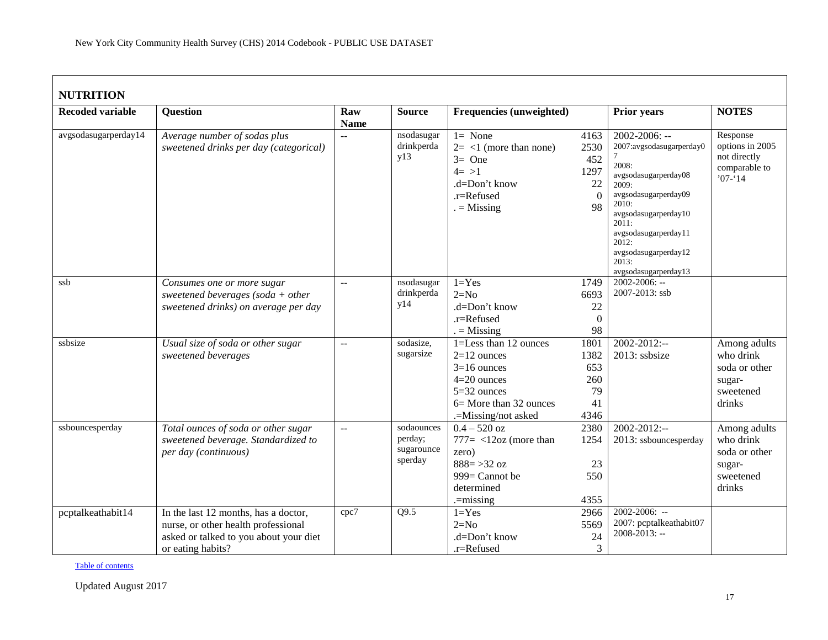# **NUTRITION**

| NUTRITION               |                                                                        |                          |                                 |                                                                                                               |                                                     |                                                                                                                                                                                                                                                      |                                                                            |
|-------------------------|------------------------------------------------------------------------|--------------------------|---------------------------------|---------------------------------------------------------------------------------------------------------------|-----------------------------------------------------|------------------------------------------------------------------------------------------------------------------------------------------------------------------------------------------------------------------------------------------------------|----------------------------------------------------------------------------|
| <b>Recoded variable</b> | <b>Question</b>                                                        | Raw                      | <b>Source</b>                   | <b>Frequencies (unweighted)</b>                                                                               |                                                     | <b>Prior years</b>                                                                                                                                                                                                                                   | <b>NOTES</b>                                                               |
|                         |                                                                        | <b>Name</b>              |                                 |                                                                                                               |                                                     |                                                                                                                                                                                                                                                      |                                                                            |
| avgsodasugarperday14    | Average number of sodas plus<br>sweetened drinks per day (categorical) | $\overline{a}$           | nsodasugar<br>drinkperda<br>y13 | $1 = None$<br>$2 = 1$ (more than none)<br>$3=$ One<br>$4 = >1$<br>$d=Don't know$<br>.r=Refused<br>$=$ Missing | 4163<br>2530<br>452<br>1297<br>22<br>$\Omega$<br>98 | $2002 - 2006$ : --<br>2007:avgsodasugarperday0<br>2008:<br>avgsodasugarperday08<br>2009:<br>avgsodasugarperday09<br>2010:<br>avgsodasugarperday10<br>2011:<br>avgsodasugarperday11<br>2012:<br>avgsodasugarperday12<br>2013:<br>avgsodasugarperday13 | Response<br>options in 2005<br>not directly<br>comparable to<br>$'07 - 14$ |
| ssb                     | Consumes one or more sugar                                             | $\overline{a}$           | nsodasugar                      | $1 = Yes$                                                                                                     | 1749                                                | $2002 - 2006$ : --                                                                                                                                                                                                                                   |                                                                            |
|                         | sweetened beverages (soda + other                                      |                          | drinkperda                      | $2=N0$                                                                                                        | 6693                                                | 2007-2013: ssb                                                                                                                                                                                                                                       |                                                                            |
|                         | sweetened drinks) on average per day                                   |                          | y14                             | .d=Don't know                                                                                                 | 22                                                  |                                                                                                                                                                                                                                                      |                                                                            |
|                         |                                                                        |                          |                                 | .r=Refused                                                                                                    | $\mathbf{0}$                                        |                                                                                                                                                                                                                                                      |                                                                            |
|                         |                                                                        |                          |                                 | $=$ Missing                                                                                                   | 98                                                  |                                                                                                                                                                                                                                                      |                                                                            |
| ssbsize                 | Usual size of soda or other sugar                                      | $\overline{\phantom{a}}$ | sodasize,                       | 1=Less than 12 ounces                                                                                         | 1801                                                | $2002 - 2012$ :--                                                                                                                                                                                                                                    | Among adults                                                               |
|                         | sweetened beverages                                                    |                          | sugarsize                       | $2=12$ ounces                                                                                                 | 1382                                                | 2013: ssbsize                                                                                                                                                                                                                                        | who drink                                                                  |
|                         |                                                                        |                          |                                 | $3=16$ ounces                                                                                                 | 653                                                 |                                                                                                                                                                                                                                                      | soda or other                                                              |
|                         |                                                                        |                          |                                 | $4=20$ ounces                                                                                                 | 260                                                 |                                                                                                                                                                                                                                                      | sugar-                                                                     |
|                         |                                                                        |                          |                                 | $5=32$ ounces                                                                                                 | 79                                                  |                                                                                                                                                                                                                                                      | sweetened                                                                  |
|                         |                                                                        |                          |                                 | 6 = More than 32 ounces                                                                                       | 41                                                  |                                                                                                                                                                                                                                                      | drinks                                                                     |
|                         |                                                                        |                          |                                 | .=Missing/not asked                                                                                           | 4346                                                |                                                                                                                                                                                                                                                      |                                                                            |
| ssbouncesperday         | Total ounces of soda or other sugar                                    | $\mathbb{L} \mathbb{L}$  | sodaounces                      | $0.4 - 520$ oz                                                                                                | 2380                                                | $2002 - 2012$ :--                                                                                                                                                                                                                                    | Among adults                                                               |
|                         | sweetened beverage. Standardized to                                    |                          | perday;                         | $777 = <12oz$ (more than                                                                                      | 1254                                                | 2013: ssbouncesperday                                                                                                                                                                                                                                | who drink                                                                  |
|                         | per day (continuous)                                                   |                          | sugarounce                      | zero)                                                                                                         |                                                     |                                                                                                                                                                                                                                                      | soda or other                                                              |
|                         |                                                                        |                          | sperday                         | $888 = 32 oz$                                                                                                 | 23                                                  |                                                                                                                                                                                                                                                      | sugar-                                                                     |
|                         |                                                                        |                          |                                 | 999= Cannot be                                                                                                | 550                                                 |                                                                                                                                                                                                                                                      | sweetened                                                                  |
|                         |                                                                        |                          |                                 | determined                                                                                                    |                                                     |                                                                                                                                                                                                                                                      | drinks                                                                     |
|                         |                                                                        |                          |                                 | $=$ missing                                                                                                   | 4355                                                |                                                                                                                                                                                                                                                      |                                                                            |
| pcptalkeathabit14       | In the last 12 months, has a doctor,                                   | cpc7                     | Q9.5                            | $1 = Yes$                                                                                                     | 2966                                                | $2002 - 2006$ : --                                                                                                                                                                                                                                   |                                                                            |
|                         | nurse, or other health professional                                    |                          |                                 | $2=N0$                                                                                                        | 5569                                                | 2007: pcptalkeathabit07                                                                                                                                                                                                                              |                                                                            |
|                         | asked or talked to you about your diet                                 |                          |                                 | .d=Don't know                                                                                                 | 24                                                  | $2008 - 2013$ : --                                                                                                                                                                                                                                   |                                                                            |
|                         | or eating habits?                                                      |                          |                                 | .r=Refused                                                                                                    | 3                                                   |                                                                                                                                                                                                                                                      |                                                                            |

[Table of contents](#page-0-0)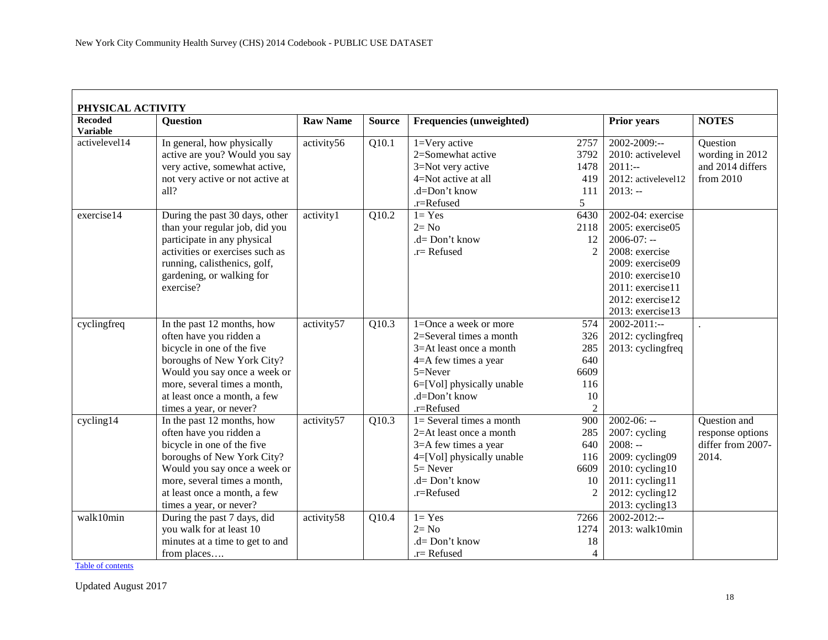<span id="page-17-0"></span>

| PHYSICAL ACTIVITY                 |                                                     |                 |                    |                             |                        |                     |                   |
|-----------------------------------|-----------------------------------------------------|-----------------|--------------------|-----------------------------|------------------------|---------------------|-------------------|
| <b>Recoded</b><br><b>Variable</b> | <b>Question</b>                                     | <b>Raw Name</b> | <b>Source</b>      | Frequencies (unweighted)    |                        | <b>Prior years</b>  | <b>NOTES</b>      |
| activelevel14                     | In general, how physically                          | activity56      | Q10.1              | 1=Very active               | 2757                   | 2002-2009:--        | Question          |
|                                   | active are you? Would you say                       |                 |                    | 2=Somewhat active           | 3792                   | 2010: activelevel   | wording in 2012   |
|                                   | very active, somewhat active,                       |                 |                    | 3=Not very active           | 1478                   | $2011:-$            | and 2014 differs  |
|                                   | not very active or not active at                    |                 |                    | 4=Not active at all         | 419                    | 2012: activelevel12 | from 2010         |
|                                   | all?                                                |                 |                    | .d=Don't know               | 111                    | $2013: -$           |                   |
|                                   |                                                     |                 |                    | .r=Refused                  | 5                      |                     |                   |
| exercise14                        | During the past $30 \overline{\text{days}}$ , other | activity1       | Q10.2              | $1 = Yes$                   | 6430                   | 2002-04: exercise   |                   |
|                                   | than your regular job, did you                      |                 |                    | $2 = No$                    | 2118                   | 2005: exercise05    |                   |
|                                   | participate in any physical                         |                 |                    | $.d = Don't know$           | 12                     | $2006-07: -$        |                   |
|                                   | activities or exercises such as                     |                 |                    | $.r =$ Refused              | $\mathcal{D}_{\alpha}$ | 2008: exercise      |                   |
|                                   | running, calisthenics, golf,                        |                 |                    |                             |                        | 2009: exercise09    |                   |
|                                   | gardening, or walking for                           |                 |                    |                             |                        | 2010: exercise10    |                   |
|                                   | exercise?                                           |                 |                    |                             |                        | 2011: exercise11    |                   |
|                                   |                                                     |                 |                    |                             |                        | 2012: exercise12    |                   |
|                                   |                                                     |                 |                    |                             |                        | 2013: exercise13    |                   |
| cyclingfreq                       | In the past 12 months, how                          | activity57      | Q10.3              | 1=Once a week or more       | 574                    | 2002-2011:--        |                   |
|                                   | often have you ridden a                             |                 |                    | 2=Several times a month     | 326                    | 2012: cyclingfreq   |                   |
|                                   | bicycle in one of the five                          |                 |                    | 3=At least once a month     | 285                    | 2013: cyclingfreq   |                   |
|                                   | boroughs of New York City?                          |                 |                    | 4=A few times a year        | 640                    |                     |                   |
|                                   | Would you say once a week or                        |                 |                    | 5=Never                     | 6609                   |                     |                   |
|                                   | more, several times a month,                        |                 |                    | 6=[Vol] physically unable   | 116                    |                     |                   |
|                                   | at least once a month, a few                        |                 |                    | .d=Don't know               | 10                     |                     |                   |
|                                   | times a year, or never?                             |                 |                    | .r=Refused                  |                        |                     |                   |
| cycling14                         | In the past 12 months, how                          | activity57      | Q10.3              | $1 =$ Several times a month | 900                    | $2002 - 06: -$      | Question and      |
|                                   | often have you ridden a                             |                 |                    | $2=At$ least once a month   | 285                    | 2007: cycling       | response options  |
|                                   | bicycle in one of the five                          |                 |                    | 3=A few times a year        | 640                    | $2008: -$           | differ from 2007- |
|                                   | boroughs of New York City?                          |                 |                    | 4=[Vol] physically unable   | 116                    | 2009: cycling09     | 2014.             |
|                                   | Would you say once a week or                        |                 |                    | $5 =$ Never                 | 6609                   | 2010: cycling10     |                   |
|                                   | more, several times a month,                        |                 |                    | $.d = Don't know$           | 10                     | $2011$ : cycling11  |                   |
|                                   | at least once a month, a few                        |                 |                    | .r=Refused                  | $\mathfrak{D}$         | 2012: cycling12     |                   |
|                                   | times a year, or never?                             |                 |                    |                             |                        | 2013: cycling13     |                   |
| walk10min                         | During the past 7 days, did                         | activity58      | $\overline{Q10.4}$ | $1 = Yes$                   | 7266                   | $2002 - 2012$ :--   |                   |
|                                   | you walk for at least 10                            |                 |                    | $2 = No$                    | 1274                   | 2013: walk10min     |                   |
|                                   | minutes at a time to get to and                     |                 |                    | .d= Don't know              | 18                     |                     |                   |
|                                   | from places                                         |                 |                    | $.r =$ Refused              | 4                      |                     |                   |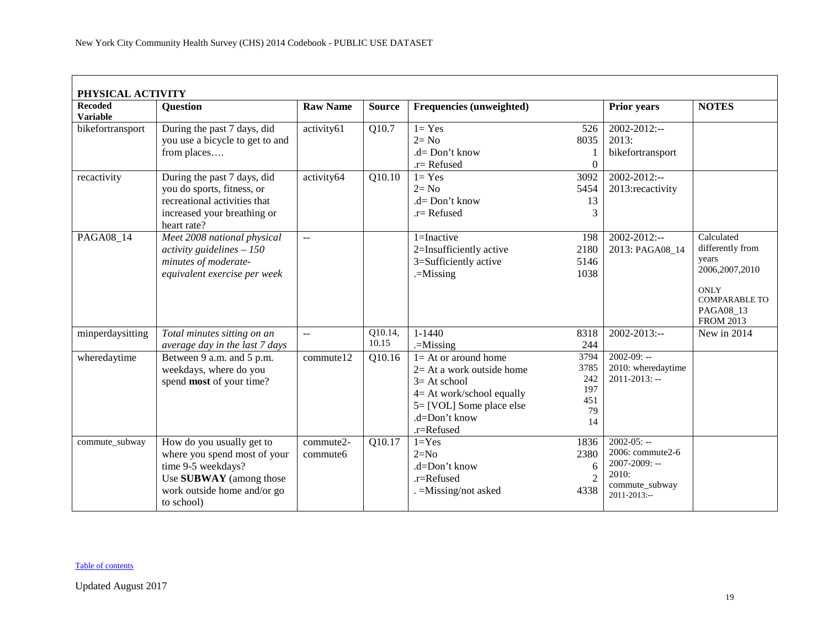| PHYSICAL ACTIVITY                 |                                                                                                                                                         |                       |                  |                                                                                                                                                                 |                                               |                                                                                                   |                                                                                                                                     |
|-----------------------------------|---------------------------------------------------------------------------------------------------------------------------------------------------------|-----------------------|------------------|-----------------------------------------------------------------------------------------------------------------------------------------------------------------|-----------------------------------------------|---------------------------------------------------------------------------------------------------|-------------------------------------------------------------------------------------------------------------------------------------|
| <b>Recoded</b><br><b>Variable</b> | <b>Ouestion</b>                                                                                                                                         | <b>Raw Name</b>       | <b>Source</b>    | <b>Frequencies (unweighted)</b>                                                                                                                                 |                                               | <b>Prior years</b>                                                                                | <b>NOTES</b>                                                                                                                        |
| bikefortransport                  | During the past 7 days, did<br>you use a bicycle to get to and<br>from places                                                                           | activity61            | Q10.7            | $l = Yes$<br>$2 = No$<br>$.d = Don't know$<br>$r =$ Refused                                                                                                     | 526<br>8035<br>$\Omega$                       | $2002 - 2012$ :--<br>2013:<br>bikefortransport                                                    |                                                                                                                                     |
| recactivity                       | During the past 7 days, did<br>you do sports, fitness, or<br>recreational activities that<br>increased your breathing or<br>heart rate?                 | activity64            | Q10.10           | $1 = Yes$<br>$2 = No$<br>$.d = Don't know$<br>$r =$ Refused                                                                                                     | 3092<br>5454<br>13<br>3                       | $2002 - 2012$ :--<br>2013:recactivity                                                             |                                                                                                                                     |
| PAGA08 14                         | Meet 2008 national physical<br>activity guidelines $-150$<br>minutes of moderate-<br>equivalent exercise per week                                       | $\overline{a}$        |                  | $1 = Inactive$<br>2=Insufficiently active<br>3=Sufficiently active<br>$=$ Missing                                                                               | 198<br>2180<br>5146<br>1038                   | $2002 - 2012$ :--<br>2013: PAGA08_14                                                              | Calculated<br>differently from<br>years<br>2006, 2007, 2010<br><b>ONLY</b><br><b>COMPARABLE TO</b><br>PAGA08_13<br><b>FROM 2013</b> |
| minperdaysitting                  | Total minutes sitting on an<br>average day in the last 7 days                                                                                           | $\overline{a}$        | Q10.14,<br>10.15 | $1 - 1440$<br>$=$ Missing                                                                                                                                       | 8318<br>244                                   | 2002-2013:--                                                                                      | New in $2014$                                                                                                                       |
| wheredaytime                      | Between 9 a.m. and 5 p.m.<br>weekdays, where do you<br>spend most of your time?                                                                         | commute12             | Q10.16           | $1 = At$ or around home<br>$2=$ At a work outside home<br>$3=At$ school<br>4= At work/school equally<br>5= [VOL] Some place else<br>.d=Don't know<br>.r=Refused | 3794<br>3785<br>242<br>197<br>451<br>79<br>14 | $2002-09: -$<br>2010: wheredaytime<br>$2011 - 2013$ : --                                          |                                                                                                                                     |
| commute_subway                    | How do you usually get to<br>where you spend most of your<br>time 9-5 weekdays?<br>Use SUBWAY (among those<br>work outside home and/or go<br>to school) | commute2-<br>commute6 | Q10.17           | $1 = Yes$<br>$2=N0$<br>.d=Don't know<br>$.r =$ Refused<br>$=$ Missing/not asked                                                                                 | 1836<br>2380<br>6<br>2<br>4338                | $2002-05: -$<br>2006: commute2-6<br>2007-2009: --<br>2010:<br>commute_subway<br>$2011 - 2013$ :-- |                                                                                                                                     |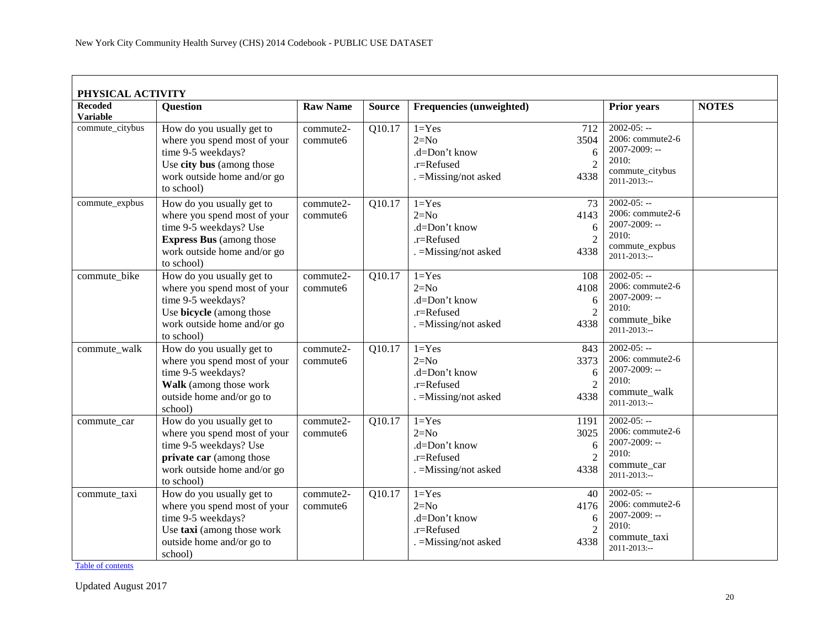| PHYSICAL ACTIVITY                 |                                                                                                                                                                     |                       |               |                                                                             |                                             |                                                                                                           |              |
|-----------------------------------|---------------------------------------------------------------------------------------------------------------------------------------------------------------------|-----------------------|---------------|-----------------------------------------------------------------------------|---------------------------------------------|-----------------------------------------------------------------------------------------------------------|--------------|
| <b>Recoded</b><br><b>Variable</b> | <b>Question</b>                                                                                                                                                     | <b>Raw Name</b>       | <b>Source</b> | Frequencies (unweighted)                                                    |                                             | <b>Prior years</b>                                                                                        | <b>NOTES</b> |
| commute_citybus                   | How do you usually get to<br>where you spend most of your<br>time 9-5 weekdays?<br>Use city bus (among those<br>work outside home and/or go<br>to school)           | commute2-<br>commute6 | Q10.17        | $1 = Yes$<br>$2=N0$<br>.d=Don't know<br>.r=Refused<br>. = Missing/not asked | 712<br>3504<br>6<br>$\overline{2}$<br>4338  | $2002 - 05: -$<br>2006: commute2-6<br>$2007 - 2009$ : --<br>2010:<br>commute_citybus<br>$2011 - 2013$ :-- |              |
| commute_expbus                    | How do you usually get to<br>where you spend most of your<br>time 9-5 weekdays? Use<br><b>Express Bus</b> (among those<br>work outside home and/or go<br>to school) | commute2-<br>commute6 | Q10.17        | $1 = Yes$<br>$2=N0$<br>.d=Don't know<br>.r=Refused<br>. = Missing/not asked | 73<br>4143<br>6<br>$\overline{2}$<br>4338   | $2002 - 05: -$<br>2006: commute2-6<br>2007-2009: --<br>2010:<br>commute_expbus<br>$2011 - 2013$ :--       |              |
| commute_bike                      | How do you usually get to<br>where you spend most of your<br>time 9-5 weekdays?<br>Use bicycle (among those<br>work outside home and/or go<br>to school)            | commute2-<br>commute6 | Q10.17        | $1 = Yes$<br>$2=N0$<br>.d=Don't know<br>.r=Refused<br>. = Missing/not asked | 108<br>4108<br>6<br>$\overline{2}$<br>4338  | $2002 - 05: -$<br>2006: commute2-6<br>2007-2009: --<br>2010:<br>commute_bike<br>2011-2013:--              |              |
| commute_walk                      | How do you usually get to<br>where you spend most of your<br>time 9-5 weekdays?<br>Walk (among those work<br>outside home and/or go to<br>school)                   | commute2-<br>commute6 | Q10.17        | $1 = Yes$<br>$2=N0$<br>.d=Don't know<br>.r=Refused<br>$=$ Missing/not asked | 843<br>3373<br>6<br>$\overline{2}$<br>4338  | $2002-05: -$<br>2006: commute2-6<br>2007-2009: --<br>2010:<br>commute_walk<br>2011-2013:--                |              |
| commute car                       | How do you usually get to<br>where you spend most of your<br>time 9-5 weekdays? Use<br>private car (among those<br>work outside home and/or go<br>to school)        | commute2-<br>commute6 | Q10.17        | $1 = Yes$<br>$2=N0$<br>.d=Don't know<br>.r=Refused<br>. = Missing/not asked | 1191<br>3025<br>6<br>$\overline{2}$<br>4338 | $2002 - 05: -$<br>2006: commute2-6<br>2007-2009: --<br>2010:<br>commute_car<br>$2011 - 2013$ :--          |              |
| commute_taxi                      | How do you usually get to<br>where you spend most of your<br>time 9-5 weekdays?<br>Use taxi (among those work<br>outside home and/or go to<br>school)               | commute2-<br>commute6 | Q10.17        | $1 = Yes$<br>$2=N0$<br>.d=Don't know<br>.r=Refused<br>. = Missing/not asked | 40<br>4176<br>6<br>$\overline{2}$<br>4338   | $2002 - 05: -$<br>2006: commute2-6<br>2007-2009: --<br>2010:<br>commute_taxi<br>2011-2013:--              |              |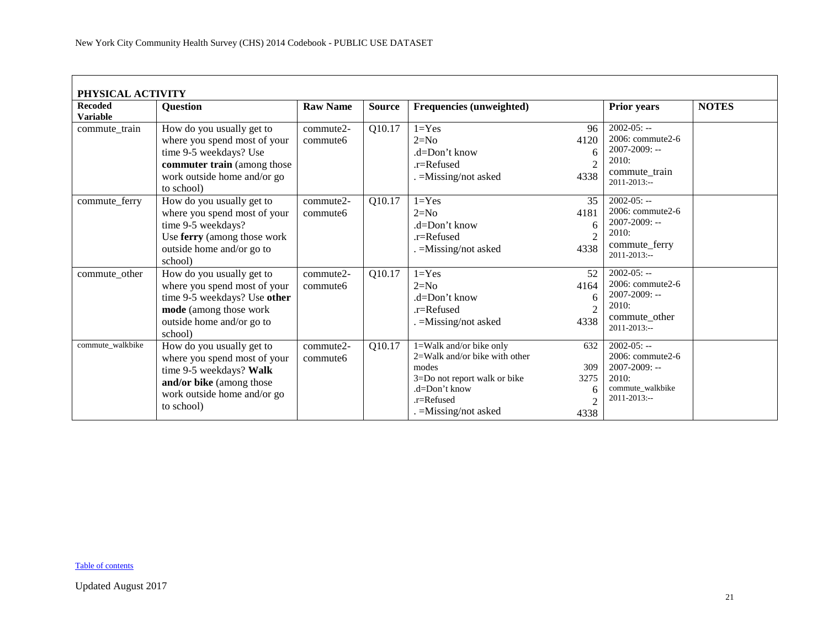| PHYSICAL ACTIVITY                 |                                                                                                                                                                 |                       |               |                                                                                                                                                                 |                                                   |                                                                                                            |              |  |  |  |  |
|-----------------------------------|-----------------------------------------------------------------------------------------------------------------------------------------------------------------|-----------------------|---------------|-----------------------------------------------------------------------------------------------------------------------------------------------------------------|---------------------------------------------------|------------------------------------------------------------------------------------------------------------|--------------|--|--|--|--|
| <b>Recoded</b><br><b>Variable</b> | <b>Ouestion</b>                                                                                                                                                 | <b>Raw Name</b>       | <b>Source</b> | <b>Frequencies (unweighted)</b>                                                                                                                                 |                                                   | <b>Prior years</b>                                                                                         | <b>NOTES</b> |  |  |  |  |
| commute_train                     | How do you usually get to<br>where you spend most of your<br>time 9-5 weekdays? Use<br>commuter train (among those<br>work outside home and/or go<br>to school) | commute2-<br>commute6 | Q10.17        | $1 = Yes$<br>$2=N0$<br>$d=Don't know$<br>$.r =$ Refused<br>=Missing/not asked                                                                                   | 96<br>4120<br>6<br>$\overline{2}$<br>4338         | $2002 - 05: -$<br>2006: commute2-6<br>2007-2009: --<br>2010:<br>commute train<br>$2011 - 2013$ :--         |              |  |  |  |  |
| commute_ferry                     | How do you usually get to<br>where you spend most of your<br>time 9-5 weekdays?<br>Use ferry (among those work<br>outside home and/or go to<br>school)          | commute2-<br>commute6 | Q10.17        | $1 = Yes$<br>$2=N0$<br>$d=Don't know$<br>$.r =$ Refused<br>=Missing/not asked                                                                                   | 35<br>4181<br>6<br>$\overline{2}$<br>4338         | $2002 - 05: -$<br>2006: commute2-6<br>$2007 - 2009$ : --<br>2010:<br>commute_ferry<br>$2011 - 2013$ :--    |              |  |  |  |  |
| commute_other                     | How do you usually get to<br>where you spend most of your<br>time 9-5 weekdays? Use other<br>mode (among those work<br>outside home and/or go to<br>school)     | commute2-<br>commute6 | Q10.17        | $1 = Yes$<br>$2=N0$<br>$d=Don't know$<br>$.r =$ Refused<br>. = Missing/not asked                                                                                | 52<br>4164<br>6<br>$\overline{2}$<br>4338         | $2002 - 05: -$<br>2006: commute2-6<br>2007-2009: --<br>2010:<br>commute_other<br>$2011 - 2013$ :--         |              |  |  |  |  |
| commute walkbike                  | How do you usually get to<br>where you spend most of your<br>time 9-5 weekdays? Walk<br>and/or bike (among those<br>work outside home and/or go<br>to school)   | commute2-<br>commute6 | Q10.17        | 1=Walk and/or bike only<br>$2=$ Walk and/or bike with other<br>modes<br>3=Do not report walk or bike<br>.d=Don't know<br>$r =$ Refused<br>. = Missing/not asked | 632<br>309<br>3275<br>6<br>$\mathfrak{D}$<br>4338 | $2002 - 05: -$<br>2006: commute2-6<br>$2007 - 2009$ : --<br>2010:<br>commute_walkbike<br>$2011 - 2013$ :-- |              |  |  |  |  |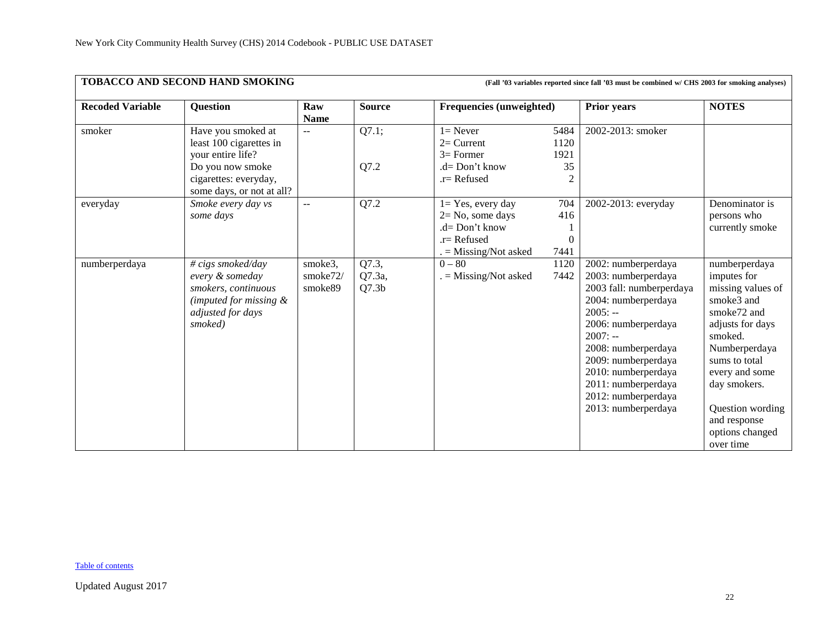<span id="page-21-0"></span>

|                         | TOBACCO AND SECOND HAND SMOKING<br>(Fall '03 variables reported since fall '03 must be combined w/ CHS 2003 for smoking analyses)            |                                |                                      |                                                                                                           |                                              |                                                                                                                                                                                                                                                                                          |                                                                                                                                                                                                                                                       |  |  |
|-------------------------|----------------------------------------------------------------------------------------------------------------------------------------------|--------------------------------|--------------------------------------|-----------------------------------------------------------------------------------------------------------|----------------------------------------------|------------------------------------------------------------------------------------------------------------------------------------------------------------------------------------------------------------------------------------------------------------------------------------------|-------------------------------------------------------------------------------------------------------------------------------------------------------------------------------------------------------------------------------------------------------|--|--|
| <b>Recoded Variable</b> | <b>Question</b>                                                                                                                              | Raw<br><b>Name</b>             | <b>Source</b>                        | <b>Frequencies (unweighted)</b>                                                                           |                                              | <b>Prior years</b>                                                                                                                                                                                                                                                                       | <b>NOTES</b>                                                                                                                                                                                                                                          |  |  |
| smoker                  | Have you smoked at<br>least 100 cigarettes in<br>vour entire life?<br>Do you now smoke<br>cigarettes: everyday,<br>some days, or not at all? | $\mathbf{u}$                   | Q7.1;<br>Q7.2                        | $l =$ Never<br>$2=$ Current<br>$3=$ Former<br>$.d = Don't know$<br>$.r =$ Refused                         | 5484<br>1120<br>1921<br>35<br>$\overline{2}$ | 2002-2013: smoker                                                                                                                                                                                                                                                                        |                                                                                                                                                                                                                                                       |  |  |
| everyday                | Smoke every day vs<br>some days                                                                                                              | $- -$                          | Q7.2                                 | $1 = Yes$ , every day<br>$2 = No$ , some days<br>$d=Don't know$<br>$r =$ Refused<br>$=$ Missing/Not asked | 704<br>416<br>$\Omega$<br>7441               | 2002-2013: everyday                                                                                                                                                                                                                                                                      | Denominator is<br>persons who<br>currently smoke                                                                                                                                                                                                      |  |  |
| numberperdaya           | # cigs smoked/day<br>every & someday<br>smokers, continuous<br>(imputed for missing $\&$<br>adjusted for days<br>smoked)                     | smoke3,<br>smoke72/<br>smoke89 | Q7.3,<br>Q7.3a,<br>Q7.3 <sub>b</sub> | $0 - 80$<br>$=$ Missing/Not asked                                                                         | 1120<br>7442                                 | 2002: numberperdaya<br>2003: numberperdaya<br>2003 fall: numberperdaya<br>2004: numberperdaya<br>$2005: -$<br>2006: numberperdaya<br>$2007: -$<br>2008: numberperdaya<br>2009: numberperdaya<br>2010: numberperdaya<br>2011: numberperdaya<br>2012: numberperdaya<br>2013: numberperdaya | numberperdaya<br>imputes for<br>missing values of<br>smoke3 and<br>smoke72 and<br>adjusts for days<br>smoked.<br>Numberperdaya<br>sums to total<br>every and some<br>day smokers.<br>Question wording<br>and response<br>options changed<br>over time |  |  |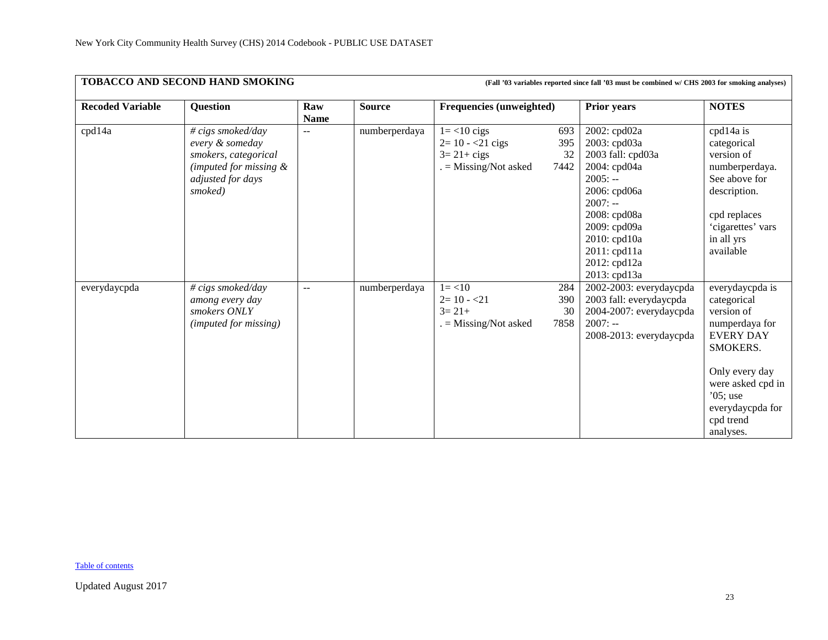| TOBACCO AND SECOND HAND SMOKING<br>(Fall '03 variables reported since fall '03 must be combined w/ CHS 2003 for smoking analyses) |                                                                                                                           |                    |               |                                                                                          |                          |                                                                                                                                                                                                             |                                                                                                                                                                                                    |  |  |
|-----------------------------------------------------------------------------------------------------------------------------------|---------------------------------------------------------------------------------------------------------------------------|--------------------|---------------|------------------------------------------------------------------------------------------|--------------------------|-------------------------------------------------------------------------------------------------------------------------------------------------------------------------------------------------------------|----------------------------------------------------------------------------------------------------------------------------------------------------------------------------------------------------|--|--|
| <b>Recoded Variable</b>                                                                                                           | <b>Question</b>                                                                                                           | Raw<br><b>Name</b> | <b>Source</b> | <b>Frequencies (unweighted)</b>                                                          |                          | <b>Prior years</b>                                                                                                                                                                                          | <b>NOTES</b>                                                                                                                                                                                       |  |  |
| cpd14a                                                                                                                            | # cigs smoked/day<br>every & someday<br>smokers, categorical<br>(imputed for missing $\&$<br>adjusted for days<br>smoked) | $-$                | numberperdaya | $1 = < 10$ cigs<br>$2 = 10 - 21$ cigs<br>$3 = 21 + \text{cigs}$<br>$=$ Missing/Not asked | 693<br>395<br>32<br>7442 | 2002: cpd02a<br>2003: cpd03a<br>2003 fall: cpd03a<br>2004: cpd04a<br>$2005: -$<br>2006: cpd06a<br>$2007: -$<br>2008: cpd08a<br>2009: cpd09a<br>2010: cpd10a<br>2011: cpd11a<br>2012: cpd12a<br>2013: cpd13a | cpd14a is<br>categorical<br>version of<br>numberperdaya.<br>See above for<br>description.<br>cpd replaces<br>'cigarettes' vars<br>in all yrs<br>available                                          |  |  |
| everydaycpda                                                                                                                      | # cigs smoked/day<br>among every day<br>smokers ONLY<br>(imputed for missing)                                             | $\overline{a}$     | numberperdaya | $1 = 10$<br>$2=10 - 21$<br>$3=21+$<br>$=$ Missing/Not asked                              | 284<br>390<br>30<br>7858 | 2002-2003: everydaycpda<br>2003 fall: everydaycpda<br>2004-2007: everydaycpda<br>$2007: -$<br>2008-2013: everydaycpda                                                                                       | everydaycpda is<br>categorical<br>version of<br>numperdaya for<br><b>EVERY DAY</b><br>SMOKERS.<br>Only every day<br>were asked cpd in<br>$'05$ ; use<br>everydaycpda for<br>cpd trend<br>analyses. |  |  |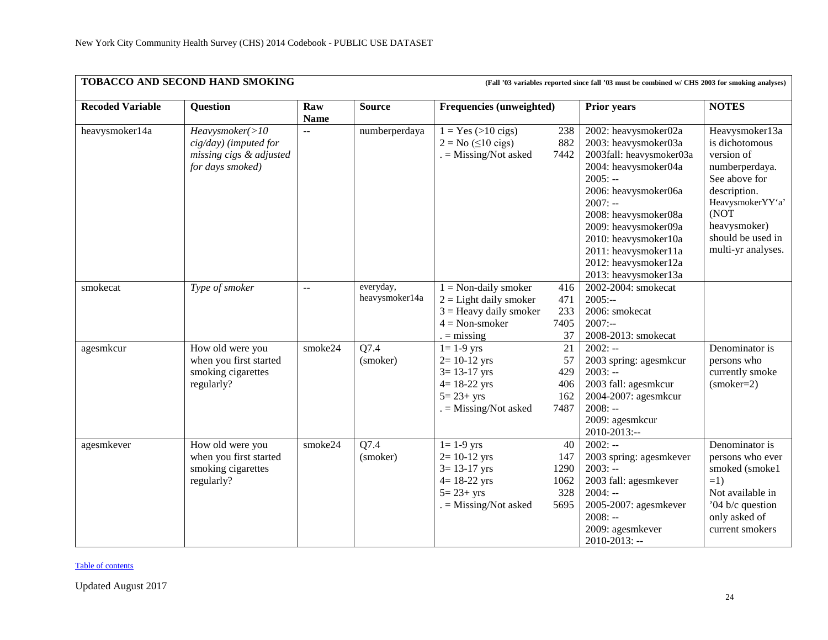|                         | TOBACCO AND SECOND HAND SMOKING<br>(Fall '03 variables reported since fall '03 must be combined w/ CHS 2003 for smoking analyses) |                           |                             |                                                                                                                         |                                          |                                                                                                                                                                                                                                                                                                    |                                                                                                                                                                                          |  |
|-------------------------|-----------------------------------------------------------------------------------------------------------------------------------|---------------------------|-----------------------------|-------------------------------------------------------------------------------------------------------------------------|------------------------------------------|----------------------------------------------------------------------------------------------------------------------------------------------------------------------------------------------------------------------------------------------------------------------------------------------------|------------------------------------------------------------------------------------------------------------------------------------------------------------------------------------------|--|
| <b>Recoded Variable</b> | <b>Question</b>                                                                                                                   | Raw<br><b>Name</b>        | <b>Source</b>               | <b>Frequencies (unweighted)</b>                                                                                         |                                          | <b>Prior years</b>                                                                                                                                                                                                                                                                                 | <b>NOTES</b>                                                                                                                                                                             |  |
| heavysmoker14a          | Heavysmoker(>10<br>cig/day) (imputed for<br>missing cigs & adjusted<br>for days smoked)                                           | $\mathbb{L}^{\perp}$      | numberperdaya               | $1 = Yes (>10 \text{ cigs})$<br>$2 = No \ (\leq 10 \text{ cigs})$<br>. = Missing/Not asked                              | 238<br>882<br>7442                       | 2002: heavysmoker02a<br>2003: heavysmoker03a<br>2003fall: heavysmoker03a<br>2004: heavysmoker04a<br>$2005: -$<br>2006: heavysmoker06a<br>$2007: -$<br>2008: heavysmoker08a<br>2009: heavysmoker09a<br>2010: heavysmoker10a<br>2011: heavysmoker11a<br>2012: heavysmoker12a<br>2013: heavysmoker13a | Heavysmoker13a<br>is dichotomous<br>version of<br>numberperdaya.<br>See above for<br>description.<br>HeavysmokerYY'a'<br>(NOT<br>heavysmoker)<br>should be used in<br>multi-yr analyses. |  |
| smokecat                | Type of smoker                                                                                                                    | $\mathbb{L}^{\mathbb{L}}$ | everyday,<br>heavysmoker14a | $1 =$ Non-daily smoker<br>$2 =$ Light daily smoker<br>$3 =$ Heavy daily smoker<br>$4 = Non-smoker$<br>$=$ missing       | 416<br>471<br>233<br>7405<br>37          | 2002-2004: smokecat<br>$2005:-$<br>2006: smokecat<br>$2007: -$<br>2008-2013: smokecat                                                                                                                                                                                                              |                                                                                                                                                                                          |  |
| agesmkcur               | How old were you<br>when you first started<br>smoking cigarettes<br>regularly?                                                    | smoke24                   | Q7.4<br>(smoker)            | $1 = 1-9$ yrs<br>$2 = 10 - 12$ yrs<br>$3 = 13 - 17$ yrs<br>$4 = 18 - 22$ yrs<br>$5 = 23 + yrs$<br>$=$ Missing/Not asked | 21<br>57<br>429<br>406<br>162<br>7487    | $2002: -$<br>2003 spring: agesmkcur<br>$2003: -$<br>2003 fall: agesmkcur<br>2004-2007: agesmkcur<br>$2008: -$<br>2009: agesmkcur<br>2010-2013:--                                                                                                                                                   | Denominator is<br>persons who<br>currently smoke<br>$(smoker=2)$                                                                                                                         |  |
| agesmkever              | How old were you<br>when you first started<br>smoking cigarettes<br>regularly?                                                    | smoke24                   | Q7.4<br>(smoker)            | $1 = 1-9$ yrs<br>$2 = 10 - 12$ yrs<br>$3 = 13 - 17$ yrs<br>$4 = 18 - 22$ yrs<br>$5 = 23 + yrs$<br>$=$ Missing/Not asked | 40<br>147<br>1290<br>1062<br>328<br>5695 | $2002: -$<br>2003 spring: agesmkever<br>$2003: -$<br>2003 fall: agesmkever<br>$2004: -$<br>2005-2007: agesmkever<br>$2008: -$<br>2009: agesmkever<br>$2010 - 2013$ : --                                                                                                                            | Denominator is<br>persons who ever<br>smoked (smoke1<br>$=1$<br>Not available in<br>'04 b/c question<br>only asked of<br>current smokers                                                 |  |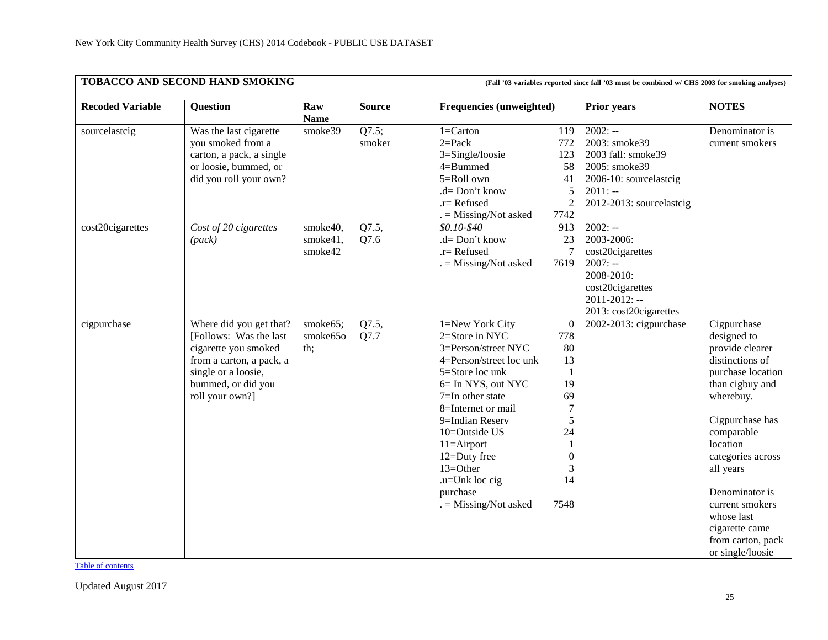|                         | TOBACCO AND SECOND HAND SMOKING<br>(Fall '03 variables reported since fall '03 must be combined w/ CHS 2003 for smoking analyses)                                     |                                 |                 |                                                                                                                                                                                                                                                                                                                    |                                                                                                                             |                                                                                                                                       |                                                                                                                                                                                                                                                                                                                    |  |  |  |
|-------------------------|-----------------------------------------------------------------------------------------------------------------------------------------------------------------------|---------------------------------|-----------------|--------------------------------------------------------------------------------------------------------------------------------------------------------------------------------------------------------------------------------------------------------------------------------------------------------------------|-----------------------------------------------------------------------------------------------------------------------------|---------------------------------------------------------------------------------------------------------------------------------------|--------------------------------------------------------------------------------------------------------------------------------------------------------------------------------------------------------------------------------------------------------------------------------------------------------------------|--|--|--|
| <b>Recoded Variable</b> | <b>Question</b>                                                                                                                                                       | Raw<br><b>Name</b>              | <b>Source</b>   | <b>Frequencies (unweighted)</b>                                                                                                                                                                                                                                                                                    |                                                                                                                             | <b>Prior years</b>                                                                                                                    | <b>NOTES</b>                                                                                                                                                                                                                                                                                                       |  |  |  |
| sourcelastcig           | Was the last cigarette<br>you smoked from a<br>carton, a pack, a single<br>or loosie, bummed, or<br>did you roll your own?                                            | smoke39                         | Q7.5;<br>smoker | $1 =$ Carton<br>$2 = Pack$<br>3=Single/loosie<br>4=Bummed<br>$5=$ Roll own<br>.d= Don't know<br>$.r=$ Refused                                                                                                                                                                                                      | 119<br>772<br>123<br>58<br>41<br>5<br>$\overline{c}$                                                                        | $2002: -$<br>2003: smoke39<br>2003 fall: smoke39<br>2005: smoke39<br>2006-10: sourcelastcig<br>$2011: -$<br>2012-2013: sourcelastcig  | Denominator is<br>current smokers                                                                                                                                                                                                                                                                                  |  |  |  |
| cost20cigarettes        | Cost of 20 cigarettes<br>(pack)                                                                                                                                       | smoke40,<br>smoke41,<br>smoke42 | Q7.5,<br>Q7.6   | $=$ Missing/Not asked<br>\$0.10-\$40<br>.d= Don't know<br>$.r =$ Refused<br>$=$ Missing/Not asked                                                                                                                                                                                                                  | 7742<br>913<br>23<br>7619                                                                                                   | $2002: -$<br>2003-2006:<br>cost20cigarettes<br>$2007: -$<br>2008-2010:<br>cost20cigarettes<br>2011-2012: --<br>2013: cost20cigarettes |                                                                                                                                                                                                                                                                                                                    |  |  |  |
| cigpurchase             | Where did you get that?<br>[Follows: Was the last<br>cigarette you smoked<br>from a carton, a pack, a<br>single or a loosie,<br>bummed, or did you<br>roll your own?] | smoke65;<br>smoke65o<br>th;     | Q7.5,<br>Q7.7   | 1=New York City<br>2=Store in NYC<br>3=Person/street NYC<br>4=Person/street loc unk<br>5=Store loc unk<br>6= In NYS, out NYC<br>$7=$ In other state<br>8=Internet or mail<br>9=Indian Reserv<br>10=Outside US<br>$11 =$ Airport<br>12=Duty free<br>13=Other<br>.u=Unk loc cig<br>purchase<br>$=$ Missing/Not asked | $\overline{0}$<br>778<br>80<br>13<br>1<br>19<br>69<br>$\overline{7}$<br>5<br>24<br>1<br>$\boldsymbol{0}$<br>3<br>14<br>7548 | 2002-2013: cigpurchase                                                                                                                | Cigpurchase<br>designed to<br>provide clearer<br>distinctions of<br>purchase location<br>than cigbuy and<br>wherebuy.<br>Cigpurchase has<br>comparable<br>location<br>categories across<br>all years<br>Denominator is<br>current smokers<br>whose last<br>cigarette came<br>from carton, pack<br>or single/loosie |  |  |  |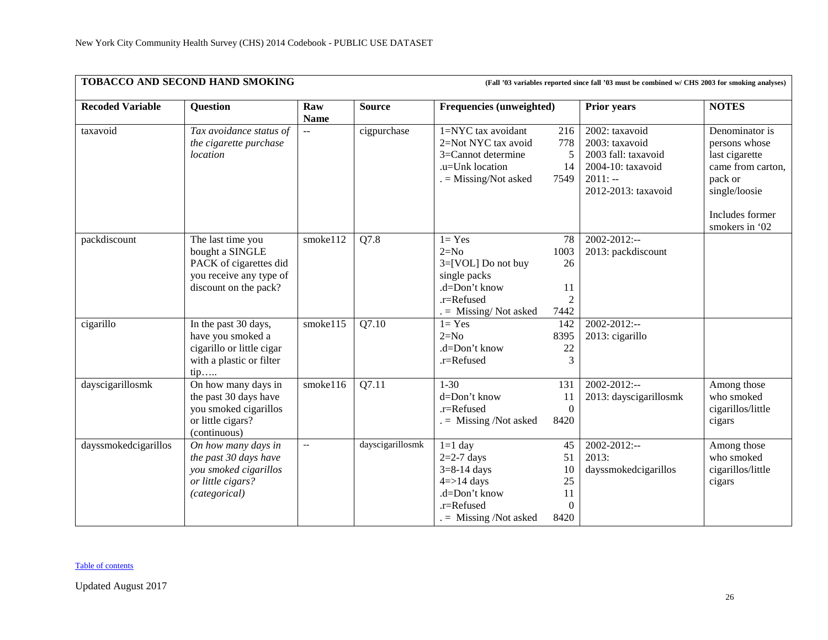|                         | <b>TOBACCO AND SECOND HAND SMOKING</b><br>(Fall '03 variables reported since fall '03 must be combined w/ CHS 2003 for smoking analyses) |                          |                  |                                                                                                                                |                                                  |                                                                                                                  |                                                                                                                                         |  |  |
|-------------------------|------------------------------------------------------------------------------------------------------------------------------------------|--------------------------|------------------|--------------------------------------------------------------------------------------------------------------------------------|--------------------------------------------------|------------------------------------------------------------------------------------------------------------------|-----------------------------------------------------------------------------------------------------------------------------------------|--|--|
| <b>Recoded Variable</b> | <b>Question</b>                                                                                                                          | Raw<br><b>Name</b>       | <b>Source</b>    | Frequencies (unweighted)                                                                                                       |                                                  | <b>Prior years</b>                                                                                               | <b>NOTES</b>                                                                                                                            |  |  |
| taxavoid                | Tax avoidance status of<br>the cigarette purchase<br>location                                                                            | $\sim$ $\sim$            | cigpurchase      | $1 = NYC$ tax avoidant<br>2=Not NYC tax avoid<br>3=Cannot determine<br>.u=Unk location<br>$=$ Missing/Not asked                | 216<br>778<br>5<br>14<br>7549                    | 2002: taxavoid<br>2003: taxavoid<br>2003 fall: taxavoid<br>2004-10: taxavoid<br>$2011: -$<br>2012-2013: taxavoid | Denominator is<br>persons whose<br>last cigarette<br>came from carton,<br>pack or<br>single/loosie<br>Includes former<br>smokers in '02 |  |  |
| packdiscount            | The last time you<br>bought a SINGLE<br>PACK of cigarettes did<br>you receive any type of<br>discount on the pack?                       | smoke112                 | Q7.8             | $1 = Yes$<br>$2=N0$<br>3=[VOL] Do not buy<br>single packs<br>.d=Don't know<br>.r=Refused<br>$=$ Missing/Not asked              | 78<br>1003<br>26<br>11<br>$\overline{2}$<br>7442 | $2002 - 2012$ :--<br>2013: packdiscount                                                                          |                                                                                                                                         |  |  |
| cigarillo               | In the past 30 days,<br>have you smoked a<br>cigarillo or little cigar<br>with a plastic or filter<br>tip                                | smoke115                 | Q7.10            | $1 = Yes$<br>$2=N0$<br>.d=Don't know<br>.r=Refused                                                                             | 142<br>8395<br>22<br>3                           | 2002-2012:--<br>2013: cigarillo                                                                                  |                                                                                                                                         |  |  |
| dayscigarillosmk        | On how many days in<br>the past 30 days have<br>you smoked cigarillos<br>or little cigars?<br>(continuous)                               | smoke116                 | Q7.11            | $1 - 30$<br>d=Don't know<br>.r=Refused<br>$=$ Missing /Not asked                                                               | 131<br>11<br>$\overline{0}$<br>8420              | $2002 - 2012$ :--<br>2013: dayscigarillosmk                                                                      | Among those<br>who smoked<br>cigarillos/little<br>cigars                                                                                |  |  |
| dayssmokedcigarillos    | On how many days in<br>the past 30 days have<br>you smoked cigarillos<br>or little cigars?<br>(categorical)                              | $\overline{\phantom{a}}$ | dayscigarillosmk | $1=1$ day<br>$2=2-7$ days<br>$3 = 8 - 14$ days<br>$4 = > 14$ days<br>.d=Don't know<br>$.r =$ Refused<br>$=$ Missing /Not asked | 45<br>51<br>10<br>25<br>11<br>$\Omega$<br>8420   | 2002-2012:--<br>2013:<br>dayssmokedcigarillos                                                                    | Among those<br>who smoked<br>cigarillos/little<br>cigars                                                                                |  |  |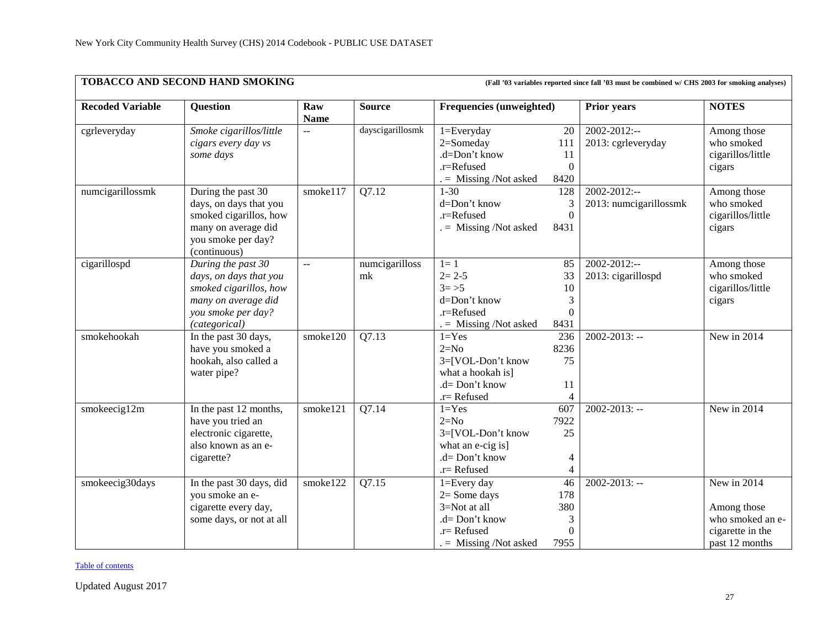| TOBACCO AND SECOND HAND SMOKING<br>(Fall '03 variables reported since fall '03 must be combined w/ CHS 2003 for smoking analyses) |                                                                                                                                      |                           |                      |                                                                                                               |                                           |                                             |                                                                                      |  |
|-----------------------------------------------------------------------------------------------------------------------------------|--------------------------------------------------------------------------------------------------------------------------------------|---------------------------|----------------------|---------------------------------------------------------------------------------------------------------------|-------------------------------------------|---------------------------------------------|--------------------------------------------------------------------------------------|--|
| <b>Recoded Variable</b>                                                                                                           | Question                                                                                                                             | Raw<br><b>Name</b>        | <b>Source</b>        | <b>Frequencies (unweighted)</b>                                                                               |                                           | <b>Prior years</b>                          | <b>NOTES</b>                                                                         |  |
| cgrleveryday                                                                                                                      | Smoke cigarillos/little<br>cigars every day vs<br>some days                                                                          | $\overline{a}$            | dayscigarillosmk     | 1=Everyday<br>2=Someday<br>.d=Don't know<br>.r=Refused<br>$=$ Missing /Not asked                              | 20<br>111<br>11<br>$\theta$<br>8420       | $2002 - 2012$ :--<br>2013: cgrleveryday     | Among those<br>who smoked<br>cigarillos/little<br>cigars                             |  |
| numcigarillossmk                                                                                                                  | During the past 30<br>days, on days that you<br>smoked cigarillos, how<br>many on average did<br>you smoke per day?<br>(continuous)  | smoke117                  | Q7.12                | $1 - 30$<br>d=Don't know<br>.r=Refused<br>$=$ Missing /Not asked                                              | 128<br>$\boldsymbol{0}$<br>8431           | $2002 - 2012$ :--<br>2013: numcigarillossmk | Among those<br>who smoked<br>cigarillos/little<br>cigars                             |  |
| cigarillospd                                                                                                                      | During the past 30<br>days, on days that you<br>smoked cigarillos, how<br>many on average did<br>you smoke per day?<br>(categorical) | $\mathbb{L}^{\mathbb{L}}$ | numcigarilloss<br>mk | $1=1$<br>$2 = 2 - 5$<br>$3 = > 5$<br>d=Don't know<br>.r=Refused<br>$. =$ Missing /Not asked                   | 85<br>33<br>10<br>3<br>$\theta$<br>8431   | $2002 - 2012$ :--<br>2013: cigarillospd     | Among those<br>who smoked<br>cigarillos/little<br>cigars                             |  |
| smokehookah                                                                                                                       | In the past 30 days,<br>have you smoked a<br>hookah, also called a<br>water pipe?                                                    | smoke120                  | Q7.13                | $1 = Yes$<br>$2=N0$<br>3=[VOL-Don't know<br>what a hookah is]<br>.d= Don't know<br>$.r =$ Refused             | 236<br>8236<br>75<br>11                   | $2002 - 2013$ : --                          | New in 2014                                                                          |  |
| smokeecig12m                                                                                                                      | In the past 12 months,<br>have you tried an<br>electronic cigarette,<br>also known as an e-<br>cigarette?                            | smoke121                  | Q7.14                | $1 = Yes$<br>$2=N0$<br>3=[VOL-Don't know<br>what an e-cig is]<br>$.d = Don't know$<br>$.r=$ Refused           | 607<br>7922<br>25<br>4                    | $2002 - 2013$ : --                          | New in 2014                                                                          |  |
| smokeecig30days                                                                                                                   | In the past 30 days, did<br>you smoke an e-<br>cigarette every day,<br>some days, or not at all                                      | smoke122                  | Q7.15                | $1 = Every day$<br>$2 = Some days$<br>3=Not at all<br>.d= Don't know<br>.r= Refused<br>$=$ Missing /Not asked | 46<br>178<br>380<br>3<br>$\Omega$<br>7955 | $2002 - 2013$ : --                          | New in 2014<br>Among those<br>who smoked an e-<br>cigarette in the<br>past 12 months |  |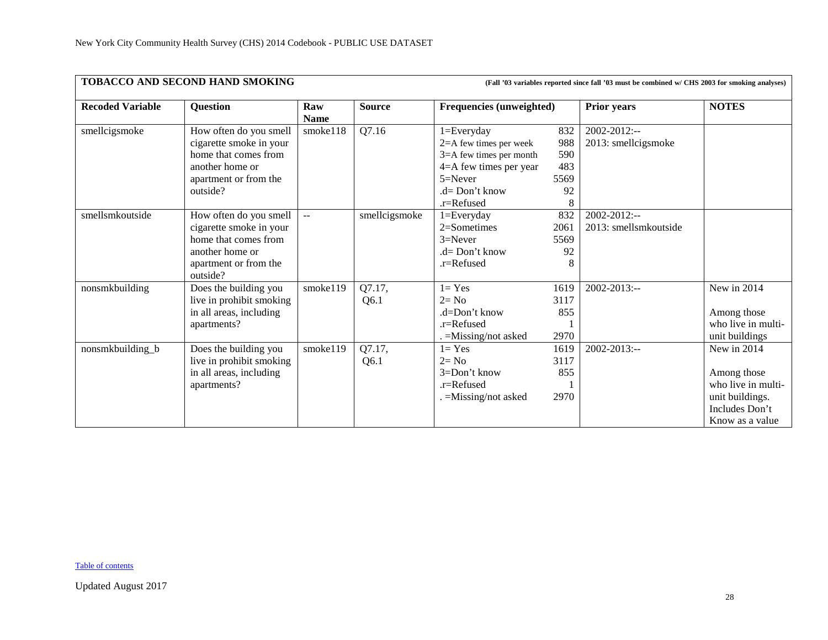|                         | TOBACCO AND SECOND HAND SMOKING<br>(Fall '03 variables reported since fall '03 must be combined w/ CHS 2003 for smoking analyses) |                           |                |                                                                                                                                                  |                                        |                                       |                                                                                                          |  |  |  |  |
|-------------------------|-----------------------------------------------------------------------------------------------------------------------------------|---------------------------|----------------|--------------------------------------------------------------------------------------------------------------------------------------------------|----------------------------------------|---------------------------------------|----------------------------------------------------------------------------------------------------------|--|--|--|--|
| <b>Recoded Variable</b> | <b>Question</b>                                                                                                                   | Raw<br><b>Name</b>        | <b>Source</b>  | <b>Frequencies (unweighted)</b>                                                                                                                  |                                        | <b>Prior years</b>                    | <b>NOTES</b>                                                                                             |  |  |  |  |
| smellcigsmoke           | How often do you smell<br>cigarette smoke in your<br>home that comes from<br>another home or<br>apartment or from the<br>outside? | smoke118                  | Q7.16          | $1 = Every day$<br>2=A few times per week<br>$3=$ A few times per month<br>4=A few times per year<br>$5 =$ Never<br>$d=Don't know$<br>.r=Refused | 832<br>988<br>590<br>483<br>5569<br>92 | 2002-2012:--<br>2013: smellcigsmoke   |                                                                                                          |  |  |  |  |
| smellsmkoutside         | How often do you smell<br>cigarette smoke in your<br>home that comes from<br>another home or<br>apartment or from the<br>outside? | $\mathbf{u} = \mathbf{v}$ | smellcigsmoke  | $1 = Every day$<br>$2=$ Sometimes<br>$3=Never$<br>$.d = Don't know$<br>.r=Refused                                                                | 832<br>2061<br>5569<br>92<br>8         | 2002-2012:--<br>2013: smellsmkoutside |                                                                                                          |  |  |  |  |
| nonsmkbuilding          | Does the building you<br>live in prohibit smoking<br>in all areas, including<br>apartments?                                       | smoke119                  | Q7.17,<br>Q6.1 | $1 = Yes$<br>$2 = No$<br>$d = Don't know$<br>$.r =$ Refused<br>$=M$ issing/not asked                                                             | 1619<br>3117<br>855<br>2970            | $2002 - 2013$ :--                     | New in 2014<br>Among those<br>who live in multi-<br>unit buildings                                       |  |  |  |  |
| nonsmkbuilding_b        | Does the building you<br>live in prohibit smoking<br>in all areas, including<br>apartments?                                       | smoke119                  | Q7.17,<br>Q6.1 | $1 = Yes$<br>$2 = No$<br>$3=Don't know$<br>.r=Refused<br>$=M$ issing/not asked                                                                   | 1619<br>3117<br>855<br>2970            | $2002 - 2013$ :--                     | New in 2014<br>Among those<br>who live in multi-<br>unit buildings.<br>Includes Don't<br>Know as a value |  |  |  |  |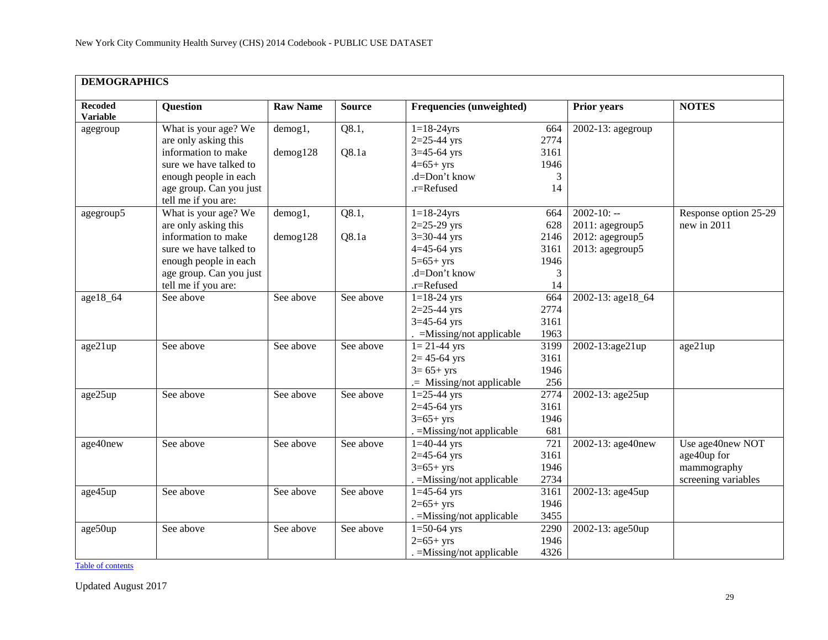<span id="page-28-0"></span>

| <b>DEMOGRAPHICS</b>               |                         |                 |               |                            |                  |                      |                       |
|-----------------------------------|-------------------------|-----------------|---------------|----------------------------|------------------|----------------------|-----------------------|
| <b>Recoded</b><br><b>Variable</b> | <b>Question</b>         | <b>Raw Name</b> | <b>Source</b> | Frequencies (unweighted)   |                  | <b>Prior years</b>   | <b>NOTES</b>          |
| agegroup                          | What is your age? We    | demog1,         | Q8.1,         | $1 = 18 - 24$ yrs          | 664              | $2002-13$ : agegroup |                       |
|                                   | are only asking this    |                 |               | $2=25-44$ yrs              | 2774             |                      |                       |
|                                   | information to make     | $d$ emog $128$  | Q8.1a         | $3=45-64$ yrs              | 3161             |                      |                       |
|                                   | sure we have talked to  |                 |               | $4=65+$ yrs                | 1946             |                      |                       |
|                                   | enough people in each   |                 |               | .d=Don't know              | 3                |                      |                       |
|                                   | age group. Can you just |                 |               | .r=Refused                 | 14               |                      |                       |
|                                   | tell me if you are:     |                 |               |                            |                  |                      |                       |
| agegroup5                         | What is your age? We    | demog1,         | Q8.1,         | $1 = 18 - 24$ yrs          | 664              | $2002 - 10: -$       | Response option 25-29 |
|                                   | are only asking this    |                 |               | $2=25-29$ yrs              | 628              | 2011: agegroup5      | new in 2011           |
|                                   | information to make     | demog128        | Q8.1a         | $3=30-44$ yrs              | 2146             | 2012: agegroup5      |                       |
|                                   | sure we have talked to  |                 |               | $4 = 45 - 64$ yrs          | 3161             | 2013: agegroup5      |                       |
|                                   | enough people in each   |                 |               | $5=65+yrs$                 | 1946             |                      |                       |
|                                   | age group. Can you just |                 |               | .d=Don't know              | 3                |                      |                       |
|                                   | tell me if you are:     |                 |               | .r=Refused                 | 14               |                      |                       |
| age18_64                          | See above               | See above       | See above     | $1 = 18 - 24$ yrs          | 664              | 2002-13: age18_64    |                       |
|                                   |                         |                 |               | $2=25-44$ yrs              | 2774             |                      |                       |
|                                   |                         |                 |               | $3=45-64$ yrs              | 3161             |                      |                       |
|                                   |                         |                 |               | $=$ Missing/not applicable | 1963             |                      |                       |
| age21up                           | See above               | See above       | See above     | $1 = 21 - 44$ yrs          | 3199             | 2002-13:age21up      | age21up               |
|                                   |                         |                 |               | $2 = 45 - 64$ yrs          | 3161             |                      |                       |
|                                   |                         |                 |               | $3 = 65 + yrs$             | 1946             |                      |                       |
|                                   |                         |                 |               | .= Missing/not applicable  | 256              |                      |                       |
| age25up                           | See above               | See above       | See above     | $1=25-44$ yrs              | 2774             | 2002-13: age25up     |                       |
|                                   |                         |                 |               | $2=45-64$ yrs              | 3161             |                      |                       |
|                                   |                         |                 |               | $3=65+yrs$                 | 1946             |                      |                       |
|                                   |                         |                 |               | . = Missing/not applicable | 681              |                      |                       |
| age40new                          | See above               | See above       | See above     | $1=40-44$ yrs              | $\overline{721}$ | 2002-13: age40new    | Use age40new NOT      |
|                                   |                         |                 |               | $2=45-64$ yrs              | 3161             |                      | age40up for           |
|                                   |                         |                 |               | $3=65+yrs$                 | 1946             |                      | mammography           |
|                                   |                         |                 |               | . = Missing/not applicable | 2734             |                      | screening variables   |
| age45up                           | See above               | See above       | See above     | $1=45-64$ yrs              | 3161             | 2002-13: age45up     |                       |
|                                   |                         |                 |               | $2=65+yrs$                 | 1946             |                      |                       |
|                                   |                         |                 |               | . = Missing/not applicable | 3455             |                      |                       |
| age50up                           | See above               | See above       | See above     | $1=50-64$ yrs              | 2290             | 2002-13: age50up     |                       |
|                                   |                         |                 |               | $2=65+yrs$                 | 1946             |                      |                       |
|                                   |                         |                 |               | $=$ Missing/not applicable | 4326             |                      |                       |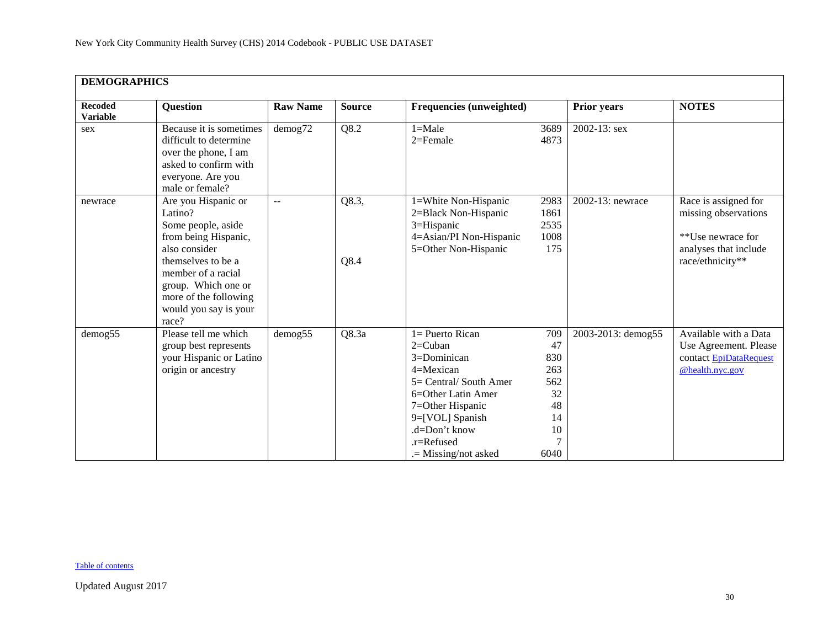|                                   | <b>DEMOGRAPHICS</b>                                                                                                                                                                                                         |                     |               |                                                                                                                                                                                                                    |                                                                |                    |                                                                                                                |  |  |  |
|-----------------------------------|-----------------------------------------------------------------------------------------------------------------------------------------------------------------------------------------------------------------------------|---------------------|---------------|--------------------------------------------------------------------------------------------------------------------------------------------------------------------------------------------------------------------|----------------------------------------------------------------|--------------------|----------------------------------------------------------------------------------------------------------------|--|--|--|
| <b>Recoded</b><br><b>Variable</b> | <b>Question</b>                                                                                                                                                                                                             | <b>Raw Name</b>     | <b>Source</b> | Frequencies (unweighted)                                                                                                                                                                                           |                                                                | <b>Prior years</b> | <b>NOTES</b>                                                                                                   |  |  |  |
| sex                               | Because it is sometimes<br>difficult to determine<br>over the phone, I am<br>asked to confirm with<br>everyone. Are you<br>male or female?                                                                                  | demog72             | Q8.2          | $1 =$ Male<br>$2 =$ Female                                                                                                                                                                                         | 3689<br>4873                                                   | $2002 - 13$ : sex  |                                                                                                                |  |  |  |
| newrace                           | Are you Hispanic or<br>Latino?<br>Some people, aside<br>from being Hispanic,<br>also consider<br>themselves to be a<br>member of a racial<br>group. Which one or<br>more of the following<br>would you say is your<br>race? | $- -$               | Q8.3,<br>Q8.4 | 1=White Non-Hispanic<br>2=Black Non-Hispanic<br>3=Hispanic<br>4=Asian/PI Non-Hispanic<br>5=Other Non-Hispanic                                                                                                      | 2983<br>1861<br>2535<br>1008<br>175                            | 2002-13: newrace   | Race is assigned for<br>missing observations<br>**Use newrace for<br>analyses that include<br>race/ethnicity** |  |  |  |
| demog <sub>55</sub>               | Please tell me which<br>group best represents<br>your Hispanic or Latino<br>origin or ancestry                                                                                                                              | demog <sub>55</sub> | Q8.3a         | $1 =$ Puerto Rican<br>$2=$ Cuban<br>$3=$ Dominican<br>$4 =$ Mexican<br>5= Central/ South Amer<br>6=Other Latin Amer<br>7=Other Hispanic<br>9=[VOL] Spanish<br>.d=Don't know<br>.r=Refused<br>$=$ Missing/not asked | 709<br>47<br>830<br>263<br>562<br>32<br>48<br>14<br>10<br>6040 | 2003-2013: demog55 | Available with a Data<br>Use Agreement. Please<br>contact EpiDataRequest<br>@health.nyc.gov                    |  |  |  |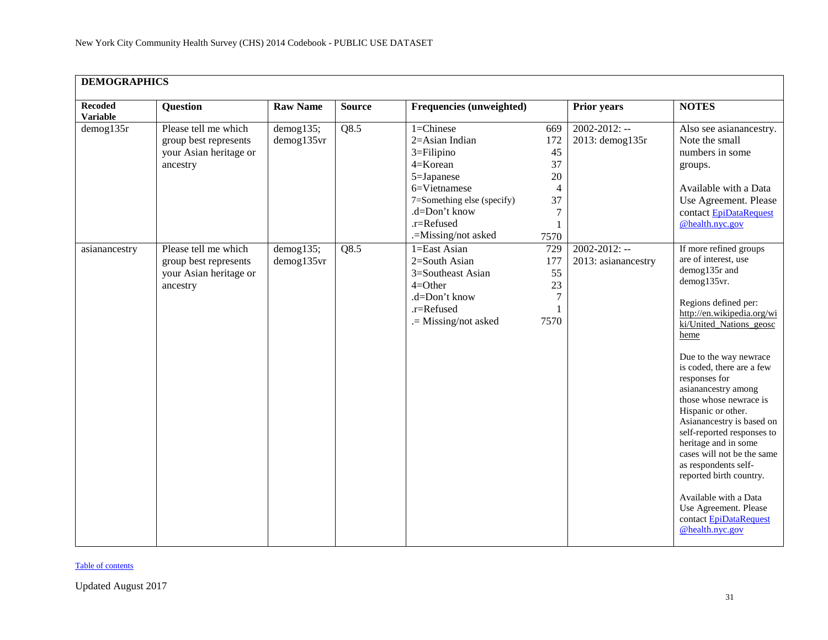| <b>DEMOGRAPHICS</b>               |                                                                                     |                            |               |                                                                                                                                                                                 |                                                                |                                           |                                                                                                                                                                                                                                                                                                                                                                                                                                                                                                                                                                                           |
|-----------------------------------|-------------------------------------------------------------------------------------|----------------------------|---------------|---------------------------------------------------------------------------------------------------------------------------------------------------------------------------------|----------------------------------------------------------------|-------------------------------------------|-------------------------------------------------------------------------------------------------------------------------------------------------------------------------------------------------------------------------------------------------------------------------------------------------------------------------------------------------------------------------------------------------------------------------------------------------------------------------------------------------------------------------------------------------------------------------------------------|
| <b>Recoded</b><br><b>Variable</b> | Question                                                                            | <b>Raw Name</b>            | <b>Source</b> | Frequencies (unweighted)                                                                                                                                                        |                                                                | <b>Prior years</b>                        | <b>NOTES</b>                                                                                                                                                                                                                                                                                                                                                                                                                                                                                                                                                                              |
| demog135r                         | Please tell me which<br>group best represents<br>your Asian heritage or<br>ancestry | demog135;<br>demog135vr    | Q8.5          | $1 =$ Chinese<br>2=Asian Indian<br>$3 =$ Filipino<br>4=Korean<br>5=Japanese<br>6=Vietnamese<br>7=Something else (specify)<br>.d=Don't know<br>.r=Refused<br>.=Missing/not asked | 669<br>172<br>45<br>37<br>20<br>4<br>37<br>$\tau$<br>1<br>7570 | $2002 - 2012$ : --<br>2013: demog135r     | Also see asianancestry.<br>Note the small<br>numbers in some<br>groups.<br>Available with a Data<br>Use Agreement. Please<br>contact EpiDataRequest<br>@health.nyc.gov                                                                                                                                                                                                                                                                                                                                                                                                                    |
| asianancestry                     | Please tell me which<br>group best represents<br>your Asian heritage or<br>ancestry | $d$ emog135;<br>demog135vr | Q8.5          | 1=East Asian<br>2=South Asian<br>3=Southeast Asian<br>$4 = Other$<br>.d=Don't know<br>.r=Refused<br>.= Missing/not asked                                                        | 729<br>177<br>55<br>23<br>$\tau$<br>7570                       | $2002 - 2012$ : --<br>2013: asianancestry | If more refined groups<br>are of interest, use<br>demog135r and<br>demog135vr.<br>Regions defined per:<br>http://en.wikipedia.org/wi<br>ki/United Nations geosc<br>heme<br>Due to the way newrace<br>is coded, there are a few<br>responses for<br>asianancestry among<br>those whose newrace is<br>Hispanic or other.<br>Asianancestry is based on<br>self-reported responses to<br>heritage and in some<br>cases will not be the same<br>as respondents self-<br>reported birth country.<br>Available with a Data<br>Use Agreement. Please<br>contact EpiDataRequest<br>@health.nyc.gov |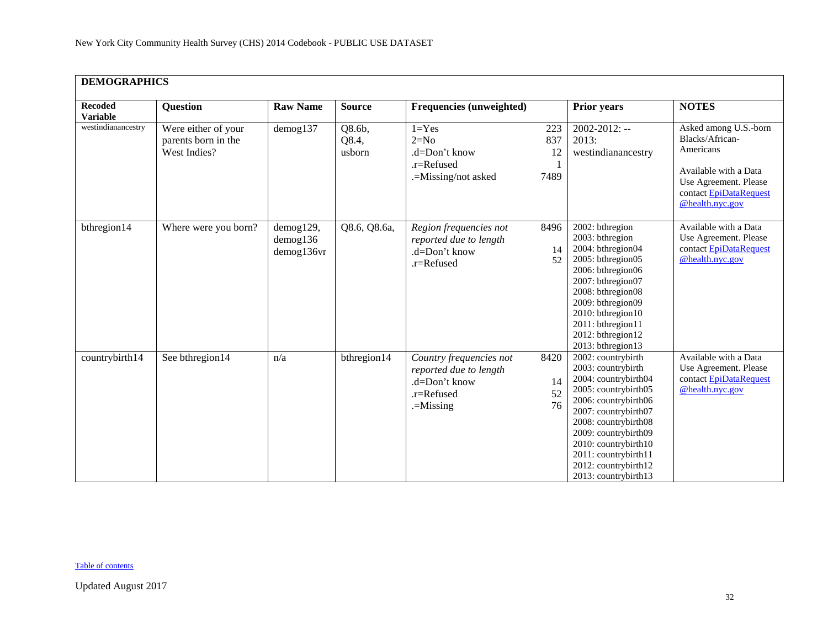| <b>DEMOGRAPHICS</b>               |                                                            |                                           |                           |                                                                                                 |                          |                                                                                                                                                                                                                                                                                          |                                                                                                                                                      |  |  |
|-----------------------------------|------------------------------------------------------------|-------------------------------------------|---------------------------|-------------------------------------------------------------------------------------------------|--------------------------|------------------------------------------------------------------------------------------------------------------------------------------------------------------------------------------------------------------------------------------------------------------------------------------|------------------------------------------------------------------------------------------------------------------------------------------------------|--|--|
| <b>Recoded</b><br><b>Variable</b> | <b>Question</b>                                            | <b>Raw Name</b>                           | <b>Source</b>             | <b>Frequencies (unweighted)</b>                                                                 |                          | <b>Prior years</b>                                                                                                                                                                                                                                                                       | <b>NOTES</b>                                                                                                                                         |  |  |
| westindianancestry                | Were either of your<br>parents born in the<br>West Indies? | demog137                                  | Q8.6b,<br>Q8.4,<br>usborn | $1 = Yes$<br>$2=N0$<br>.d=Don't know<br>.r=Refused<br>.=Missing/not asked                       | 223<br>837<br>12<br>7489 | $2002 - 2012$ : --<br>2013:<br>westindianancestry                                                                                                                                                                                                                                        | Asked among U.S.-born<br>Blacks/African-<br>Americans<br>Available with a Data<br>Use Agreement. Please<br>contact EpiDataRequest<br>@health.nyc.gov |  |  |
| bthregion14                       | Where were you born?                                       | demog129,<br>$d$ emog $136$<br>demog136vr | Q8.6, Q8.6a,              | Region frequencies not<br>reported due to length<br>.d=Don't know<br>.r=Refused                 | 8496<br>14<br>52         | 2002: bthregion<br>2003: bthregion<br>2004: bthregion04<br>2005: bthregion05<br>2006: bthregion06<br>2007: bthregion07<br>2008: bthregion08<br>2009: bthregion09<br>2010: bthregion10<br>2011: bthregion11<br>2012: bthregion12<br>2013: bthregion13                                     | Available with a Data<br>Use Agreement. Please<br>contact EpiDataRequest<br>@health.nyc.gov                                                          |  |  |
| countrybirth14                    | See bthregion14                                            | n/a                                       | bthregion14               | Country frequencies not<br>reported due to length<br>.d=Don't know<br>.r=Refused<br>$=$ Missing | 8420<br>14<br>52<br>76   | 2002: countrybirth<br>2003: countrybirth<br>2004: countrybirth04<br>2005: countrybirth05<br>2006: countrybirth06<br>2007: countrybirth07<br>2008: countrybirth08<br>2009: countrybirth09<br>2010: countrybirth10<br>2011: countrybirth11<br>2012: countrybirth12<br>2013: countrybirth13 | Available with a Data<br>Use Agreement. Please<br>contact EpiDataRequest<br>@health.nyc.gov                                                          |  |  |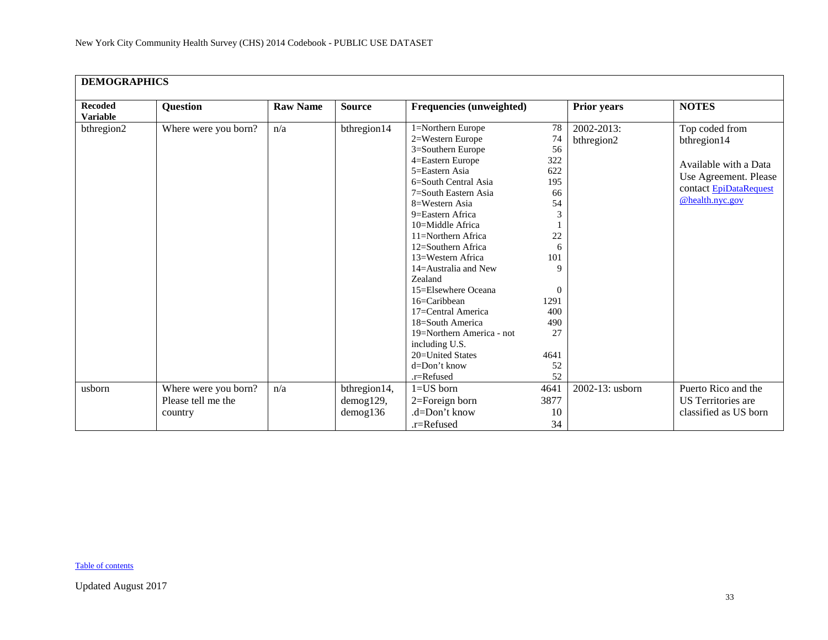| <b>Recoded</b><br><b>Variable</b> | <b>Question</b>                                       | <b>Raw Name</b> | <b>Source</b>                            | <b>Frequencies (unweighted)</b>                                                                                                                                                                                                                                                                                                                                                                                                                                                                         |                                                                                                                                               | <b>Prior years</b>       | <b>NOTES</b>                                                                                                                 |
|-----------------------------------|-------------------------------------------------------|-----------------|------------------------------------------|---------------------------------------------------------------------------------------------------------------------------------------------------------------------------------------------------------------------------------------------------------------------------------------------------------------------------------------------------------------------------------------------------------------------------------------------------------------------------------------------------------|-----------------------------------------------------------------------------------------------------------------------------------------------|--------------------------|------------------------------------------------------------------------------------------------------------------------------|
| bthregion2                        | Where were you born?                                  | n/a             | bthregion14                              | 1=Northern Europe<br>2=Western Europe<br>3=Southern Europe<br>4=Eastern Europe<br>5=Eastern Asia<br>6=South Central Asia<br>7=South Eastern Asia<br>$8=$ Western Asia<br>9=Eastern Africa<br>10=Middle Africa<br>11=Northern Africa<br>12=Southern Africa<br>13=Western Africa<br>$14 =$ Australia and New<br>Zealand<br>15=Elsewhere Oceana<br>16=Caribbean<br>17=Central America<br>18=South America<br>19=Northern America - not<br>including U.S.<br>20=United States<br>d=Don't know<br>.r=Refused | 78<br>74<br>56<br>322<br>622<br>195<br>66<br>54<br>3<br>22<br>6<br>101<br>9<br>$\overline{0}$<br>1291<br>400<br>490<br>27<br>4641<br>52<br>52 | 2002-2013:<br>bthregion2 | Top coded from<br>bthregion14<br>Available with a Data<br>Use Agreement. Please<br>contact EpiDataRequest<br>@health.nyc.gov |
| usborn                            | Where were you born?<br>Please tell me the<br>country | n/a             | bthregion14,<br>demog129,<br>$d$ emog136 | $1 = US$ born<br>2=Foreign born<br>.d=Don't know<br>.r=Refused                                                                                                                                                                                                                                                                                                                                                                                                                                          | 4641<br>3877<br>10<br>34                                                                                                                      | 2002-13: usborn          | Puerto Rico and the<br>US Territories are<br>classified as US born                                                           |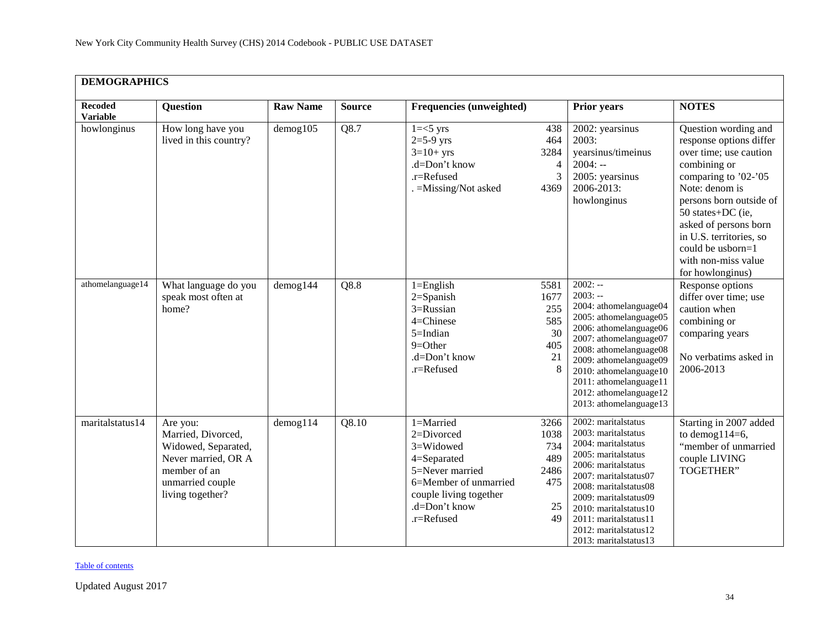| <b>DEMOGRAPHICS</b>               |                                                                                                                                      |                           |                   |                                                                                                                                                              |                                                             |                                                                                                                                                                                                                                                                                                    |                                                                                                                                                                                                                                                                                                         |  |  |
|-----------------------------------|--------------------------------------------------------------------------------------------------------------------------------------|---------------------------|-------------------|--------------------------------------------------------------------------------------------------------------------------------------------------------------|-------------------------------------------------------------|----------------------------------------------------------------------------------------------------------------------------------------------------------------------------------------------------------------------------------------------------------------------------------------------------|---------------------------------------------------------------------------------------------------------------------------------------------------------------------------------------------------------------------------------------------------------------------------------------------------------|--|--|
| <b>Recoded</b><br><b>Variable</b> | <b>Question</b>                                                                                                                      | <b>Raw Name</b>           | <b>Source</b>     | <b>Frequencies (unweighted)</b>                                                                                                                              |                                                             | <b>Prior years</b>                                                                                                                                                                                                                                                                                 | <b>NOTES</b>                                                                                                                                                                                                                                                                                            |  |  |
| howlonginus                       | How long have you<br>lived in this country?                                                                                          | $d$ emog $105$            | Q8.7              | $1 = < 5$ yrs<br>$2=5-9$ yrs<br>$3=10+$ yrs<br>.d=Don't know<br>.r=Refused<br>. = Missing/Not asked                                                          | 438<br>464<br>3284<br>$\overline{\mathcal{A}}$<br>3<br>4369 | 2002: yearsinus<br>2003:<br>yearsinus/timeinus<br>$2004: -$<br>2005: yearsinus<br>2006-2013:<br>howlonginus                                                                                                                                                                                        | Question wording and<br>response options differ<br>over time; use caution<br>combining or<br>comparing to '02-'05<br>Note: denom is<br>persons born outside of<br>50 states+DC (ie,<br>asked of persons born<br>in U.S. territories, so<br>could be usborn=1<br>with non-miss value<br>for howlonginus) |  |  |
| athomelanguage14                  | What language do you<br>speak most often at<br>home?                                                                                 | demog144                  | $Q8.\overline{8}$ | $1 =$ English<br>$2 =$ Spanish<br>3=Russian<br>4=Chinese<br>5=Indian<br>$9 = Other$<br>.d=Don't know<br>.r=Refused                                           | 5581<br>1677<br>255<br>585<br>30<br>405<br>21<br>8          | $2002: -$<br>$2003: -$<br>2004: athomelanguage04<br>2005: athomelanguage05<br>2006: athomelanguage06<br>2007: athomelanguage07<br>2008: athomelanguage08<br>2009: athomelanguage09<br>2010: athomelanguage10<br>2011: athomelanguage11<br>2012: athomelanguage12<br>2013: athomelanguage13         | Response options<br>differ over time; use<br>caution when<br>combining or<br>comparing years<br>No verbatims asked in<br>2006-2013                                                                                                                                                                      |  |  |
| maritalstatus14                   | Are you:<br>Married, Divorced,<br>Widowed, Separated,<br>Never married, OR A<br>member of an<br>unmarried couple<br>living together? | $d$ emog $11\overline{4}$ | Q8.10             | $1 =$ Married<br>2=Divorced<br>3=Widowed<br>4=Separated<br>5=Never married<br>6=Member of unmarried<br>couple living together<br>.d=Don't know<br>.r=Refused | 3266<br>1038<br>734<br>489<br>2486<br>475<br>25<br>49       | 2002: maritalstatus<br>2003: maritalstatus<br>2004: maritalstatus<br>2005: maritalstatus<br>2006: maritalstatus<br>2007: maritalstatus07<br>2008: maritalstatus08<br>2009: maritalstatus09<br>2010: marital status 10<br>2011: maritalstatus11<br>2012: marital status 12<br>2013: maritalstatus13 | Starting in 2007 added<br>to demog $114=6$ ,<br>"member of unmarried<br>couple LIVING<br><b>TOGETHER"</b>                                                                                                                                                                                               |  |  |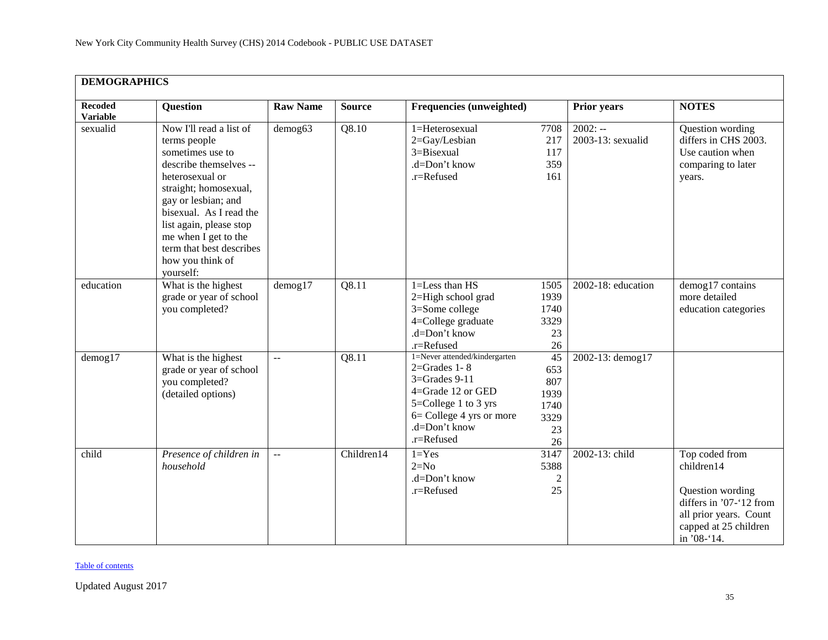| <b>DEMOGRAPHICS</b>               |                                                                                                                                                                                                                                                                                                     |                           |               |                                                                                                                                                                                     |                                                      |                                |                                                                                                                                               |  |  |
|-----------------------------------|-----------------------------------------------------------------------------------------------------------------------------------------------------------------------------------------------------------------------------------------------------------------------------------------------------|---------------------------|---------------|-------------------------------------------------------------------------------------------------------------------------------------------------------------------------------------|------------------------------------------------------|--------------------------------|-----------------------------------------------------------------------------------------------------------------------------------------------|--|--|
| <b>Recoded</b><br><b>Variable</b> | <b>Question</b>                                                                                                                                                                                                                                                                                     | <b>Raw Name</b>           | <b>Source</b> | <b>Frequencies (unweighted)</b>                                                                                                                                                     |                                                      | <b>Prior years</b>             | <b>NOTES</b>                                                                                                                                  |  |  |
| sexualid                          | Now I'll read a list of<br>terms people<br>sometimes use to<br>describe themselves --<br>heterosexual or<br>straight; homosexual,<br>gay or lesbian; and<br>bisexual. As I read the<br>list again, please stop<br>me when I get to the<br>term that best describes<br>how you think of<br>yourself: | demog63                   | Q8.10         | 1=Heterosexual<br>2=Gay/Lesbian<br>3=Bisexual<br>.d=Don't know<br>.r=Refused                                                                                                        | 7708<br>217<br>117<br>359<br>161                     | $2002: -$<br>2003-13: sexualid | Question wording<br>differs in CHS 2003.<br>Use caution when<br>comparing to later<br>years.                                                  |  |  |
| education                         | What is the highest<br>grade or year of school<br>you completed?                                                                                                                                                                                                                                    | $d$ emog $17$             | Q8.11         | 1=Less than HS<br>2=High school grad<br>3=Some college<br>4=College graduate<br>.d=Don't know<br>.r=Refused                                                                         | 1505<br>1939<br>1740<br>3329<br>23<br>26             | 2002-18: education             | demog17 contains<br>more detailed<br>education categories                                                                                     |  |  |
| demog17                           | What is the highest<br>grade or year of school<br>you completed?<br>(detailed options)                                                                                                                                                                                                              | $\mathbb{L}^{\mathbb{L}}$ | Q8.11         | 1=Never attended/kindergarten<br>$2 =$ Grades 1 - 8<br>$3 =$ Grades 9-11<br>4=Grade 12 or GED<br>5=College 1 to 3 yrs<br>$6 =$ College 4 yrs or more<br>.d=Don't know<br>.r=Refused | 45<br>653<br>807<br>1939<br>1740<br>3329<br>23<br>26 | 2002-13: demog17               |                                                                                                                                               |  |  |
| child                             | Presence of children in<br>household                                                                                                                                                                                                                                                                | $\mathbb{L}^{\mathbb{L}}$ | Children14    | $1 = Yes$<br>$2=N0$<br>.d=Don't know<br>.r=Refused                                                                                                                                  | 3147<br>5388<br>$\overline{c}$<br>25                 | 2002-13: child                 | Top coded from<br>children14<br>Question wording<br>differs in '07-'12 from<br>all prior years. Count<br>capped at 25 children<br>in '08-'14. |  |  |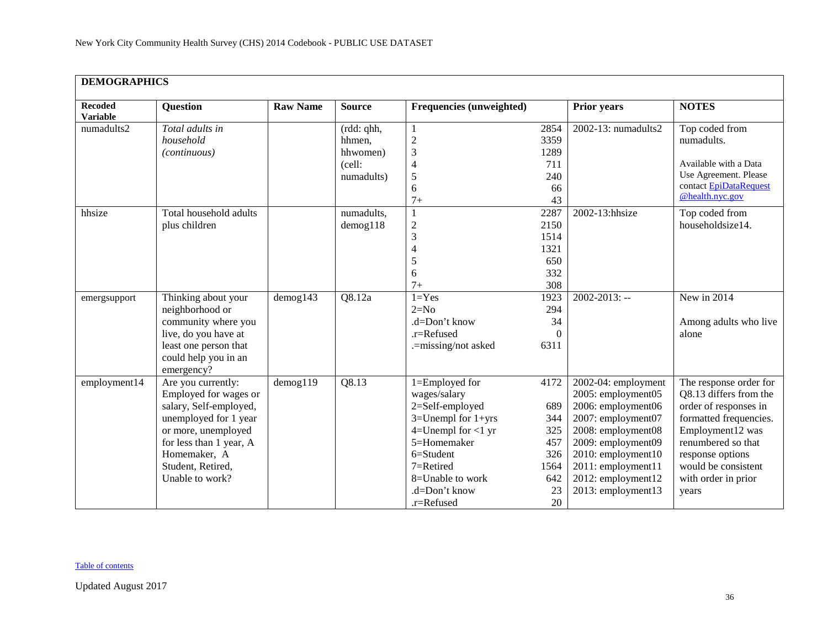| <b>DEMOGRAPHICS</b>               |                                                                                                                                                                                                          |                 |                                            |                                                                                                                                                                                                        |                                                                    |                                                                                                                                                                                                                           |                                                                                                                                                                                                                          |
|-----------------------------------|----------------------------------------------------------------------------------------------------------------------------------------------------------------------------------------------------------|-----------------|--------------------------------------------|--------------------------------------------------------------------------------------------------------------------------------------------------------------------------------------------------------|--------------------------------------------------------------------|---------------------------------------------------------------------------------------------------------------------------------------------------------------------------------------------------------------------------|--------------------------------------------------------------------------------------------------------------------------------------------------------------------------------------------------------------------------|
| <b>Recoded</b><br><b>Variable</b> | <b>Question</b>                                                                                                                                                                                          | <b>Raw Name</b> | <b>Source</b>                              | <b>Frequencies (unweighted)</b>                                                                                                                                                                        |                                                                    | <b>Prior years</b>                                                                                                                                                                                                        | <b>NOTES</b>                                                                                                                                                                                                             |
| numadults2                        | Total adults in<br>household<br>(continuous)                                                                                                                                                             |                 | (rdd: qhh,<br>hhmen,<br>hhwomen)<br>(cell: | 1<br>$\overline{c}$<br>$\overline{\mathbf{3}}$<br>$\overline{4}$                                                                                                                                       | 2854<br>3359<br>1289<br>711                                        | 2002-13: numadults2                                                                                                                                                                                                       | Top coded from<br>numadults.<br>Available with a Data                                                                                                                                                                    |
|                                   |                                                                                                                                                                                                          |                 | numadults)                                 | $\sqrt{5}$<br>6<br>$7+$                                                                                                                                                                                | 240<br>66<br>43                                                    |                                                                                                                                                                                                                           | Use Agreement. Please<br>contact EpiDataRequest<br>@health.nyc.gov                                                                                                                                                       |
| hhsize                            | Total household adults<br>plus children                                                                                                                                                                  |                 | numadults,<br>$d$ emog $118$               | 1<br>$\overline{c}$<br>$\mathfrak{Z}$<br>$\overline{4}$<br>5<br>6<br>$7+$                                                                                                                              | 2287<br>2150<br>1514<br>1321<br>650<br>332<br>308                  | 2002-13:hhsize                                                                                                                                                                                                            | Top coded from<br>householdsize14.                                                                                                                                                                                       |
| emergsupport                      | Thinking about your<br>neighborhood or<br>community where you<br>live, do you have at<br>least one person that<br>could help you in an<br>emergency?                                                     | $d$ emog $143$  | Q8.12a                                     | $1 = Yes$<br>$2=N0$<br>.d=Don't know<br>.r=Refused<br>.=missing/not asked                                                                                                                              | 1923<br>294<br>34<br>$\Omega$<br>6311                              | $2002 - 2013$ : --                                                                                                                                                                                                        | New in 2014<br>Among adults who live<br>alone                                                                                                                                                                            |
| employment14                      | Are you currently:<br>Employed for wages or<br>salary, Self-employed,<br>unemployed for 1 year<br>or more, unemployed<br>for less than 1 year, A<br>Homemaker, A<br>Student, Retired,<br>Unable to work? | demog119        | Q8.13                                      | 1=Employed for<br>wages/salary<br>2=Self-employed<br>$3=$ Unempl for $1+$ yrs<br>$4=$ Unempl for <1 yr<br>5=Homemaker<br>6=Student<br>$7 =$ Retired<br>8=Unable to work<br>.d=Don't know<br>.r=Refused | 4172<br>689<br>344<br>325<br>457<br>326<br>1564<br>642<br>23<br>20 | 2002-04: employment<br>2005: employment05<br>2006: employment06<br>2007: employment07<br>2008: employment08<br>2009: employment09<br>2010: employment10<br>2011: employment11<br>2012: employment12<br>2013: employment13 | The response order for<br>Q8.13 differs from the<br>order of responses in<br>formatted frequencies.<br>Employment12 was<br>renumbered so that<br>response options<br>would be consistent<br>with order in prior<br>years |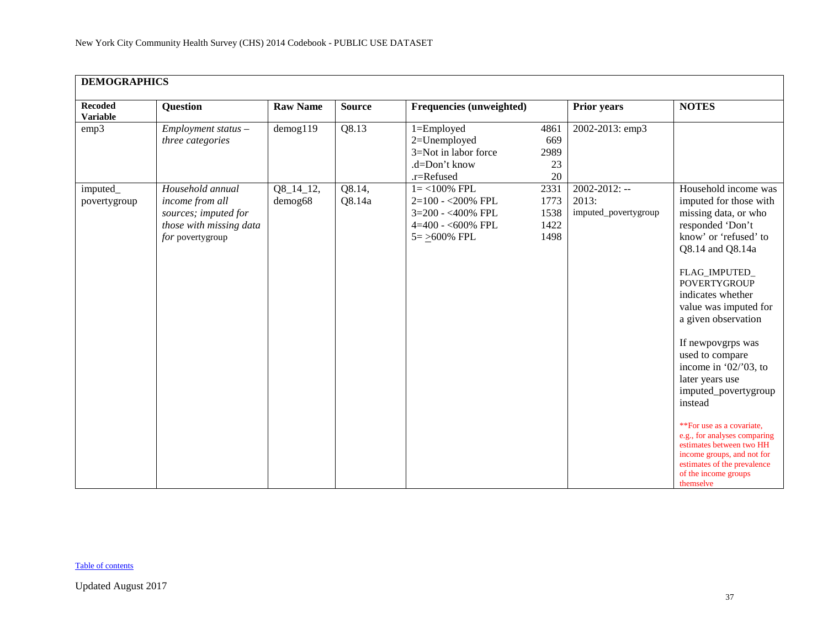| <b>DEMOGRAPHICS</b>               |                                                                                                            |                        |                  |                                                                                                        |                                      |                                                     |                                                                                                                                                                                                                                                                                                                                                                                                                                                                                                                                                                           |
|-----------------------------------|------------------------------------------------------------------------------------------------------------|------------------------|------------------|--------------------------------------------------------------------------------------------------------|--------------------------------------|-----------------------------------------------------|---------------------------------------------------------------------------------------------------------------------------------------------------------------------------------------------------------------------------------------------------------------------------------------------------------------------------------------------------------------------------------------------------------------------------------------------------------------------------------------------------------------------------------------------------------------------------|
| <b>Recoded</b><br><b>Variable</b> | <b>Question</b>                                                                                            | <b>Raw Name</b>        | <b>Source</b>    | Frequencies (unweighted)                                                                               |                                      | <b>Prior years</b>                                  | <b>NOTES</b>                                                                                                                                                                                                                                                                                                                                                                                                                                                                                                                                                              |
| emp3                              | $Employment status -$<br>three categories                                                                  | $d$ emog $119$         | Q8.13            | 1=Employed<br>2=Unemployed<br>3=Not in labor force<br>.d=Don't know<br>.r=Refused                      | 4861<br>669<br>2989<br>23<br>20      | 2002-2013: emp3                                     |                                                                                                                                                                                                                                                                                                                                                                                                                                                                                                                                                                           |
| imputed_<br>povertygroup          | Household annual<br>income from all<br>sources; imputed for<br>those with missing data<br>for povertygroup | $Q8_14_12,$<br>demog68 | Q8.14,<br>Q8.14a | $1 = <100\%$ FPL<br>$2=100 - 200\%$ FPL<br>3=200 - <400% FPL<br>$4=400 - 600\%$ FPL<br>$5 = 500\%$ FPL | 2331<br>1773<br>1538<br>1422<br>1498 | $2002 - 2012$ : --<br>2013:<br>imputed_povertygroup | Household income was<br>imputed for those with<br>missing data, or who<br>responded 'Don't<br>know' or 'refused' to<br>Q8.14 and Q8.14a<br>FLAG_IMPUTED<br><b>POVERTYGROUP</b><br>indicates whether<br>value was imputed for<br>a given observation<br>If newpovgrps was<br>used to compare<br>income in ' $02$ /'03, to<br>later years use<br>imputed_povertygroup<br>instead<br>**For use as a covariate,<br>e.g., for analyses comparing<br>estimates between two HH<br>income groups, and not for<br>estimates of the prevalence<br>of the income groups<br>themselve |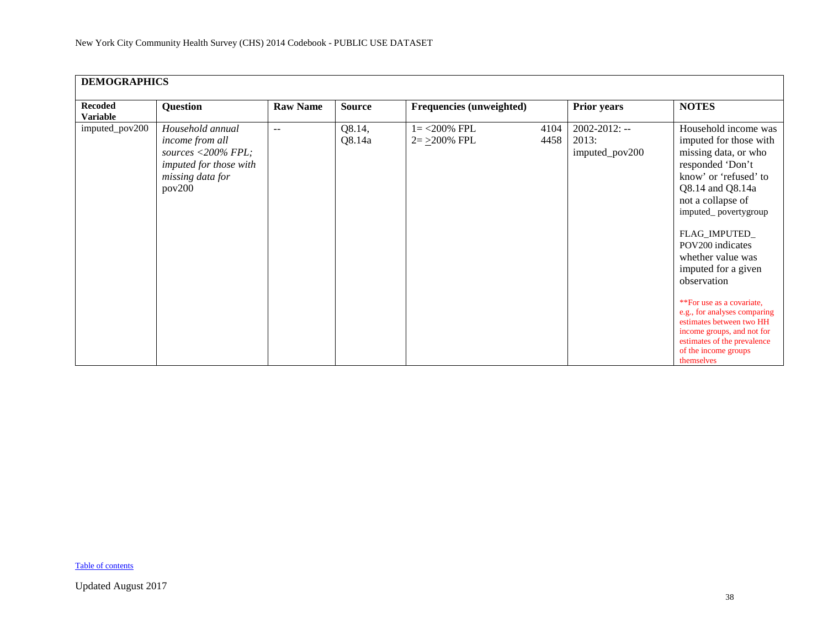| <b>DEMOGRAPHICS</b>               |                                                                                                                   |                 |                  |                                    |              |                                               |                                                                                                                                                                                                                                                                                                                                                                                                                                                                                  |
|-----------------------------------|-------------------------------------------------------------------------------------------------------------------|-----------------|------------------|------------------------------------|--------------|-----------------------------------------------|----------------------------------------------------------------------------------------------------------------------------------------------------------------------------------------------------------------------------------------------------------------------------------------------------------------------------------------------------------------------------------------------------------------------------------------------------------------------------------|
| <b>Recoded</b><br><b>Variable</b> | <b>Question</b>                                                                                                   | <b>Raw Name</b> | <b>Source</b>    | <b>Frequencies (unweighted)</b>    |              | <b>Prior years</b>                            | <b>NOTES</b>                                                                                                                                                                                                                                                                                                                                                                                                                                                                     |
| imputed_pov200                    | Household annual<br>income from all<br>sources <200% FPL;<br>imputed for those with<br>missing data for<br>pov200 | $ -$            | Q8.14,<br>Q8.14a | $1 = 200\%$ FPL<br>$2 = 200\%$ FPL | 4104<br>4458 | $2002 - 2012$ : --<br>2013:<br>imputed_pov200 | Household income was<br>imputed for those with<br>missing data, or who<br>responded 'Don't<br>know' or 'refused' to<br>Q8.14 and Q8.14a<br>not a collapse of<br>imputed_povertygroup<br>FLAG_IMPUTED_<br>POV200 indicates<br>whether value was<br>imputed for a given<br>observation<br>**For use as a covariate,<br>e.g., for analyses comparing<br>estimates between two HH<br>income groups, and not for<br>estimates of the prevalence<br>of the income groups<br>themselves |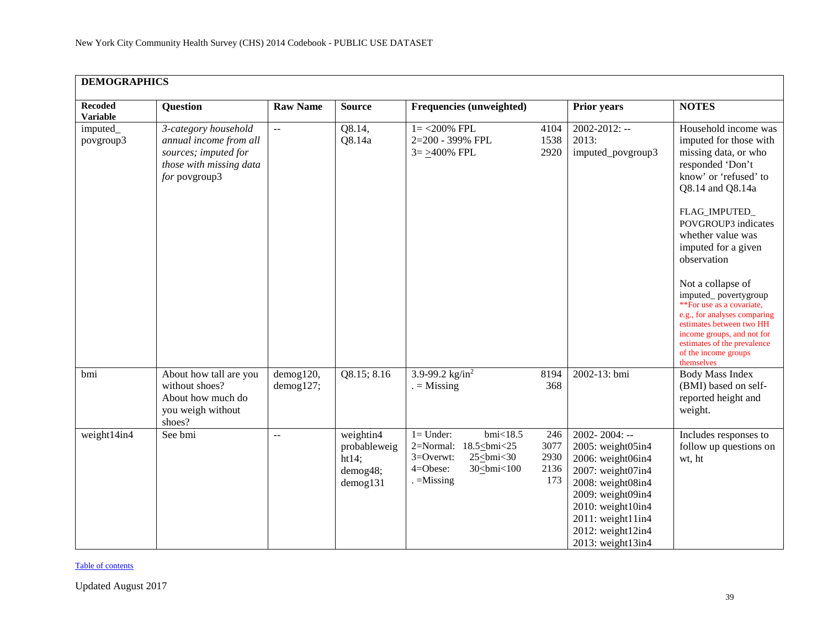| <b>DEMOGRAPHICS</b>               |                                                                                                                    |                        |                                                                  |                                                                                                   |                                    |                                                                                                                                                                                                                 |                                                                                                                                                                                                                                                                                                                                                                                                                                                                                     |
|-----------------------------------|--------------------------------------------------------------------------------------------------------------------|------------------------|------------------------------------------------------------------|---------------------------------------------------------------------------------------------------|------------------------------------|-----------------------------------------------------------------------------------------------------------------------------------------------------------------------------------------------------------------|-------------------------------------------------------------------------------------------------------------------------------------------------------------------------------------------------------------------------------------------------------------------------------------------------------------------------------------------------------------------------------------------------------------------------------------------------------------------------------------|
| <b>Recoded</b><br><b>Variable</b> | <b>Question</b>                                                                                                    | <b>Raw Name</b>        | <b>Source</b>                                                    | Frequencies (unweighted)                                                                          |                                    | <b>Prior years</b>                                                                                                                                                                                              | <b>NOTES</b>                                                                                                                                                                                                                                                                                                                                                                                                                                                                        |
| imputed_<br>povgroup3             | 3-category household<br>annual income from all<br>sources; imputed for<br>those with missing data<br>for povgroup3 | $\overline{a}$         | Q8.14,<br>Q8.14a                                                 | $1 = 200\%$ FPL<br>2=200 - 399% FPL<br>$3 = \geq 400\%$ FPL                                       | 4104<br>1538<br>2920               | $2002 - 2012$ : --<br>2013:<br>imputed_povgroup3                                                                                                                                                                | Household income was<br>imputed for those with<br>missing data, or who<br>responded 'Don't<br>know' or 'refused' to<br>Q8.14 and Q8.14a<br>FLAG_IMPUTED_<br>POVGROUP3 indicates<br>whether value was<br>imputed for a given<br>observation<br>Not a collapse of<br>imputed_povertygroup<br>**For use as a covariate,<br>e.g., for analyses comparing<br>estimates between two HH<br>income groups, and not for<br>estimates of the prevalence<br>of the income groups<br>themselves |
| bmi                               | About how tall are you<br>without shoes?<br>About how much do<br>you weigh without<br>shoes?                       | demog120,<br>demog127; | Q8.15; 8.16                                                      | 3.9-99.2 $\text{kg/in}^2$<br>$=$ Missing                                                          | 8194<br>368                        | 2002-13: bmi                                                                                                                                                                                                    | <b>Body Mass Index</b><br>(BMI) based on self-<br>reported height and<br>weight.                                                                                                                                                                                                                                                                                                                                                                                                    |
| weight14in4                       | See bmi                                                                                                            | $\overline{a}$         | weightin4<br>probableweig<br>ht14;<br>demog48;<br>$d$ emog $131$ | $1 =$ Under:<br>$bmi$ <18.5<br>2=Normal:<br>18.5<br>bmi<25<br>3=Overwt:<br>$25 \leq bmi < 30$<br> | 246<br>3077<br>2930<br>2136<br>173 | $2002 - 2004$ : --<br>2005: weight05in4<br>2006: weight06in4<br>2007: weight07in4<br>2008: weight08in4<br>2009: weight09in4<br>2010: weight10in4<br>2011: weight11in4<br>2012: weight12in4<br>2013: weight13in4 | Includes responses to<br>follow up questions on<br>wt, ht                                                                                                                                                                                                                                                                                                                                                                                                                           |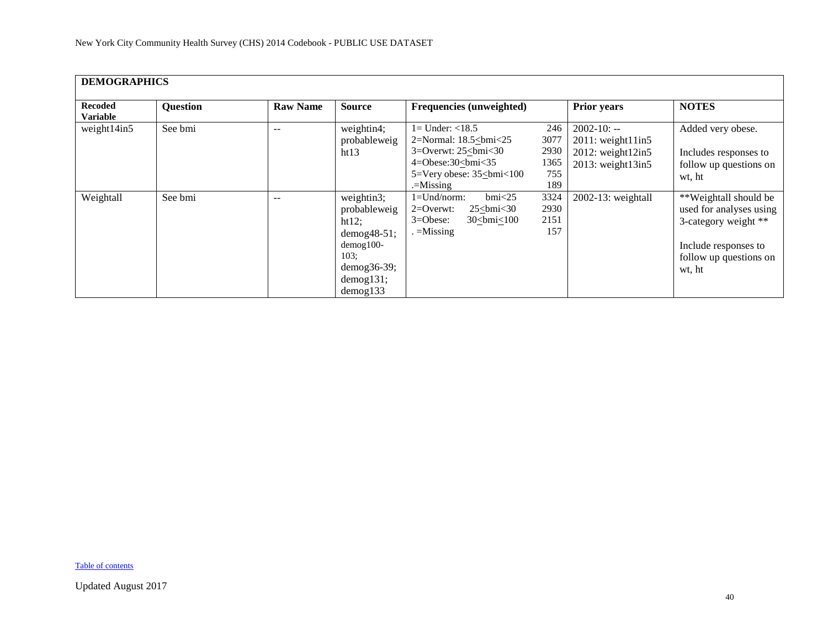| <b>DEMOGRAPHICS</b>               |                 |                 |                                                                                                                                 |                                                                                                                                                               |                                           |                                                                                                    |                                                                                                                                      |
|-----------------------------------|-----------------|-----------------|---------------------------------------------------------------------------------------------------------------------------------|---------------------------------------------------------------------------------------------------------------------------------------------------------------|-------------------------------------------|----------------------------------------------------------------------------------------------------|--------------------------------------------------------------------------------------------------------------------------------------|
| <b>Recoded</b><br><b>Variable</b> | <b>Question</b> | <b>Raw Name</b> | <b>Source</b>                                                                                                                   | Frequencies (unweighted)                                                                                                                                      |                                           | Prior years                                                                                        | <b>NOTES</b>                                                                                                                         |
| weight14in5                       | See bmi         | --              | weightin4;<br>probableweig<br>ht13                                                                                              | $1 =$ Under: $<$ 18.5<br>2=Normal: $18.5 \leq b$ mi<25<br>3=Overwt: $25\le$ bmi<30<br>$4 = Obese:30 < bmi < 35$<br>5=Very obese: 35<br>bmi<100<br>$=$ Missing | 246<br>3077<br>2930<br>1365<br>755<br>189 | $2002 - 10: -$<br>$2011$ : weight $11$ in5<br>$2012$ : weight $12$ in5<br>$2013$ : weight $13$ in5 | Added very obese.<br>Includes responses to<br>follow up questions on<br>wt, ht                                                       |
| Weightall                         | See bmi         | $- -$           | weightin3;<br>probableweig<br>ht12;<br>$demog48-51;$<br>$d$ emog $100-$<br>103;<br>$demog36-39;$<br>demog131;<br>$d$ emog $133$ | $bmi$ <25<br>$1 =$ Und/norm:<br>$2=0$ verwt:<br>$25 \leq b$ mi<30<br>$3 = O$ bese:<br>$30 \leq bmi \leq 100$<br>$=$ Missing                                   | 3324<br>2930<br>2151<br>157               | $2002-13$ : weightall                                                                              | **Weightall should be<br>used for analyses using<br>3-category weight **<br>Include responses to<br>follow up questions on<br>wt, ht |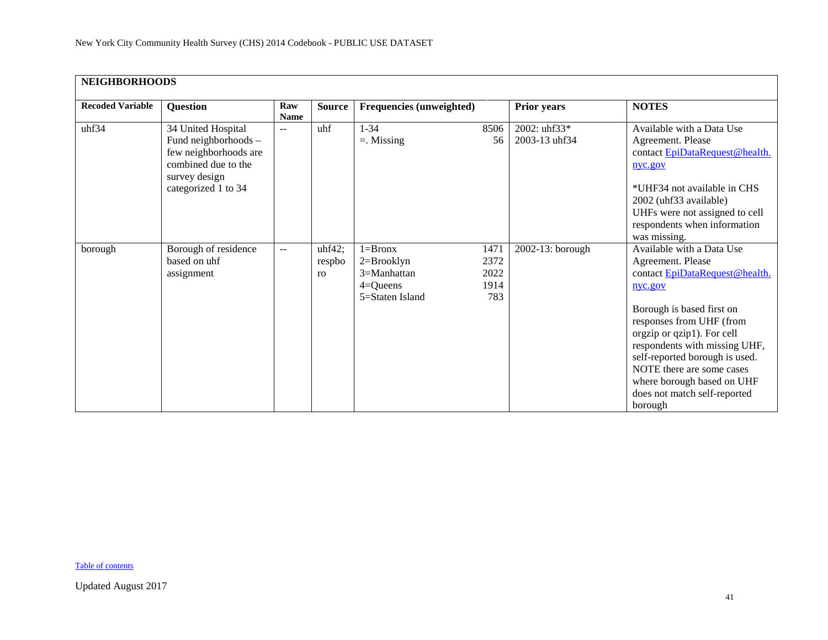<span id="page-40-0"></span>

| <b>NEIGHBORHOODS</b>    |                                                                                                                                    |                    |                        |                                                                                   |                                     |                               |                                                                                                                                                                                                                                                                                                                                                             |  |  |  |
|-------------------------|------------------------------------------------------------------------------------------------------------------------------------|--------------------|------------------------|-----------------------------------------------------------------------------------|-------------------------------------|-------------------------------|-------------------------------------------------------------------------------------------------------------------------------------------------------------------------------------------------------------------------------------------------------------------------------------------------------------------------------------------------------------|--|--|--|
| <b>Recoded Variable</b> | <b>Question</b>                                                                                                                    | Raw<br><b>Name</b> | <b>Source</b>          | <b>Frequencies (unweighted)</b>                                                   |                                     | <b>Prior years</b>            | <b>NOTES</b>                                                                                                                                                                                                                                                                                                                                                |  |  |  |
| uhf34                   | 34 United Hospital<br>Fund neighborhoods -<br>few neighborhoods are<br>combined due to the<br>survey design<br>categorized 1 to 34 | $\sim$ $\sim$      | uhf                    | $1 - 34$<br>$=$ . Missing                                                         | 8506<br>56                          | 2002: uhf33*<br>2003-13 uhf34 | Available with a Data Use<br>Agreement. Please<br>contact EpiDataRequest@health.<br>nyc.gov<br>*UHF34 not available in CHS<br>2002 (uhf33 available)<br>UHFs were not assigned to cell<br>respondents when information<br>was missing.                                                                                                                      |  |  |  |
| borough                 | Borough of residence<br>based on uhf<br>assignment                                                                                 | $\overline{a}$     | uhf42;<br>respbo<br>ro | $1 =$ Bronx<br>$2 = Brooklyn$<br>$3=Manhattan$<br>$4 =$ Queens<br>5=Staten Island | 1471<br>2372<br>2022<br>1914<br>783 | 2002-13: borough              | Available with a Data Use<br>Agreement. Please<br>contact EpiDataRequest@health.<br>nyc.gov<br>Borough is based first on<br>responses from UHF (from<br>orgzip or qzip1). For cell<br>respondents with missing UHF,<br>self-reported borough is used.<br>NOTE there are some cases<br>where borough based on UHF<br>does not match self-reported<br>borough |  |  |  |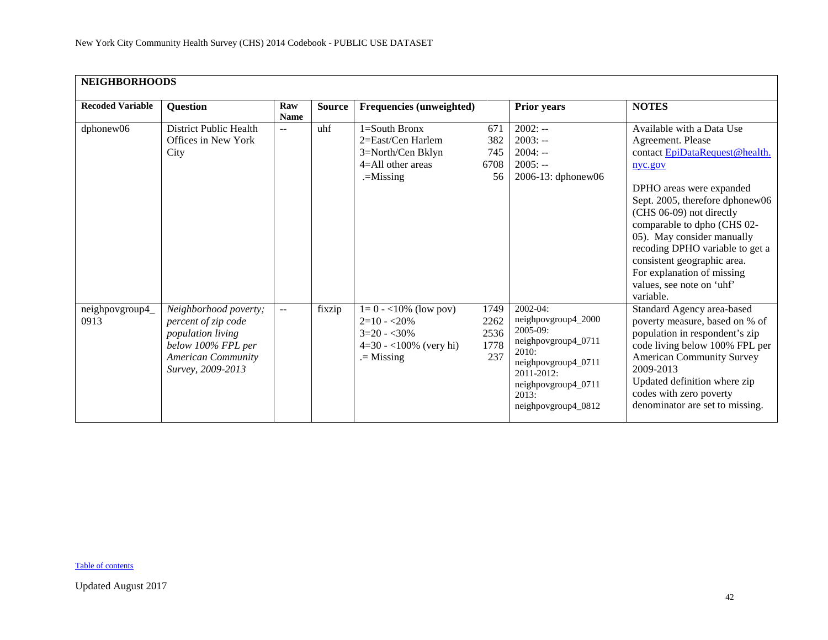| <b>NEIGHBORHOODS</b>    |                                                                                                                                           |                      |               |                                                                                                     |                                     |                                                                                                                                                                              |                                                                                                                                                                                                                                                                                                                                                                                               |  |  |  |  |
|-------------------------|-------------------------------------------------------------------------------------------------------------------------------------------|----------------------|---------------|-----------------------------------------------------------------------------------------------------|-------------------------------------|------------------------------------------------------------------------------------------------------------------------------------------------------------------------------|-----------------------------------------------------------------------------------------------------------------------------------------------------------------------------------------------------------------------------------------------------------------------------------------------------------------------------------------------------------------------------------------------|--|--|--|--|
| <b>Recoded Variable</b> | <b>Question</b>                                                                                                                           | Raw<br><b>Name</b>   | <b>Source</b> | <b>Frequencies (unweighted)</b>                                                                     |                                     | Prior years                                                                                                                                                                  | <b>NOTES</b>                                                                                                                                                                                                                                                                                                                                                                                  |  |  |  |  |
| dphonew06               | <b>District Public Health</b><br>Offices in New York<br>City                                                                              | $-$                  | uhf           | 1=South Bronx<br>2=East/Cen Harlem<br>3=North/Cen Bklyn<br>$4 =$ All other areas<br>$=$ Missing     | 671<br>382<br>745<br>6708<br>56     | $2002: -$<br>$2003: -$<br>$2004: -$<br>$2005: -$<br>2006-13: dphonew06                                                                                                       | Available with a Data Use<br>Agreement. Please<br>contact EpiDataRequest@health.<br>nyc.gov<br>DPHO areas were expanded<br>Sept. 2005, therefore dphonew06<br>(CHS 06-09) not directly<br>comparable to dpho (CHS 02-<br>05). May consider manually<br>recoding DPHO variable to get a<br>consistent geographic area.<br>For explanation of missing<br>values, see note on 'uhf'<br>variable. |  |  |  |  |
| neighpovgroup4_<br>0913 | Neighborhood poverty;<br>percent of zip code<br>population living<br>below 100% FPL per<br><b>American Community</b><br>Survey, 2009-2013 | $\mathbb{L}^{\perp}$ | fixzip        | $1=0 - 10\%$ (low pov)<br>$2=10 - 20\%$<br>$3=20 - 30\%$<br>$4=30 - 100\%$ (very hi)<br>$=$ Missing | 1749<br>2262<br>2536<br>1778<br>237 | 2002-04:<br>neighpovgroup4_2000<br>2005-09:<br>neighpovgroup4_0711<br>2010:<br>neighpovgroup4_0711<br>$2011 - 2012$ :<br>neighpovgroup4_0711<br>2013:<br>neighpovgroup4_0812 | Standard Agency area-based<br>poverty measure, based on % of<br>population in respondent's zip<br>code living below 100% FPL per<br><b>American Community Survey</b><br>2009-2013<br>Updated definition where zip<br>codes with zero poverty<br>denominator are set to missing.                                                                                                               |  |  |  |  |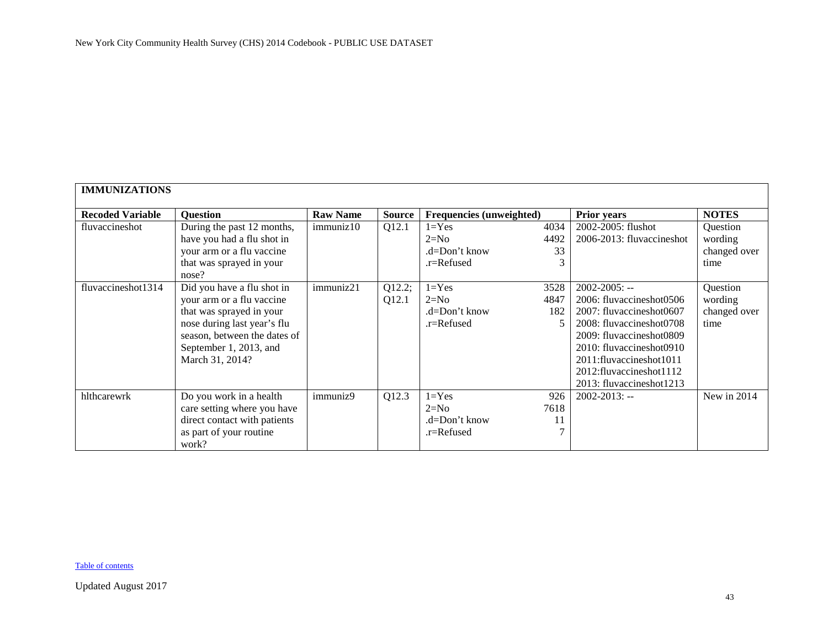<span id="page-42-0"></span>

|                         | <b>IMMUNIZATIONS</b>         |                 |               |                          |      |                            |              |  |  |  |  |  |
|-------------------------|------------------------------|-----------------|---------------|--------------------------|------|----------------------------|--------------|--|--|--|--|--|
|                         |                              |                 |               |                          |      |                            |              |  |  |  |  |  |
| <b>Recoded Variable</b> | <b>Question</b>              | <b>Raw Name</b> | <b>Source</b> | Frequencies (unweighted) |      | <b>Prior years</b>         | <b>NOTES</b> |  |  |  |  |  |
| fluvaccineshot          | During the past 12 months,   | immuniz10       | Q12.1         | $1 = Yes$                | 4034 | 2002-2005: flushot         | Question     |  |  |  |  |  |
|                         | have you had a flu shot in   |                 |               | $2=N0$                   | 4492 | 2006-2013: fluvaccineshot  | wording      |  |  |  |  |  |
|                         | your arm or a flu vaccine    |                 |               | $d = Don't know$         | 33   |                            | changed over |  |  |  |  |  |
|                         | that was sprayed in your     |                 |               | .r=Refused               | 3    |                            | time         |  |  |  |  |  |
|                         | nose?                        |                 |               |                          |      |                            |              |  |  |  |  |  |
| fluvaccineshot1314      | Did you have a flu shot in   | immuniz21       | Q12.2;        | $1 = Yes$                | 3528 | $2002 - 2005$ : --         | Question     |  |  |  |  |  |
|                         | your arm or a flu vaccine    |                 | Q12.1         | $2=N0$                   | 4847 | 2006: fluvaccineshot0506   | wording      |  |  |  |  |  |
|                         | that was sprayed in your     |                 |               | $d = Don't know$         | 182  | 2007: fluvaccineshot0607   | changed over |  |  |  |  |  |
|                         | nose during last year's flu  |                 |               | .r=Refused               | .5   | 2008: fluvaccineshot0708   | time         |  |  |  |  |  |
|                         | season, between the dates of |                 |               |                          |      | 2009: fluvaccineshot0809   |              |  |  |  |  |  |
|                         | September 1, 2013, and       |                 |               |                          |      | 2010: fluvaccineshot0910   |              |  |  |  |  |  |
|                         | March 31, 2014?              |                 |               |                          |      | 2011:fluvaccineshot1011    |              |  |  |  |  |  |
|                         |                              |                 |               |                          |      | 2012: fluvaccines hot 1112 |              |  |  |  |  |  |
|                         |                              |                 |               |                          |      | 2013: fluvaccineshot1213   |              |  |  |  |  |  |
| hlthcarewrk             | Do you work in a health      | immuniz9        | Q12.3         | $1 = Yes$                | 926  | $2002 - 2013$ : --         | New in 2014  |  |  |  |  |  |
|                         | care setting where you have  |                 |               | $2=N0$                   | 7618 |                            |              |  |  |  |  |  |
|                         | direct contact with patients |                 |               | $d = Don't know$         | 11   |                            |              |  |  |  |  |  |
|                         | as part of your routine      |                 |               | .r=Refused               |      |                            |              |  |  |  |  |  |
|                         | work?                        |                 |               |                          |      |                            |              |  |  |  |  |  |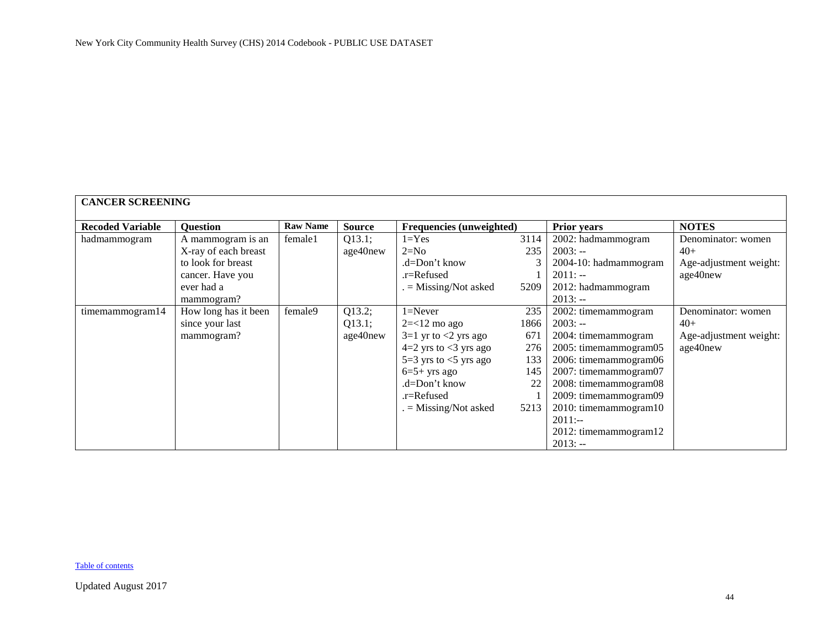<span id="page-43-0"></span>

| <b>CANCER SCREENING</b> |                      |                 |               |                                 |      |                       |                        |  |  |
|-------------------------|----------------------|-----------------|---------------|---------------------------------|------|-----------------------|------------------------|--|--|
| <b>Recoded Variable</b> | <b>Question</b>      | <b>Raw Name</b> | <b>Source</b> | <b>Frequencies (unweighted)</b> |      | <b>Prior years</b>    | <b>NOTES</b>           |  |  |
| hadmammogram            | A mammogram is an    | female1         | Q13.1;        | $1 = Yes$                       | 3114 | 2002: hadmammogram    | Denominator: women     |  |  |
|                         | X-ray of each breast |                 | age40new      | $2=N0$                          | 235  | $2003: -$             | $40+$                  |  |  |
|                         | to look for breast   |                 |               | .d=Don't know                   |      | 2004-10: hadmammogram | Age-adjustment weight: |  |  |
|                         | cancer. Have you     |                 |               | .r=Refused                      |      | $2011: -$             | age40new               |  |  |
|                         | ever had a           |                 |               | $=$ Missing/Not asked           | 5209 | 2012: hadmammogram    |                        |  |  |
|                         | mammogram?           |                 |               |                                 |      | $2013: -$             |                        |  |  |
| timemammogram14         | How long has it been | female9         | Q13.2;        | $1 =$ Never                     | 235  | 2002: timemammogram   | Denominator: women     |  |  |
|                         | since your last      |                 | Q13.1;        | $2 = 12$ mo ago                 | 1866 | $2003: -$             | $40+$                  |  |  |
|                         | mammogram?           |                 | age40new      | $3=1$ yr to $<2$ yrs ago        | 671  | 2004: timemammogram   | Age-adjustment weight: |  |  |
|                         |                      |                 |               | $4=2$ yrs to $<$ 3 yrs ago      | 276  | 2005: timemammogram05 | age40new               |  |  |
|                         |                      |                 |               | $5=3$ yrs to $<5$ yrs ago       | 133  | 2006: timemammogram06 |                        |  |  |
|                         |                      |                 |               | $6=5+$ yrs ago                  | 145  | 2007: timemammogram07 |                        |  |  |
|                         |                      |                 |               | .d=Don't know                   | 22   | 2008: timemammogram08 |                        |  |  |
|                         |                      |                 |               | $.r =$ Refused                  |      | 2009: timemammogram09 |                        |  |  |
|                         |                      |                 |               | $=$ Missing/Not asked           | 5213 | 2010: timemammogram10 |                        |  |  |
|                         |                      |                 |               |                                 |      | $2011: -$             |                        |  |  |
|                         |                      |                 |               |                                 |      | 2012: timemammogram12 |                        |  |  |
|                         |                      |                 |               |                                 |      | $2013: -$             |                        |  |  |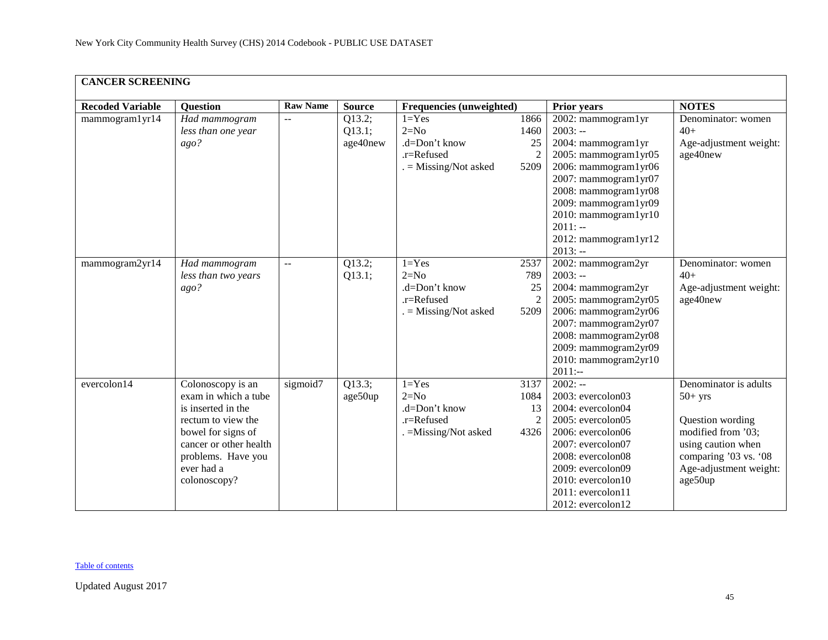| <b>CANCER SCREENING</b> |                                                                                                                                                                                           |                 |                              |                                                                                 |                                              |                                                                                                                                                                                                                                                         |                                                                                                                                                                  |
|-------------------------|-------------------------------------------------------------------------------------------------------------------------------------------------------------------------------------------|-----------------|------------------------------|---------------------------------------------------------------------------------|----------------------------------------------|---------------------------------------------------------------------------------------------------------------------------------------------------------------------------------------------------------------------------------------------------------|------------------------------------------------------------------------------------------------------------------------------------------------------------------|
| <b>Recoded Variable</b> | <b>Question</b>                                                                                                                                                                           | <b>Raw Name</b> | <b>Source</b>                | <b>Frequencies (unweighted)</b>                                                 |                                              | <b>Prior years</b>                                                                                                                                                                                                                                      | <b>NOTES</b>                                                                                                                                                     |
| mammogram1yr14          | Had mammogram<br>less than one year<br>ago?                                                                                                                                               | --              | Q13.2;<br>Q13.1;<br>age40new | $1 = Yes$<br>$2=N0$<br>.d=Don't know<br>.r=Refused<br>$=$ Missing/Not asked     | 1866<br>1460<br>25<br>$\overline{2}$<br>5209 | 2002: mammogram1yr<br>$2003: -$<br>2004: mammogram1yr<br>2005: mammogram1yr05<br>2006: mammogram1yr06<br>2007: mammogram1yr07<br>2008: mammogram1yr08<br>2009: mammogram1yr09<br>2010: mammogram1yr10<br>$2011: -$<br>2012: mammogram1yr12<br>$2013: -$ | Denominator: women<br>$40+$<br>Age-adjustment weight:<br>age40new                                                                                                |
| mammogram2yr14          | Had mammogram<br>less than two years<br>ago?                                                                                                                                              | $-$             | Q13.2;<br>Q13.1;             | $1 = Yes$<br>$2=N0$<br>.d=Don't know<br>.r=Refused<br>$=$ Missing/Not asked     | 2537<br>789<br>25<br>$\overline{2}$<br>5209  | 2002: mammogram2yr<br>$2003: -$<br>2004: mammogram2yr<br>2005: mammogram2yr05<br>2006: mammogram2yr06<br>2007: mammogram2yr07<br>2008: mammogram2yr08<br>2009: mammogram2yr09<br>2010: mammogram2yr10<br>$2011:-$                                       | Denominator: women<br>$40+$<br>Age-adjustment weight:<br>age40new                                                                                                |
| evercolon14             | Colonoscopy is an<br>exam in which a tube<br>is inserted in the<br>rectum to view the<br>bowel for signs of<br>cancer or other health<br>problems. Have you<br>ever had a<br>colonoscopy? | sigmoid7        | Q13.3;<br>age50up            | $1 = Yes$<br>$2=N0$<br>.d=Don't know<br>$.r =$ Refused<br>. = Missing/Not asked | 3137<br>1084<br>13<br>2<br>4326              | $2002: -$<br>2003: evercolon03<br>2004: evercolon04<br>2005: evercolon05<br>2006: evercolon06<br>2007: evercolon07<br>2008: evercolon08<br>2009: evercolon09<br>$2010$ : evercolon $10$<br>$2011$ : evercolon $11$<br>2012: evercolon12                 | Denominator is adults<br>$50+$ yrs<br>Question wording<br>modified from '03;<br>using caution when<br>comparing '03 vs. '08<br>Age-adjustment weight:<br>age50up |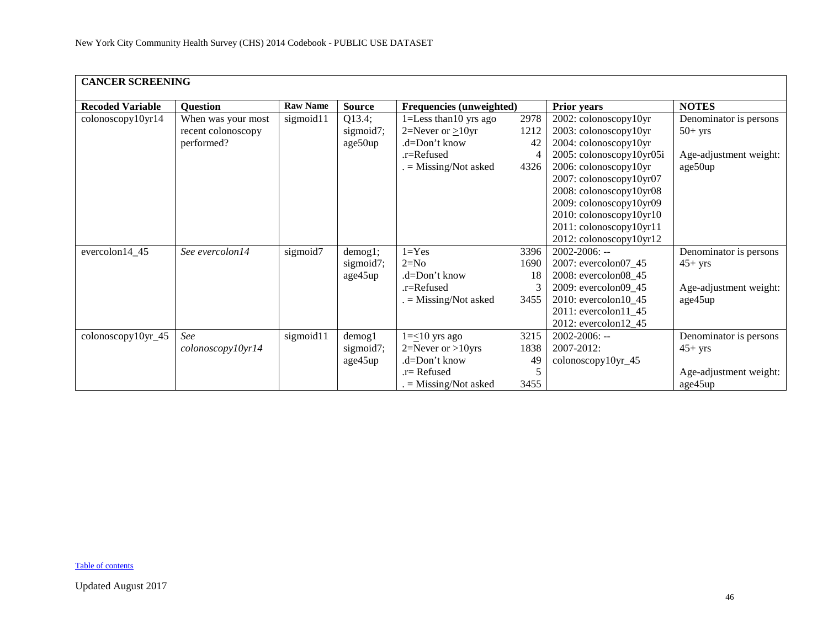| <b>CANCER SCREENING</b> |                    |                 |               |                            |      |                          |                        |  |  |
|-------------------------|--------------------|-----------------|---------------|----------------------------|------|--------------------------|------------------------|--|--|
| <b>Recoded Variable</b> | <b>Question</b>    | <b>Raw Name</b> | <b>Source</b> | Frequencies (unweighted)   |      | <b>Prior years</b>       | <b>NOTES</b>           |  |  |
| colonoscopy10yr14       | When was your most | sigmoid11       | Q13.4;        | $1 =$ Less than 10 yrs ago | 2978 | 2002: colonoscopy10yr    | Denominator is persons |  |  |
|                         | recent colonoscopy |                 | sigmoid7;     | 2=Never or $\geq$ 10yr     | 1212 | 2003: colonoscopy10yr    | $50+$ yrs              |  |  |
|                         | performed?         |                 | age50up       | .d=Don't know              | 42   | 2004: colonoscopy10yr    |                        |  |  |
|                         |                    |                 |               | .r=Refused                 |      | 2005: colonoscopy10yr05i | Age-adjustment weight: |  |  |
|                         |                    |                 |               | $=$ Missing/Not asked      | 4326 | 2006: colonoscopy10yr    | age50up                |  |  |
|                         |                    |                 |               |                            |      | 2007: colonoscopy10yr07  |                        |  |  |
|                         |                    |                 |               |                            |      | 2008: colonoscopy10yr08  |                        |  |  |
|                         |                    |                 |               |                            |      | 2009: colonoscopy10yr09  |                        |  |  |
|                         |                    |                 |               |                            |      | 2010: colonoscopy10yr10  |                        |  |  |
|                         |                    |                 |               |                            |      | 2011: colonoscopy10yr11  |                        |  |  |
|                         |                    |                 |               |                            |      | 2012: colonoscopy10yr12  |                        |  |  |
| evercolon14_45          | See evercolon14    | sigmoid7        | demog1;       | $1 = Yes$                  | 3396 | $2002 - 2006$ : --       | Denominator is persons |  |  |
|                         |                    |                 | sigmoid7;     | $2=N0$                     | 1690 | 2007: evercolon07_45     | $45+$ yrs              |  |  |
|                         |                    |                 | age45up       | .d=Don't know              | 18   | 2008: evercolon08_45     |                        |  |  |
|                         |                    |                 |               | $.r =$ Refused             |      | 2009: evercolon09 45     | Age-adjustment weight: |  |  |
|                         |                    |                 |               | $=$ Missing/Not asked      | 3455 | 2010: evercolon $10$ _45 | age45up                |  |  |
|                         |                    |                 |               |                            |      | 2011: evercolon11 45     |                        |  |  |
|                         |                    |                 |               |                            |      | 2012: evercolon12_45     |                        |  |  |
| colonoscopy10yr_45      | See                | sigmoid11       | $d$ emog $1$  | $1=\leq 10$ yrs ago        | 3215 | $2002 - 2006$ : --       | Denominator is persons |  |  |
|                         | colonoscopy10yr14  |                 | sigmoid7;     | $2 =$ Never or >10yrs      | 1838 | 2007-2012:               | $45+$ yrs              |  |  |
|                         |                    |                 | age45up       | .d=Don't know              | 49   | $colonoscopy10yr_45$     |                        |  |  |
|                         |                    |                 |               | $r =$ Refused              | 5    |                          | Age-adjustment weight: |  |  |
|                         |                    |                 |               | $=$ Missing/Not asked      | 3455 |                          | age45up                |  |  |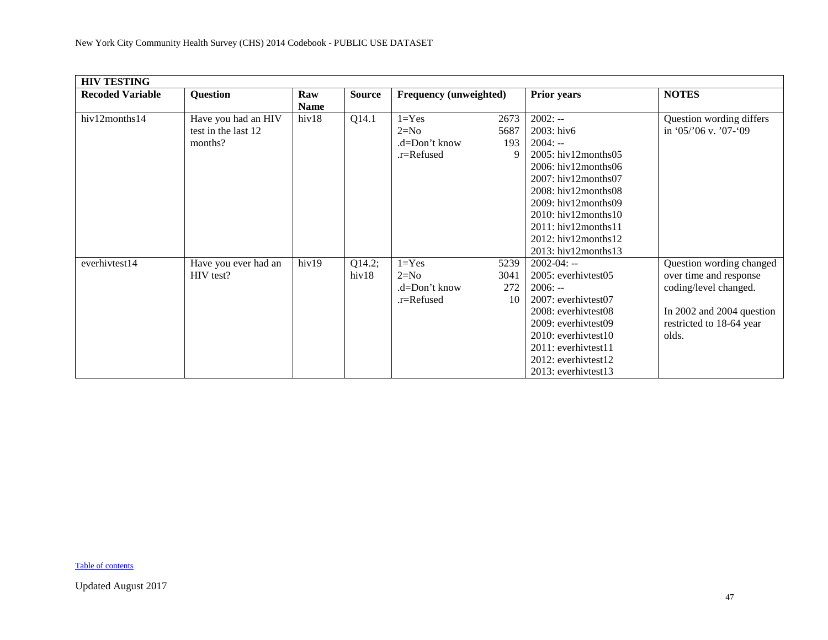<span id="page-46-0"></span>

| <b>HIV TESTING</b>      |                      |             |               |                               |      |                               |                           |  |  |
|-------------------------|----------------------|-------------|---------------|-------------------------------|------|-------------------------------|---------------------------|--|--|
| <b>Recoded Variable</b> | <b>Question</b>      | Raw         | <b>Source</b> | <b>Frequency (unweighted)</b> |      | <b>Prior years</b>            | <b>NOTES</b>              |  |  |
|                         |                      | <b>Name</b> |               |                               |      |                               |                           |  |  |
| hiv12months14           | Have you had an HIV  | hiv18       | Q14.1         | $1 = Yes$                     | 2673 | $2002: -$                     | Question wording differs  |  |  |
|                         | test in the last 12  |             |               | $2=N0$                        | 5687 | 2003: hiv6                    | in '05/'06 v. '07-'09     |  |  |
|                         | months?              |             |               | .d=Don't know                 | 193  | $2004: -$                     |                           |  |  |
|                         |                      |             |               | .r=Refused                    | 9    | $2005$ : hiv $12$ months $05$ |                           |  |  |
|                         |                      |             |               |                               |      | $2006$ : hiv $12$ months06    |                           |  |  |
|                         |                      |             |               |                               |      | $2007$ : hiv $12$ months $07$ |                           |  |  |
|                         |                      |             |               |                               |      | $2008$ : hiv12months08        |                           |  |  |
|                         |                      |             |               |                               |      | $2009$ : hiv $12$ months $09$ |                           |  |  |
|                         |                      |             |               |                               |      | 2010: hiv12months10           |                           |  |  |
|                         |                      |             |               |                               |      | $2011:$ hiv $12$ months $11$  |                           |  |  |
|                         |                      |             |               |                               |      | 2012: hiv12months12           |                           |  |  |
|                         |                      |             |               |                               |      | 2013: hiv12months13           |                           |  |  |
| everhivtest14           | Have you ever had an | hiv19       | Q14.2;        | $1 = Yes$                     | 5239 | $2002 - 04: -$                | Question wording changed  |  |  |
|                         | HIV test?            |             | hiv18         | $2=N0$                        | 3041 | 2005: everhivtest05           | over time and response    |  |  |
|                         |                      |             |               | .d=Don't know                 | 272  | $2006: -$                     | coding/level changed.     |  |  |
|                         |                      |             |               | .r=Refused                    | 10   | 2007: everhivtest07           |                           |  |  |
|                         |                      |             |               |                               |      | 2008: everhivtest08           | In 2002 and 2004 question |  |  |
|                         |                      |             |               |                               |      | 2009: everhivtest09           | restricted to 18-64 year  |  |  |
|                         |                      |             |               |                               |      | $2010$ : everhivtest $10$     | olds.                     |  |  |
|                         |                      |             |               |                               |      | $2011$ : everhivtest $11$     |                           |  |  |
|                         |                      |             |               |                               |      | 2012: everhivtest12           |                           |  |  |
|                         |                      |             |               |                               |      | 2013: everhivtest13           |                           |  |  |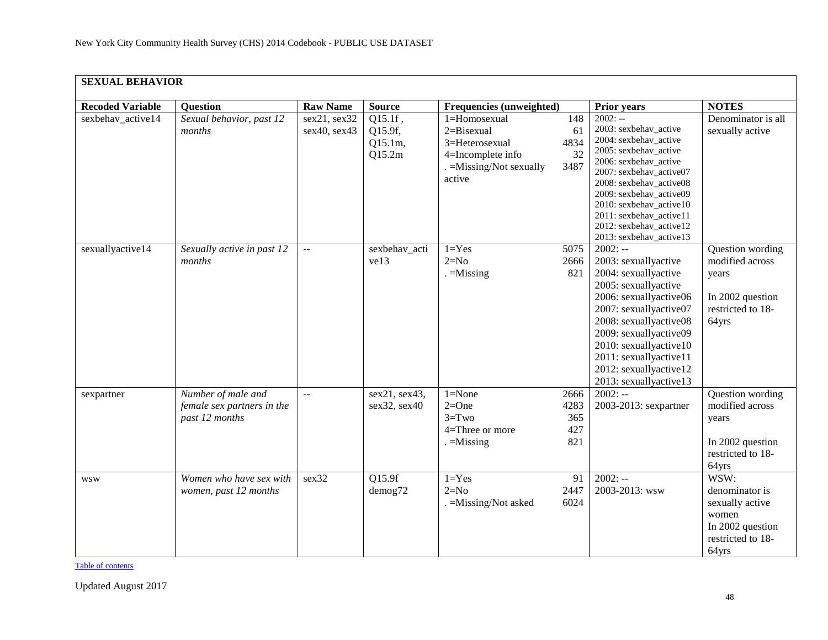<span id="page-47-0"></span>

| <b>SEXUAL BEHAVIOR</b>  |                                                                    |                              |                                         |                                                                                                             |                                   |                                                                                                                                                                                                                                                                                                            |                                                                                                      |  |  |  |
|-------------------------|--------------------------------------------------------------------|------------------------------|-----------------------------------------|-------------------------------------------------------------------------------------------------------------|-----------------------------------|------------------------------------------------------------------------------------------------------------------------------------------------------------------------------------------------------------------------------------------------------------------------------------------------------------|------------------------------------------------------------------------------------------------------|--|--|--|
| <b>Recoded Variable</b> | <b>Ouestion</b>                                                    | <b>Raw Name</b>              | <b>Source</b>                           | Frequencies (unweighted)                                                                                    |                                   | <b>Prior years</b>                                                                                                                                                                                                                                                                                         | <b>NOTES</b>                                                                                         |  |  |  |
| sexbehav_active14       | Sexual behavior, past 12<br>months                                 | sex21, sex32<br>sex40, sex43 | Q15.1f,<br>Q15.9f,<br>Q15.1m,<br>Q15.2m | 1=Homosexual<br>$2 = Bisexual$<br>3=Heterosexual<br>4=Incomplete info<br>. = Missing/Not sexually<br>active | 148<br>61<br>4834<br>32<br>3487   | $2002: -$<br>2003: sexbehav_active<br>2004: sexbehav_active<br>2005: sexbehav_active<br>2006: sexbehav_active<br>2007: sexbehav_active07<br>2008: sexbehav_active08<br>2009: sexbehav_active09<br>2010: sexbehav_active10<br>2011: sexbehav_active11<br>2012: sexbehav_active12<br>2013: sexbehav_active13 | Denominator is all<br>sexually active                                                                |  |  |  |
| sexuallyactive14        | Sexually active in past 12<br>months                               | $\sim$ $\sim$                | sexbehav_acti<br>ve13                   | $1 = Yes$<br>$2=N0$<br>$=$ Missing                                                                          | 5075<br>2666<br>821               | $2002: -$<br>2003: sexuallyactive<br>2004: sexuallyactive<br>2005: sexuallyactive<br>2006: sexuallyactive06<br>2007: sexuallyactive07<br>2008: sexuallyactive08<br>2009: sexuallyactive09<br>2010: sexuallyactive10<br>2011: sexuallyactive11<br>2012: sexuallyactive12<br>2013: sexuallyactive13          | Question wording<br>modified across<br>years<br>In 2002 question<br>restricted to 18-<br>64yrs       |  |  |  |
| sexpartner              | Number of male and<br>female sex partners in the<br>past 12 months | $\overline{a}$               | sex21, sex43,<br>sex32, sex40           | $1 = None$<br>$2=One$<br>$3 = Two$<br>4=Three or more<br>$=$ Missing                                        | 2666<br>4283<br>365<br>427<br>821 | $2002: -$<br>2003-2013: sexpartner                                                                                                                                                                                                                                                                         | Question wording<br>modified across<br>years<br>In 2002 question<br>restricted to 18-<br>64yrs       |  |  |  |
| <b>WSW</b>              | Women who have sex with<br>women, past 12 months                   | sex32                        | Q15.9f<br>demog72                       | $1 = Yes$<br>$2=N0$<br>. = Missing/Not asked                                                                | 91<br>2447<br>6024                | $2002: -$<br>2003-2013: wsw                                                                                                                                                                                                                                                                                | WSW:<br>denominator is<br>sexually active<br>women<br>In 2002 question<br>restricted to 18-<br>64yrs |  |  |  |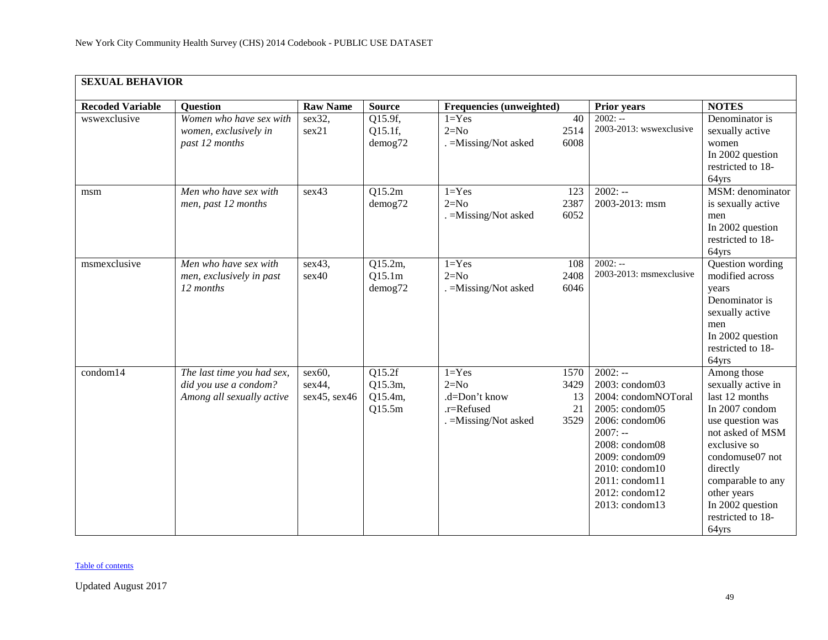| <b>SEXUAL BEHAVIOR</b>  |                                                                                  |                                     |                                        |                                                                             |                                  |                                                                                                                                                                                                                 |                                                                                                                                                                                                                                                    |  |  |  |
|-------------------------|----------------------------------------------------------------------------------|-------------------------------------|----------------------------------------|-----------------------------------------------------------------------------|----------------------------------|-----------------------------------------------------------------------------------------------------------------------------------------------------------------------------------------------------------------|----------------------------------------------------------------------------------------------------------------------------------------------------------------------------------------------------------------------------------------------------|--|--|--|
| <b>Recoded Variable</b> | <b>Question</b>                                                                  | <b>Raw Name</b>                     | <b>Source</b>                          | Frequencies (unweighted)                                                    |                                  | <b>Prior years</b>                                                                                                                                                                                              | <b>NOTES</b>                                                                                                                                                                                                                                       |  |  |  |
| wswexclusive            | Women who have sex with<br>women, exclusively in<br>past 12 months               | sex32,<br>sex21                     | Q15.9f,<br>Q15.1f,<br>demog72          | $1 = Yes$<br>$2=N0$<br>. = Missing/Not asked                                | 40<br>2514<br>6008               | $2002: -$<br>2003-2013: wswexclusive                                                                                                                                                                            | Denominator is<br>sexually active<br>women<br>In 2002 question<br>restricted to 18-<br>64yrs                                                                                                                                                       |  |  |  |
| msm                     | Men who have sex with<br>men, past 12 months                                     | sex43                               | Q15.2m<br>demog72                      | $1 = Yes$<br>$2=N0$<br>. = Missing/Not asked                                | 123<br>2387<br>6052              | $2002: -$<br>2003-2013: msm                                                                                                                                                                                     | MSM: denominator<br>is sexually active<br>men<br>In 2002 question<br>restricted to 18-<br>64yrs                                                                                                                                                    |  |  |  |
| msmexclusive            | Men who have sex with<br>men, exclusively in past<br>12 months                   | sex43,<br>sex40                     | Q15.2m,<br>Q15.1m<br>demog72           | $1 = Yes$<br>$2=N0$<br>. = Missing/Not asked                                | 108<br>2408<br>6046              | $2002: -$<br>2003-2013: msmexclusive                                                                                                                                                                            | Question wording<br>modified across<br>years<br>Denominator is<br>sexually active<br>men<br>In 2002 question<br>restricted to 18-<br>64yrs                                                                                                         |  |  |  |
| condom14                | The last time you had sex,<br>did you use a condom?<br>Among all sexually active | $sex60$ ,<br>sex44,<br>sex45, sex46 | Q15.2f<br>Q15.3m,<br>Q15.4m,<br>Q15.5m | $1 = Yes$<br>$2=N0$<br>.d=Don't know<br>.r=Refused<br>. = Missing/Not asked | 1570<br>3429<br>13<br>21<br>3529 | $2002: -$<br>2003: condom03<br>2004: condomNOToral<br>2005: condom05<br>2006: condom06<br>$2007: -$<br>2008: condom08<br>2009: condom09<br>2010: condom10<br>2011: condom11<br>2012: condom12<br>2013: condom13 | Among those<br>sexually active in<br>last 12 months<br>In 2007 condom<br>use question was<br>not asked of MSM<br>exclusive so<br>condomuse07 not<br>directly<br>comparable to any<br>other years<br>In 2002 question<br>restricted to 18-<br>64yrs |  |  |  |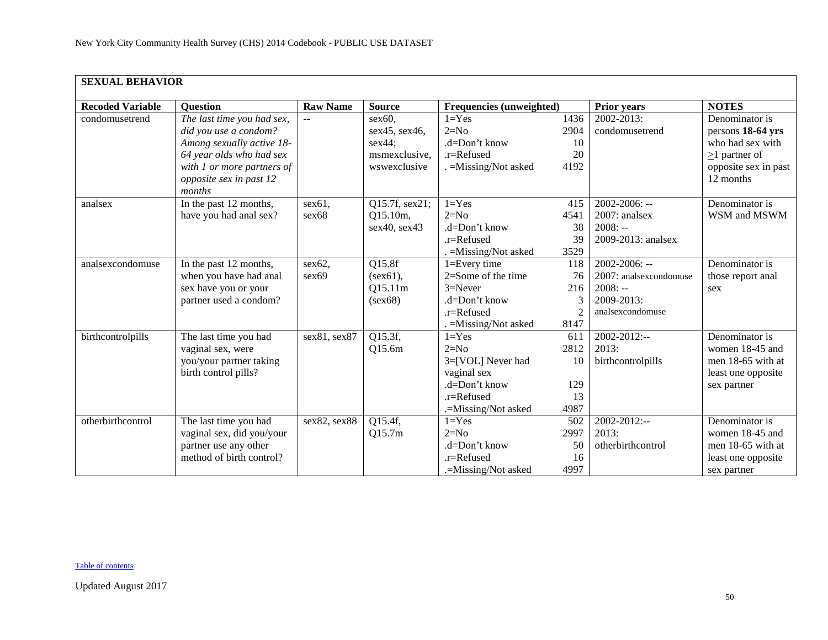| <b>SEXUAL BEHAVIOR</b>  |                            |                           |                |                          |                |                        |                      |  |  |  |
|-------------------------|----------------------------|---------------------------|----------------|--------------------------|----------------|------------------------|----------------------|--|--|--|
| <b>Recoded Variable</b> | <b>Ouestion</b>            | <b>Raw Name</b>           | <b>Source</b>  | Frequencies (unweighted) |                | <b>Prior years</b>     | <b>NOTES</b>         |  |  |  |
| condomusetrend          | The last time you had sex, | $\mathbf{u} = \mathbf{v}$ | sex60,         | $1 = Yes$                | 1436           | 2002-2013:             | Denominator is       |  |  |  |
|                         | did you use a condom?      |                           | sex45, sex46,  | $2=N0$                   | 2904           | condomusetrend         | persons 18-64 yrs    |  |  |  |
|                         | Among sexually active 18-  |                           | sex44;         | .d=Don't know            | 10             |                        | who had sex with     |  |  |  |
|                         | 64 year olds who had sex   |                           | msmexclusive,  | $.r =$ Refused           | 20             |                        | $\geq$ 1 partner of  |  |  |  |
|                         | with 1 or more partners of |                           | wswexclusive   | . = Missing/Not asked    | 4192           |                        | opposite sex in past |  |  |  |
|                         | opposite sex in past 12    |                           |                |                          |                |                        | 12 months            |  |  |  |
|                         | months                     |                           |                |                          |                |                        |                      |  |  |  |
| analsex                 | In the past 12 months,     | sex61,                    | Q15.7f, sex21; | $1 = Yes$                | 415            | $2002 - 2006$ : --     | Denominator is       |  |  |  |
|                         | have you had anal sex?     | sex68                     | Q15.10m,       | $2=N0$                   | 4541           | 2007: analsex          | WSM and MSWM         |  |  |  |
|                         |                            |                           | sex40, sex43   | .d=Don't know            | 38             | $2008: -$              |                      |  |  |  |
|                         |                            |                           |                | $.r =$ Refused           | 39             | 2009-2013: analsex     |                      |  |  |  |
|                         |                            |                           |                | . = Missing/Not asked    | 3529           |                        |                      |  |  |  |
| analsexcondomuse        | In the past 12 months,     | sex62                     | Q15.8f         | $1 = Every time$         | 118            | $2002 - 2006$ : --     | Denominator is       |  |  |  |
|                         | when you have had anal     | sex69                     | $(sex61)$ ,    | $2=$ Some of the time    | 76             | 2007: analsexcondomuse | those report anal    |  |  |  |
|                         | sex have you or your       |                           | Q15.11m        | $3 =$ Never              | 216            | $2008: -$              | sex                  |  |  |  |
|                         | partner used a condom?     |                           | (sex68)        | $d=Don't know$           | 3              | 2009-2013:             |                      |  |  |  |
|                         |                            |                           |                | .r=Refused               | $\overline{2}$ | analsexcondomuse       |                      |  |  |  |
|                         |                            |                           |                | . = Missing/Not asked    | 8147           |                        |                      |  |  |  |
| birthcontrolpills       | The last time you had      | sex81, sex87              | Q15.3f,        | $1 = Yes$                | 611            | 2002-2012:--           | Denominator is       |  |  |  |
|                         | vaginal sex, were          |                           | Q15.6m         | $2=N0$                   | 2812           | 2013:                  | women 18-45 and      |  |  |  |
|                         | you/your partner taking    |                           |                | 3=[VOL] Never had        | 10             | birthcontrolpills      | men 18-65 with at    |  |  |  |
|                         | birth control pills?       |                           |                | vaginal sex              |                |                        | least one opposite   |  |  |  |
|                         |                            |                           |                | .d=Don't know            | 129            |                        | sex partner          |  |  |  |
|                         |                            |                           |                | .r=Refused               | 13             |                        |                      |  |  |  |
|                         |                            |                           |                | .=Missing/Not asked      | 4987           |                        |                      |  |  |  |
| otherbirthcontrol       | The last time you had      | sex82, sex88              | Q15.4f,        | $1 = Yes$                | 502            | 2002-2012:--           | Denominator is       |  |  |  |
|                         | vaginal sex, did you/your  |                           | Q15.7m         | $2=N0$                   | 2997           | 2013:                  | women 18-45 and      |  |  |  |
|                         | partner use any other      |                           |                | .d=Don't know            | 50             | otherbirthcontrol      | men 18-65 with at    |  |  |  |
|                         | method of birth control?   |                           |                | .r=Refused               | 16             |                        | least one opposite   |  |  |  |
|                         |                            |                           |                | .=Missing/Not asked      | 4997           |                        | sex partner          |  |  |  |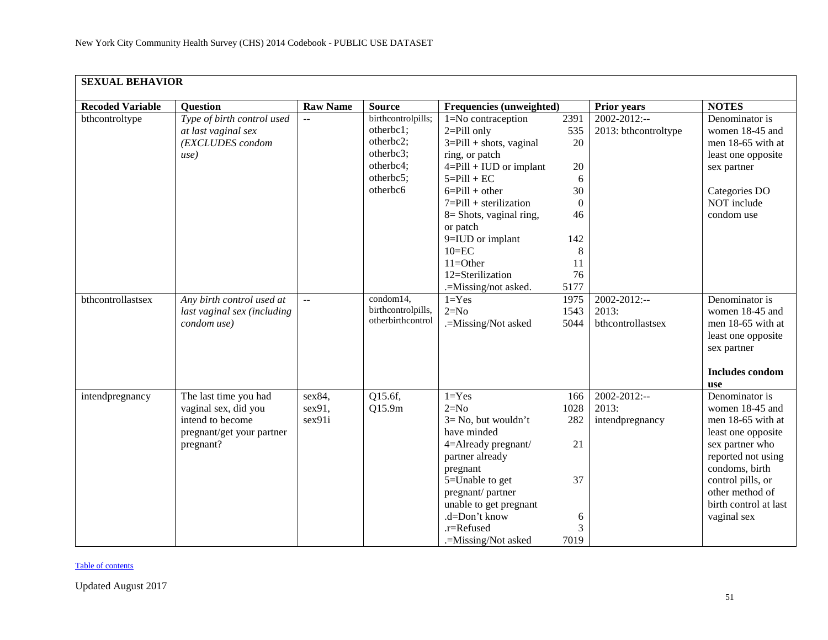| <b>SEXUAL BEHAVIOR</b>  |                             |                           |                    |                             |                |                      |                                      |  |  |  |
|-------------------------|-----------------------------|---------------------------|--------------------|-----------------------------|----------------|----------------------|--------------------------------------|--|--|--|
| <b>Recoded Variable</b> | <b>Question</b>             | <b>Raw Name</b>           | <b>Source</b>      | Frequencies (unweighted)    |                | <b>Prior years</b>   | <b>NOTES</b>                         |  |  |  |
| bthcontroltype          | Type of birth control used  | $\mathbb{L}^{\mathbb{L}}$ | birthcontrolpills; | 1=No contraception          | 2391           | $2002 - 2012$ :--    | Denominator is                       |  |  |  |
|                         | at last vaginal sex         |                           | otherbc1;          | $2 =$ Pill only             | 535            | 2013: bthcontroltype | women 18-45 and                      |  |  |  |
|                         | (EXCLUDES condom            |                           | otherbc2;          | $3 =$ Pill + shots, vaginal | 20             |                      | men 18-65 with at                    |  |  |  |
|                         | use)                        |                           | otherbc3;          | ring, or patch              |                |                      | least one opposite                   |  |  |  |
|                         |                             |                           | otherbc4;          | 4=Pill + IUD or implant     | $20\,$         |                      | sex partner                          |  |  |  |
|                         |                             |                           | otherbc5;          | $5 =$ Pill + EC             | 6              |                      |                                      |  |  |  |
|                         |                             |                           | otherbc6           | $6 =$ Pill + other          | 30             |                      | Categories DO                        |  |  |  |
|                         |                             |                           |                    | $7 =$ Pill + sterilization  | $\overline{0}$ |                      | NOT include                          |  |  |  |
|                         |                             |                           |                    | $8 =$ Shots, vaginal ring,  | 46             |                      | condom use                           |  |  |  |
|                         |                             |                           |                    | or patch                    |                |                      |                                      |  |  |  |
|                         |                             |                           |                    | 9=IUD or implant            | 142            |                      |                                      |  |  |  |
|                         |                             |                           |                    | $10 = EC$                   | 8              |                      |                                      |  |  |  |
|                         |                             |                           |                    | $11 =$ Other                | 11             |                      |                                      |  |  |  |
|                         |                             |                           |                    | 12=Sterilization            | 76             |                      |                                      |  |  |  |
|                         |                             |                           |                    | .=Missing/not asked.        | 5177           |                      |                                      |  |  |  |
| bthcontrollastsex       | Any birth control used at   | $\mathbb{L}^{\mathbb{L}}$ | condom14,          | $1 = Yes$                   | 1975           | 2002-2012:--         | Denominator is                       |  |  |  |
|                         | last vaginal sex (including |                           | birthcontrolpills, | $2=N0$                      | 1543           | 2013:                | women 18-45 and                      |  |  |  |
|                         | condom use)                 |                           | otherbirthcontrol  | .=Missing/Not asked         | 5044           | bthcontrollastsex    | men 18-65 with at                    |  |  |  |
|                         |                             |                           |                    |                             |                |                      | least one opposite                   |  |  |  |
|                         |                             |                           |                    |                             |                |                      | sex partner                          |  |  |  |
|                         |                             |                           |                    |                             |                |                      |                                      |  |  |  |
|                         |                             |                           |                    |                             |                |                      | <b>Includes condom</b>               |  |  |  |
|                         |                             |                           |                    |                             |                |                      | <b>use</b>                           |  |  |  |
| intendpregnancy         | The last time you had       | sex84,                    | Q15.6f,            | $1 = Yes$                   | 166            | 2002-2012:--         | Denominator is                       |  |  |  |
|                         | vaginal sex, did you        | sex91,                    | Q15.9m             | $2=N0$                      | 1028           | 2013:                | women 18-45 and                      |  |  |  |
|                         | intend to become            | sex91i                    |                    | $3 = No$ , but wouldn't     | 282            | intendpregnancy      | men 18-65 with at                    |  |  |  |
|                         | pregnant/get your partner   |                           |                    | have minded                 |                |                      | least one opposite                   |  |  |  |
|                         | pregnant?                   |                           |                    | 4=Already pregnant/         | 21             |                      | sex partner who                      |  |  |  |
|                         |                             |                           |                    | partner already             |                |                      | reported not using                   |  |  |  |
|                         |                             |                           |                    | pregnant                    |                |                      | condoms, birth                       |  |  |  |
|                         |                             |                           |                    | 5=Unable to get             | 37             |                      | control pills, or<br>other method of |  |  |  |
|                         |                             |                           |                    | pregnant/partner            |                |                      |                                      |  |  |  |
|                         |                             |                           |                    | unable to get pregnant      |                |                      | birth control at last                |  |  |  |
|                         |                             |                           |                    | .d=Don't know<br>.r=Refused | 6<br>3         |                      | vaginal sex                          |  |  |  |
|                         |                             |                           |                    |                             |                |                      |                                      |  |  |  |
|                         |                             |                           |                    | .=Missing/Not asked         | 7019           |                      |                                      |  |  |  |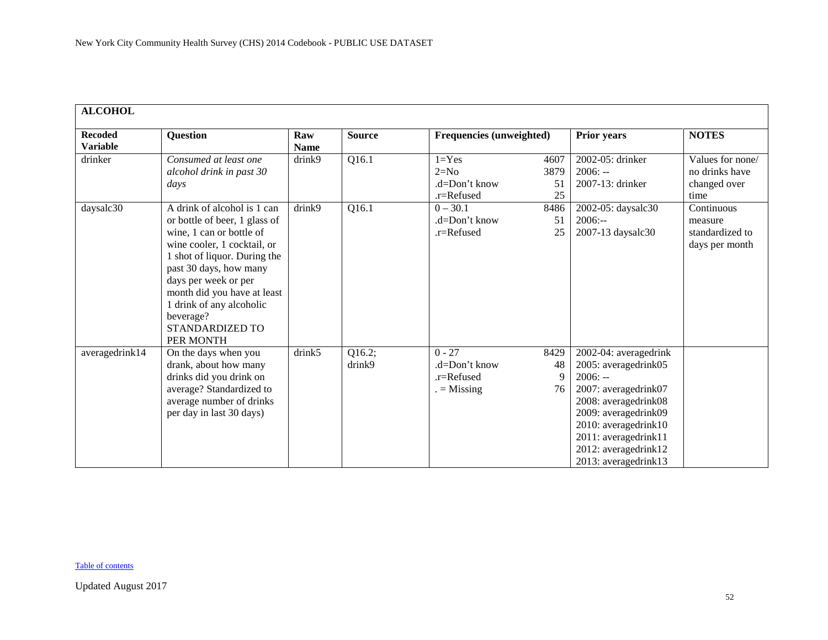<span id="page-51-0"></span>

| <b>ALCOHOL</b>                    |                                                                                                                                                                                                                                                                                                                   |                    |                  |                                                         |                          |                                                                                                                                                                                                                                    |                                                                                |
|-----------------------------------|-------------------------------------------------------------------------------------------------------------------------------------------------------------------------------------------------------------------------------------------------------------------------------------------------------------------|--------------------|------------------|---------------------------------------------------------|--------------------------|------------------------------------------------------------------------------------------------------------------------------------------------------------------------------------------------------------------------------------|--------------------------------------------------------------------------------|
| <b>Recoded</b><br><b>Variable</b> | <b>Question</b>                                                                                                                                                                                                                                                                                                   | Raw<br><b>Name</b> | <b>Source</b>    | <b>Frequencies (unweighted)</b>                         |                          | Prior years                                                                                                                                                                                                                        | <b>NOTES</b>                                                                   |
| drinker                           | Consumed at least one<br>alcohol drink in past 30<br>days                                                                                                                                                                                                                                                         | drink9             | Q16.1            | $1 = Yes$<br>$2=N0$<br>$d=Don't know$<br>.r=Refused     | 4607<br>3879<br>51<br>25 | 2002-05: drinker<br>$2006: -$<br>2007-13: drinker                                                                                                                                                                                  | Values for none/<br>no drinks have<br>changed over<br>time                     |
| daysalc30                         | A drink of alcohol is 1 can<br>or bottle of beer, 1 glass of<br>wine, 1 can or bottle of<br>wine cooler, 1 cocktail, or<br>1 shot of liquor. During the<br>past 30 days, how many<br>days per week or per<br>month did you have at least<br>1 drink of any alcoholic<br>beverage?<br>STANDARDIZED TO<br>PER MONTH | drink9             | Q16.1            | $0 - 30.1$<br>$d=Don't know$<br>.r=Refused              | 8486<br>51<br>25         | 2002-05: daysalc30<br>$2006: -$<br>2007-13 daysalc30                                                                                                                                                                               | $\overline{\text{Continuous}}$<br>measure<br>standardized to<br>days per month |
| averagedrink14                    | On the days when you<br>drank, about how many<br>drinks did you drink on<br>average? Standardized to<br>average number of drinks<br>per day in last 30 days)                                                                                                                                                      | drink5             | Q16.2;<br>drink9 | $0 - 27$<br>$d=Don't know$<br>.r=Refused<br>$=$ Missing | 8429<br>48<br>9<br>76    | 2002-04: averagedrink<br>2005: averagedrink05<br>$2006: -$<br>2007: averagedrink07<br>2008: averagedrink08<br>2009: averagedrink09<br>2010: averagedrink10<br>2011: averagedrink11<br>2012: averagedrink12<br>2013: averagedrink13 |                                                                                |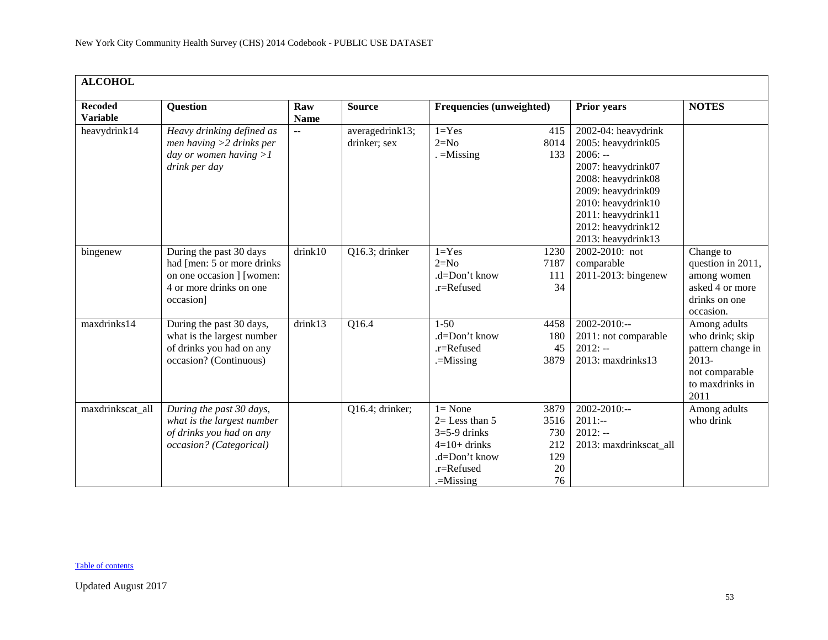| <b>ALCOHOL</b>                    |                                                                                                                             |                           |                                 |                                                                                                                   |                                               |                                                                                                                                                                                                                  |                                                                                                              |  |  |  |
|-----------------------------------|-----------------------------------------------------------------------------------------------------------------------------|---------------------------|---------------------------------|-------------------------------------------------------------------------------------------------------------------|-----------------------------------------------|------------------------------------------------------------------------------------------------------------------------------------------------------------------------------------------------------------------|--------------------------------------------------------------------------------------------------------------|--|--|--|
| <b>Recoded</b><br><b>Variable</b> | <b>Question</b>                                                                                                             | Raw<br><b>Name</b>        | <b>Source</b>                   | <b>Frequencies (unweighted)</b>                                                                                   |                                               | <b>Prior years</b>                                                                                                                                                                                               | <b>NOTES</b>                                                                                                 |  |  |  |
| heavydrink14                      | Heavy drinking defined as<br>men having $>2$ drinks per<br>day or women having $>1$<br>drink per day                        | $\mathbb{L}^{\mathbb{L}}$ | averagedrink13;<br>drinker; sex | $1 = Yes$<br>$2=N0$<br>$=$ Missing                                                                                | 415<br>8014<br>133                            | 2002-04: heavydrink<br>2005: heavydrink05<br>$2006: -$<br>2007: heavydrink07<br>2008: heavydrink08<br>2009: heavydrink09<br>2010: heavydrink10<br>2011: heavydrink11<br>2012: heavydrink12<br>2013: heavydrink13 |                                                                                                              |  |  |  |
| bingenew                          | During the past 30 days<br>had [men: 5 or more drinks]<br>on one occasion ] [women:<br>4 or more drinks on one<br>occasion] | drink10                   | Q16.3; drinker                  | $1 = Yes$<br>$2=N0$<br>$d=Don't know$<br>.r=Refused                                                               | 1230<br>7187<br>111<br>34                     | 2002-2010: not<br>comparable<br>2011-2013: bingenew                                                                                                                                                              | Change to<br>question in 2011,<br>among women<br>asked 4 or more<br>drinks on one<br>occasion.               |  |  |  |
| maxdrinks14                       | During the past 30 days,<br>what is the largest number<br>of drinks you had on any<br>occasion? (Continuous)                | drink13                   | Q16.4                           | $1 - 50$<br>.d=Don't know<br>.r=Refused<br>.=Missing                                                              | 4458<br>180<br>45<br>3879                     | $2002 - 2010$ :--<br>2011: not comparable<br>$2012: -$<br>2013: maxdrinks13                                                                                                                                      | Among adults<br>who drink; skip<br>pattern change in<br>$2013-$<br>not comparable<br>to maxdrinks in<br>2011 |  |  |  |
| maxdrinkscat_all                  | During the past 30 days,<br>what is the largest number<br>of drinks you had on any<br>occasion? (Categorical)               |                           | Q16.4; drinker;                 | $l = None$<br>$2 =$ Less than 5<br>$3=5-9$ drinks<br>$4=10+$ drinks<br>.d=Don't know<br>.r=Refused<br>$=$ Missing | 3879<br>3516<br>730<br>212<br>129<br>20<br>76 | $2002 - 2010$ :--<br>$2011:-$<br>$2012: -$<br>2013: maxdrinkscat all                                                                                                                                             | Among adults<br>who drink                                                                                    |  |  |  |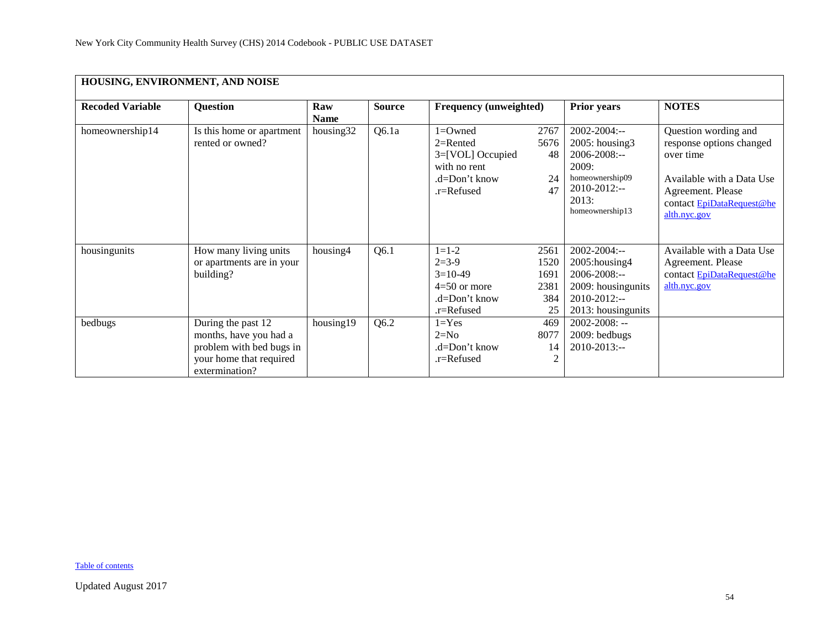<span id="page-53-0"></span>

| HOUSING, ENVIRONMENT, AND NOISE |                                                                                                                       |                    |               |                                                                                                   |                                           |                                                                                                                                  |                                                                                                                                                              |  |  |  |  |
|---------------------------------|-----------------------------------------------------------------------------------------------------------------------|--------------------|---------------|---------------------------------------------------------------------------------------------------|-------------------------------------------|----------------------------------------------------------------------------------------------------------------------------------|--------------------------------------------------------------------------------------------------------------------------------------------------------------|--|--|--|--|
| <b>Recoded Variable</b>         | <b>Question</b>                                                                                                       | Raw<br><b>Name</b> | <b>Source</b> | <b>Frequency (unweighted)</b>                                                                     |                                           | <b>Prior years</b>                                                                                                               | <b>NOTES</b>                                                                                                                                                 |  |  |  |  |
| homeownership14                 | Is this home or apartment<br>rented or owned?                                                                         | housing32          | Q6.1a         | $1 =$ Owned<br>$2=$ Rented<br>3=[VOL] Occupied<br>with no rent<br>.d=Don't know<br>$.r =$ Refused | 2767<br>5676<br>48<br>24<br>47            | $2002 - 2004$ :--<br>2005: housing3<br>2006-2008:--<br>2009:<br>homeownership09<br>$2010 - 2012$ :--<br>2013:<br>homeownership13 | Question wording and<br>response options changed<br>over time<br>Available with a Data Use<br>Agreement. Please<br>contact EpiDataRequest@he<br>alth.nyc.gov |  |  |  |  |
| housingunits                    | How many living units<br>or apartments are in your<br>building?                                                       | housing4           | Q6.1          | $1 = 1 - 2$<br>$2=3-9$<br>$3=10-49$<br>$4=50$ or more<br>.d=Don't know<br>.r=Refused              | 2561<br>1520<br>1691<br>2381<br>384<br>25 | $2002 - 2004$ :--<br>2005: housing 4<br>2006-2008:--<br>2009: housingunits<br>$2010 - 2012$ :--<br>2013: housingunits            | Available with a Data Use<br>Agreement. Please<br>contact EpiDataRequest@he<br>alth.nyc.gov                                                                  |  |  |  |  |
| bedbugs                         | During the past 12<br>months, have you had a<br>problem with bed bugs in<br>your home that required<br>extermination? | housing19          | Q6.2          | $1 = Yes$<br>$2=N0$<br>.d=Don't know<br>$.r =$ Refused                                            | 469<br>8077<br>14<br>$\overline{2}$       | $2002 - 2008$ : --<br>2009: bedbugs<br>$2010 - 2013$ :--                                                                         |                                                                                                                                                              |  |  |  |  |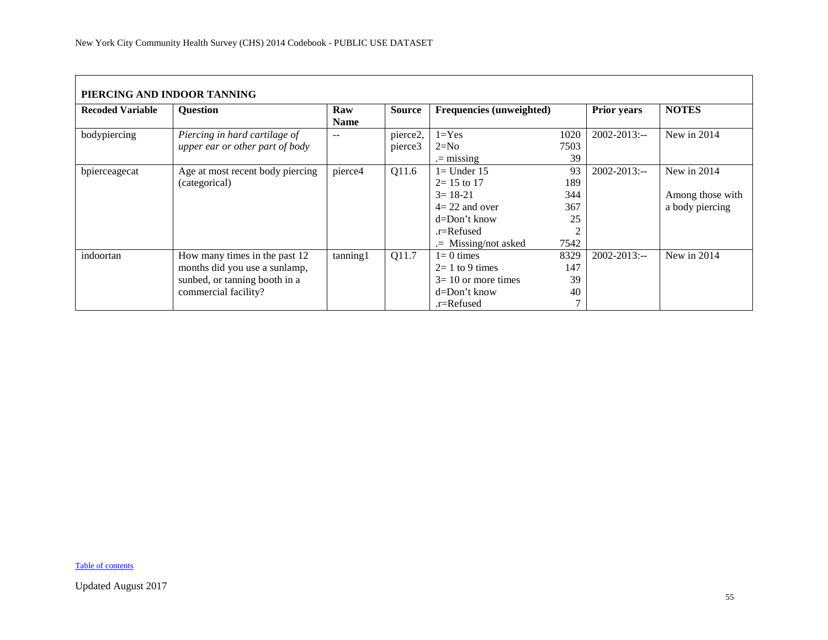<span id="page-54-0"></span>

| PIERCING AND INDOOR TANNING |                                  |             |               |                                 |      |                    |                  |  |  |  |  |
|-----------------------------|----------------------------------|-------------|---------------|---------------------------------|------|--------------------|------------------|--|--|--|--|
| <b>Recoded Variable</b>     | <b>Ouestion</b>                  | Raw         | <b>Source</b> | <b>Frequencies (unweighted)</b> |      | <b>Prior years</b> | <b>NOTES</b>     |  |  |  |  |
|                             |                                  | <b>Name</b> |               |                                 |      |                    |                  |  |  |  |  |
| bodypiercing                | Piercing in hard cartilage of    | $- -$       | pierce2,      | $1 = Yes$                       | 1020 | $2002 - 2013$ :--  | New in $2014$    |  |  |  |  |
|                             | upper ear or other part of body  |             | pierce3       | $2=N0$                          | 7503 |                    |                  |  |  |  |  |
|                             |                                  |             |               | $=$ missing                     | 39   |                    |                  |  |  |  |  |
| bpierceagecat               | Age at most recent body piercing | pierce4     | Q11.6         | $l =$ Under 15                  | 93   | $2002 - 2013$ :--  | New in 2014      |  |  |  |  |
|                             | (categorical)                    |             |               | $2 = 15$ to 17                  | 189  |                    |                  |  |  |  |  |
|                             |                                  |             |               | $3 = 18 - 21$                   | 344  |                    | Among those with |  |  |  |  |
|                             |                                  |             |               | $4=22$ and over                 | 367  |                    | a body piercing  |  |  |  |  |
|                             |                                  |             |               | $d=Don't know$                  | 25   |                    |                  |  |  |  |  |
|                             |                                  |             |               | $r =$ Refused                   |      |                    |                  |  |  |  |  |
|                             |                                  |             |               | $=$ Missing/not asked           | 7542 |                    |                  |  |  |  |  |
| indoortan                   | How many times in the past 12    | tanning1    | Q11.7         | $l = 0$ times                   | 8329 | $2002 - 2013$ :--  | New in 2014      |  |  |  |  |
|                             | months did you use a sunlamp,    |             |               | $2=1$ to 9 times                | 147  |                    |                  |  |  |  |  |
|                             | sunbed, or tanning booth in a    |             |               | $3=10$ or more times            | 39   |                    |                  |  |  |  |  |
|                             | commercial facility?             |             |               | $d = Don't know$                | 40   |                    |                  |  |  |  |  |
|                             |                                  |             |               | .r=Refused                      |      |                    |                  |  |  |  |  |